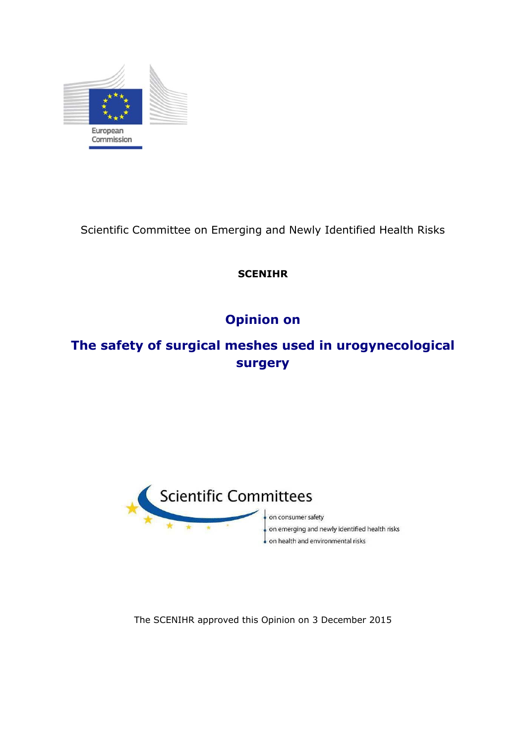

Scientific Committee on Emerging and Newly Identified Health Risks

## **SCENIHR**

# **Opinion on**

# **The safety of surgical meshes used in urogynecological surgery**



on consumer safety on emerging and newly identified health risks . on health and environmental risks

The SCENIHR approved this Opinion on 3 December 2015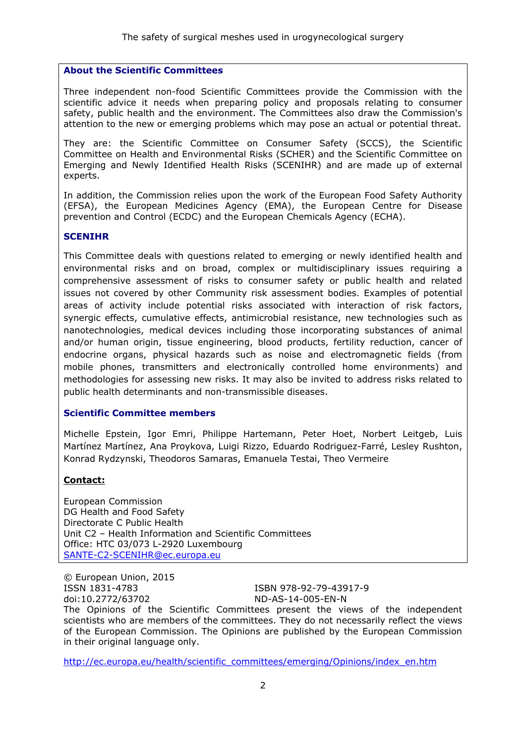### **About the Scientific Committees**

Three independent non-food Scientific Committees provide the Commission with the scientific advice it needs when preparing policy and proposals relating to consumer safety, public health and the environment. The Committees also draw the Commission's attention to the new or emerging problems which may pose an actual or potential threat.

They are: the Scientific Committee on Consumer Safety (SCCS), the Scientific Committee on Health and Environmental Risks (SCHER) and the Scientific Committee on Emerging and Newly Identified Health Risks (SCENIHR) and are made up of external experts.

In addition, the Commission relies upon the work of the European Food Safety Authority (EFSA), the European Medicines Agency (EMA), the European Centre for Disease prevention and Control (ECDC) and the European Chemicals Agency (ECHA).

#### **SCENIHR**

This Committee deals with questions related to emerging or newly identified health and environmental risks and on broad, complex or multidisciplinary issues requiring a comprehensive assessment of risks to consumer safety or public health and related issues not covered by other Community risk assessment bodies. Examples of potential areas of activity include potential risks associated with interaction of risk factors, synergic effects, cumulative effects, antimicrobial resistance, new technologies such as nanotechnologies, medical devices including those incorporating substances of animal and/or human origin, tissue engineering, blood products, fertility reduction, cancer of endocrine organs, physical hazards such as noise and electromagnetic fields (from mobile phones, transmitters and electronically controlled home environments) and methodologies for assessing new risks. It may also be invited to address risks related to public health determinants and non-transmissible diseases.

### **Scientific Committee members**

Michelle Epstein, Igor Emri, Philippe Hartemann, Peter Hoet, Norbert Leitgeb, Luis Martínez Martínez, Ana Proykova, Luigi Rizzo, Eduardo Rodriguez-Farré, Lesley Rushton, Konrad Rydzynski, Theodoros Samaras, Emanuela Testai, Theo Vermeire

### **Contact:**

European Commission DG Health and Food Safety Directorate C Public Health Unit C2 – Health Information and Scientific Committees Office: HTC 03/073 L-2920 Luxembourg [SANTE-C2-SCENIHR@ec.europa.eu](mailto:SANTE-C2-SCENIHR@ec.europa.eu)

© European Union, 2015 ISSN 1831-4783 ISBN 978-92-79-43917-9 doi:10.2772/63702 ND-AS-14-005-EN-N The Opinions of the Scientific Committees present the views of the independent scientists who are members of the committees. They do not necessarily reflect the views of the European Commission. The Opinions are published by the European Commission in their original language only.

http://ec.europa.eu/health/scientific\_committees/emerging/Opinions/index\_en.htm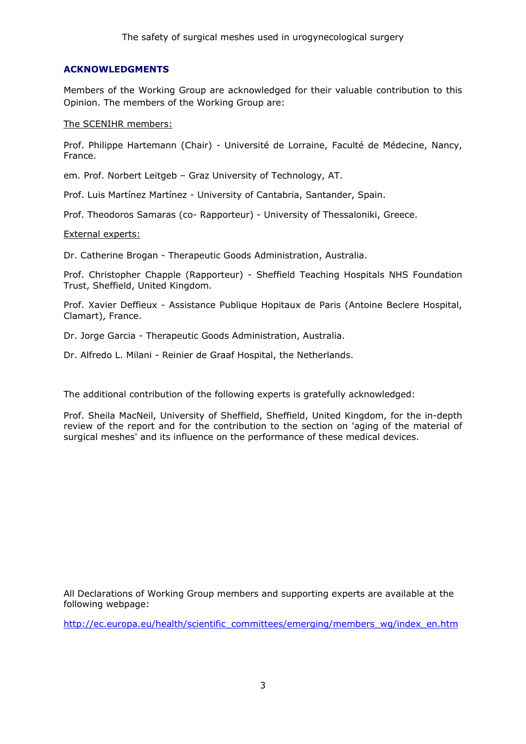### **ACKNOWLEDGMENTS**

Members of the Working Group are acknowledged for their valuable contribution to this Opinion. The members of the Working Group are:

#### The SCENIHR members:

Prof. Philippe Hartemann (Chair) - Université de Lorraine, Faculté de Médecine, Nancy, France.

em. Prof. Norbert Leitgeb – Graz University of Technology, AT.

Prof. Luis Martínez Martínez - University of Cantabria, Santander, Spain.

Prof. Theodoros Samaras (co- Rapporteur) - University of Thessaloniki, Greece.

#### External experts:

Dr. Catherine Brogan - Therapeutic Goods Administration, Australia.

Prof. Christopher Chapple (Rapporteur) - Sheffield Teaching Hospitals NHS Foundation Trust, Sheffield, United Kingdom.

Prof. Xavier Deffieux - Assistance Publique Hopitaux de Paris (Antoine Beclere Hospital, Clamart), France.

Dr. Jorge Garcia - Therapeutic Goods Administration, Australia.

Dr. Alfredo L. Milani - Reinier de Graaf Hospital, the Netherlands.

The additional contribution of the following experts is gratefully acknowledged:

Prof. Sheila MacNeil, University of Sheffield, Sheffield, United Kingdom, for the in-depth review of the report and for the contribution to the section on 'aging of the material of surgical meshes' and its influence on the performance of these medical devices.

All Declarations of Working Group members and supporting experts are available at the following webpage:

http://ec.europa.eu/health/scientific\_committees/emerging/members\_wg/index\_en.htm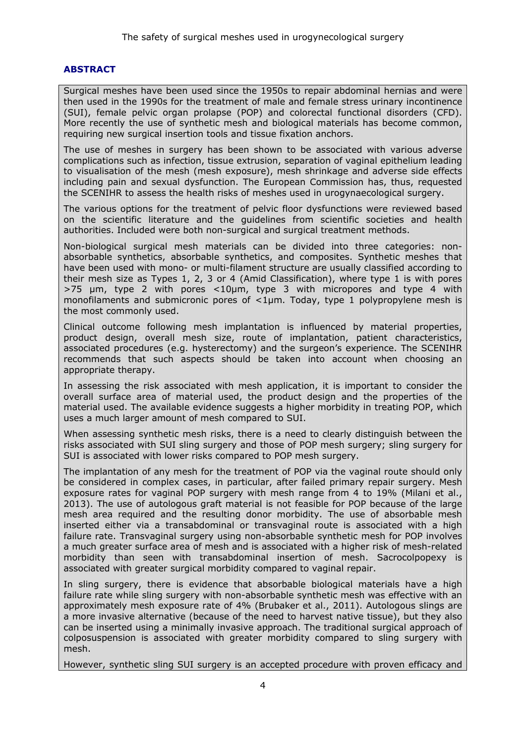### <span id="page-3-0"></span>**ABSTRACT**

Surgical meshes have been used since the 1950s to repair abdominal hernias and were then used in the 1990s for the treatment of male and female stress urinary incontinence (SUI), female pelvic organ prolapse (POP) and colorectal functional disorders (CFD). More recently the use of synthetic mesh and biological materials has become common, requiring new surgical insertion tools and tissue fixation anchors.

The use of meshes in surgery has been shown to be associated with various adverse complications such as infection, tissue extrusion, separation of vaginal epithelium leading to visualisation of the mesh (mesh exposure), mesh shrinkage and adverse side effects including pain and sexual dysfunction. The European Commission has, thus, requested the SCENIHR to assess the health risks of meshes used in urogynaecological surgery.

The various options for the treatment of pelvic floor dysfunctions were reviewed based on the scientific literature and the guidelines from scientific societies and health authorities. Included were both non-surgical and surgical treatment methods.

Non-biological surgical mesh materials can be divided into three categories: nonabsorbable synthetics, absorbable synthetics, and composites. Synthetic meshes that have been used with mono- or multi-filament structure are usually classified according to their mesh size as Types 1, 2, 3 or 4 (Amid Classification), where type 1 is with pores  $>75$  µm, type 2 with pores  $<10$ µm, type 3 with micropores and type 4 with monofilaments and submicronic pores of <1µm. Today, type 1 polypropylene mesh is the most commonly used.

Clinical outcome following mesh implantation is influenced by material properties, product design, overall mesh size, route of implantation, patient characteristics, associated procedures (e.g. hysterectomy) and the surgeon's experience. The SCENIHR recommends that such aspects should be taken into account when choosing an appropriate therapy.

In assessing the risk associated with mesh application, it is important to consider the overall surface area of material used, the product design and the properties of the material used. The available evidence suggests a higher morbidity in treating POP, which uses a much larger amount of mesh compared to SUI.

When assessing synthetic mesh risks, there is a need to clearly distinguish between the risks associated with SUI sling surgery and those of POP mesh surgery; sling surgery for SUI is associated with lower risks compared to POP mesh surgery.

The implantation of any mesh for the treatment of POP via the vaginal route should only be considered in complex cases, in particular, after failed primary repair surgery. Mesh exposure rates for vaginal POP surgery with mesh range from 4 to 19% (Milani et al., 2013). The use of autologous graft material is not feasible for POP because of the large mesh area required and the resulting donor morbidity. The use of absorbable mesh inserted either via a transabdominal or transvaginal route is associated with a high failure rate. Transvaginal surgery using non-absorbable synthetic mesh for POP involves a much greater surface area of mesh and is associated with a higher risk of mesh-related morbidity than seen with transabdominal insertion of mesh. Sacrocolpopexy is associated with greater surgical morbidity compared to vaginal repair.

In sling surgery, there is evidence that absorbable biological materials have a high failure rate while sling surgery with non-absorbable synthetic mesh was effective with an approximately mesh exposure rate of 4% (Brubaker et al., 2011). Autologous slings are a more invasive alternative (because of the need to harvest native tissue), but they also can be inserted using a minimally invasive approach. The traditional surgical approach of colposuspension is associated with greater morbidity compared to sling surgery with mesh.

However, synthetic sling SUI surgery is an accepted procedure with proven efficacy and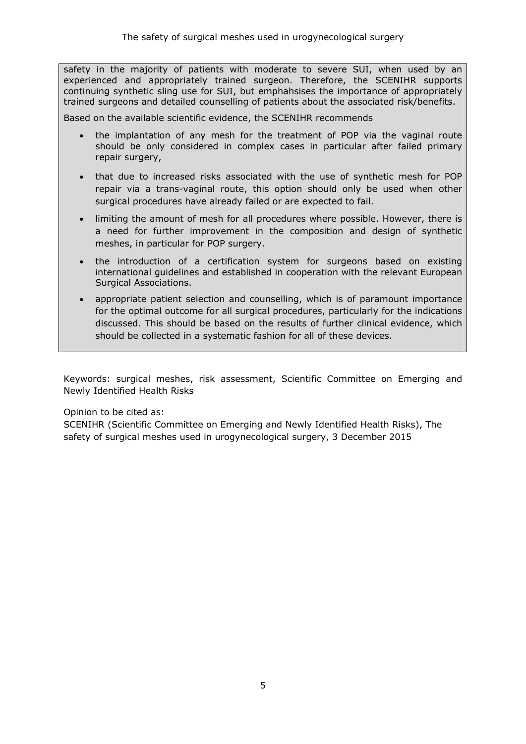safety in the majority of patients with moderate to severe SUI, when used by an experienced and appropriately trained surgeon. Therefore, the SCENIHR supports continuing synthetic sling use for SUI, but emphahsises the importance of appropriately trained surgeons and detailed counselling of patients about the associated risk/benefits.

Based on the available scientific evidence, the SCENIHR recommends

- the implantation of any mesh for the treatment of POP via the vaginal route should be only considered in complex cases in particular after failed primary repair surgery,
- that due to increased risks associated with the use of synthetic mesh for POP repair via a trans-vaginal route, this option should only be used when other surgical procedures have already failed or are expected to fail.
- limiting the amount of mesh for all procedures where possible. However, there is a need for further improvement in the composition and design of synthetic meshes, in particular for POP surgery.
- the introduction of a certification system for surgeons based on existing international guidelines and established in cooperation with the relevant European Surgical Associations.
- appropriate patient selection and counselling, which is of paramount importance for the optimal outcome for all surgical procedures, particularly for the indications discussed. This should be based on the results of further clinical evidence, which should be collected in a systematic fashion for all of these devices.

Keywords: surgical meshes, risk assessment, Scientific Committee on Emerging and Newly Identified Health Risks

Opinion to be cited as:

SCENIHR (Scientific Committee on Emerging and Newly Identified Health Risks), The safety of surgical meshes used in urogynecological surgery, 3 December 2015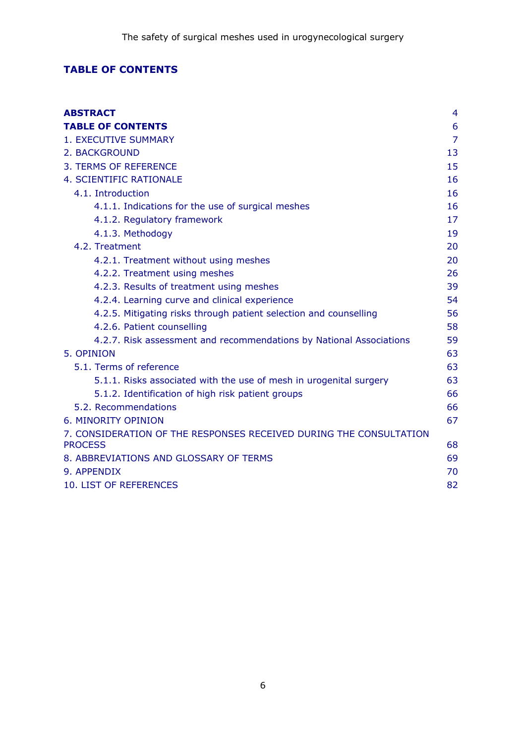## <span id="page-5-0"></span>**TABLE OF CONTENTS**

| <b>ABSTRACT</b>                                                                      | 4              |
|--------------------------------------------------------------------------------------|----------------|
| <b>TABLE OF CONTENTS</b>                                                             | 6              |
| <b>1. EXECUTIVE SUMMARY</b>                                                          | $\overline{7}$ |
| 2. BACKGROUND                                                                        | 13             |
| 3. TERMS OF REFERENCE                                                                | 15             |
| 4. SCIENTIFIC RATIONALE                                                              | 16             |
| 4.1. Introduction                                                                    | 16             |
| 4.1.1. Indications for the use of surgical meshes                                    | 16             |
| 4.1.2. Regulatory framework                                                          | 17             |
| 4.1.3. Methodogy                                                                     | 19             |
| 4.2. Treatment                                                                       | 20             |
| 4.2.1. Treatment without using meshes                                                | 20             |
| 4.2.2. Treatment using meshes                                                        | 26             |
| 4.2.3. Results of treatment using meshes                                             | 39             |
| 4.2.4. Learning curve and clinical experience                                        | 54             |
| 4.2.5. Mitigating risks through patient selection and counselling                    | 56             |
| 4.2.6. Patient counselling                                                           | 58             |
| 4.2.7. Risk assessment and recommendations by National Associations                  | 59             |
| 5. OPINION                                                                           | 63             |
| 5.1. Terms of reference                                                              | 63             |
| 5.1.1. Risks associated with the use of mesh in urogenital surgery                   | 63             |
| 5.1.2. Identification of high risk patient groups                                    | 66             |
| 5.2. Recommendations                                                                 | 66             |
| 6. MINORITY OPINION                                                                  | 67             |
| 7. CONSIDERATION OF THE RESPONSES RECEIVED DURING THE CONSULTATION<br><b>PROCESS</b> | 68             |
| 8. ABBREVIATIONS AND GLOSSARY OF TERMS                                               | 69             |
| 9. APPENDIX                                                                          | 70             |
| 10. LIST OF REFERENCES                                                               | 82             |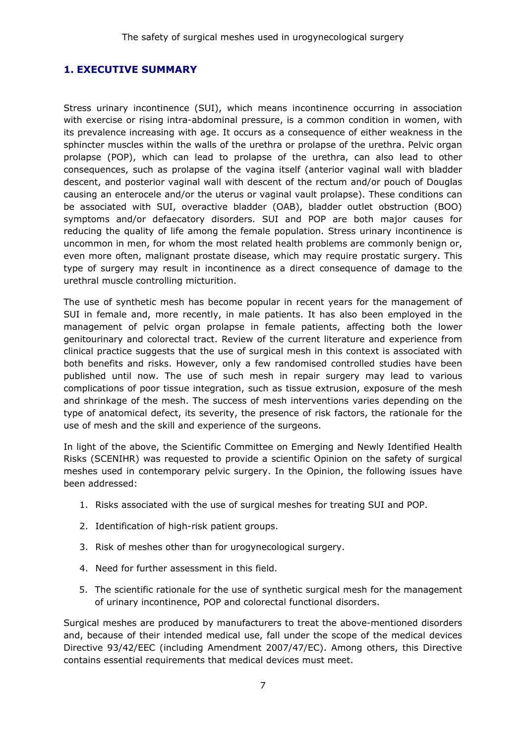### <span id="page-6-0"></span>**1. EXECUTIVE SUMMARY**

Stress urinary incontinence (SUI), which means incontinence occurring in association with exercise or rising intra-abdominal pressure, is a common condition in women, with its prevalence increasing with age. It occurs as a consequence of either weakness in the sphincter muscles within the walls of the urethra or prolapse of the urethra. Pelvic organ prolapse (POP), which can lead to prolapse of the urethra, can also lead to other consequences, such as prolapse of the vagina itself (anterior vaginal wall with bladder descent, and posterior vaginal wall with descent of the rectum and/or pouch of Douglas causing an enterocele and/or the uterus or vaginal vault prolapse). These conditions can be associated with SUI, overactive bladder (OAB), bladder outlet obstruction (BOO) symptoms and/or defaecatory disorders. SUI and POP are both major causes for reducing the quality of life among the female population. Stress urinary incontinence is uncommon in men, for whom the most related health problems are commonly benign or, even more often, malignant prostate disease, which may require prostatic surgery. This type of surgery may result in incontinence as a direct consequence of damage to the urethral muscle controlling micturition.

The use of synthetic mesh has become popular in recent years for the management of SUI in female and, more recently, in male patients. It has also been employed in the management of pelvic organ prolapse in female patients, affecting both the lower genitourinary and colorectal tract. Review of the current literature and experience from clinical practice suggests that the use of surgical mesh in this context is associated with both benefits and risks. However, only a few randomised controlled studies have been published until now. The use of such mesh in repair surgery may lead to various complications of poor tissue integration, such as tissue extrusion, exposure of the mesh and shrinkage of the mesh. The success of mesh interventions varies depending on the type of anatomical defect, its severity, the presence of risk factors, the rationale for the use of mesh and the skill and experience of the surgeons.

In light of the above, the Scientific Committee on Emerging and Newly Identified Health Risks (SCENIHR) was requested to provide a scientific Opinion on the safety of surgical meshes used in contemporary pelvic surgery. In the Opinion, the following issues have been addressed:

- 1. Risks associated with the use of surgical meshes for treating SUI and POP.
- 2. Identification of high-risk patient groups.
- 3. Risk of meshes other than for urogynecological surgery.
- 4. Need for further assessment in this field.
- 5. The scientific rationale for the use of synthetic surgical mesh for the management of urinary incontinence, POP and colorectal functional disorders.

Surgical meshes are produced by manufacturers to treat the above-mentioned disorders and, because of their intended medical use, fall under the scope of the medical devices Directive 93/42/EEC (including Amendment 2007/47/EC). Among others, this Directive contains essential requirements that medical devices must meet.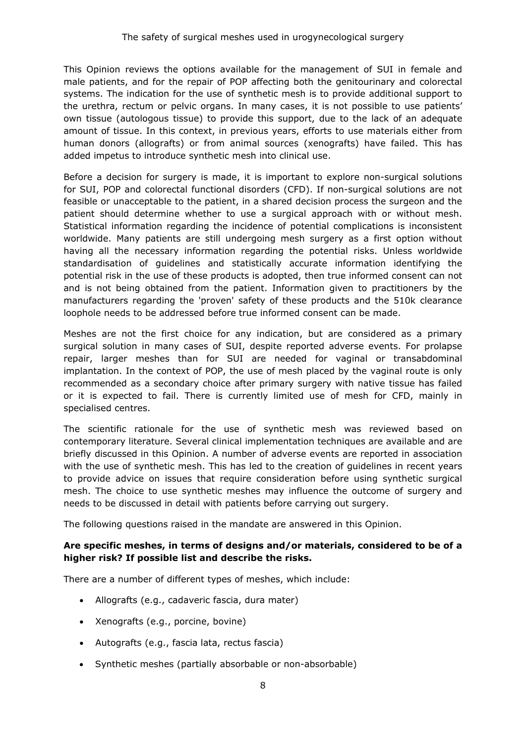This Opinion reviews the options available for the management of SUI in female and male patients, and for the repair of POP affecting both the genitourinary and colorectal systems. The indication for the use of synthetic mesh is to provide additional support to the urethra, rectum or pelvic organs. In many cases, it is not possible to use patients' own tissue (autologous tissue) to provide this support, due to the lack of an adequate amount of tissue. In this context, in previous years, efforts to use materials either from human donors (allografts) or from animal sources (xenografts) have failed. This has added impetus to introduce synthetic mesh into clinical use.

Before a decision for surgery is made, it is important to explore non-surgical solutions for SUI, POP and colorectal functional disorders (CFD). If non-surgical solutions are not feasible or unacceptable to the patient, in a shared decision process the surgeon and the patient should determine whether to use a surgical approach with or without mesh. Statistical information regarding the incidence of potential complications is inconsistent worldwide. Many patients are still undergoing mesh surgery as a first option without having all the necessary information regarding the potential risks. Unless worldwide standardisation of guidelines and statistically accurate information identifying the potential risk in the use of these products is adopted, then true informed consent can not and is not being obtained from the patient. Information given to practitioners by the manufacturers regarding the 'proven' safety of these products and the 510k clearance loophole needs to be addressed before true informed consent can be made.

Meshes are not the first choice for any indication, but are considered as a primary surgical solution in many cases of SUI, despite reported adverse events. For prolapse repair, larger meshes than for SUI are needed for vaginal or transabdominal implantation. In the context of POP, the use of mesh placed by the vaginal route is only recommended as a secondary choice after primary surgery with native tissue has failed or it is expected to fail. There is currently limited use of mesh for CFD, mainly in specialised centres.

The scientific rationale for the use of synthetic mesh was reviewed based on contemporary literature. Several clinical implementation techniques are available and are briefly discussed in this Opinion. A number of adverse events are reported in association with the use of synthetic mesh. This has led to the creation of guidelines in recent years to provide advice on issues that require consideration before using synthetic surgical mesh. The choice to use synthetic meshes may influence the outcome of surgery and needs to be discussed in detail with patients before carrying out surgery.

The following questions raised in the mandate are answered in this Opinion.

### **Are specific meshes, in terms of designs and/or materials, considered to be of a higher risk? If possible list and describe the risks.**

There are a number of different types of meshes, which include:

- Allografts (e.g., cadaveric fascia, dura mater)
- Xenografts (e.g., porcine, bovine)
- Autografts (e.g., fascia lata, rectus fascia)
- Synthetic meshes (partially absorbable or non-absorbable)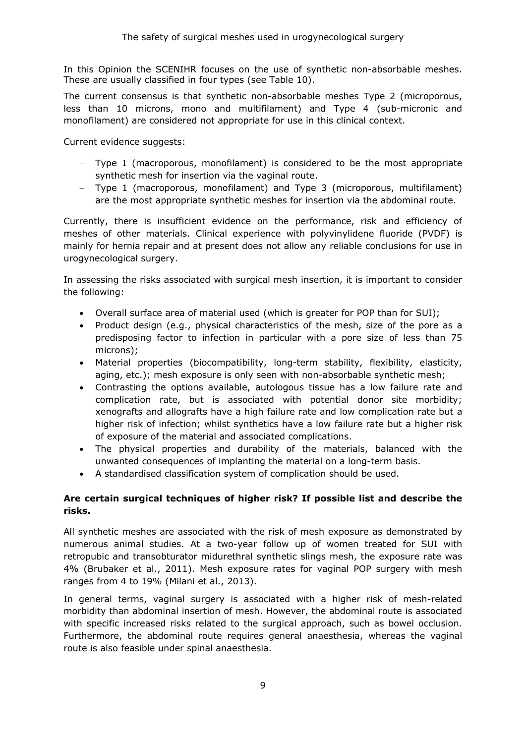In this Opinion the SCENIHR focuses on the use of synthetic non-absorbable meshes. These are usually classified in four types (see Table 10).

The current consensus is that synthetic non-absorbable meshes Type 2 (microporous, less than 10 microns, mono and multifilament) and Type 4 (sub-micronic and monofilament) are considered not appropriate for use in this clinical context.

Current evidence suggests:

- − Type 1 (macroporous, monofilament) is considered to be the most appropriate synthetic mesh for insertion via the vaginal route.
- − Type 1 (macroporous, monofilament) and Type 3 (microporous, multifilament) are the most appropriate synthetic meshes for insertion via the abdominal route.

Currently, there is insufficient evidence on the performance, risk and efficiency of meshes of other materials. Clinical experience with polyvinylidene fluoride (PVDF) is mainly for hernia repair and at present does not allow any reliable conclusions for use in urogynecological surgery.

In assessing the risks associated with surgical mesh insertion, it is important to consider the following:

- Overall surface area of material used (which is greater for POP than for SUI);
- Product design (e.g., physical characteristics of the mesh, size of the pore as a predisposing factor to infection in particular with a pore size of less than 75 microns);
- Material properties (biocompatibility, long-term stability, flexibility, elasticity, aging, etc.); mesh exposure is only seen with non-absorbable synthetic mesh;
- Contrasting the options available, autologous tissue has a low failure rate and complication rate, but is associated with potential donor site morbidity; xenografts and allografts have a high failure rate and low complication rate but a higher risk of infection; whilst synthetics have a low failure rate but a higher risk of exposure of the material and associated complications.
- The physical properties and durability of the materials, balanced with the unwanted consequences of implanting the material on a long-term basis.
- A standardised classification system of complication should be used.

### **Are certain surgical techniques of higher risk? If possible list and describe the risks.**

All synthetic meshes are associated with the risk of mesh exposure as demonstrated by numerous animal studies. At a two-year follow up of women treated for SUI with retropubic and transobturator midurethral synthetic slings mesh, the exposure rate was 4% (Brubaker et al., 2011). Mesh exposure rates for vaginal POP surgery with mesh ranges from 4 to 19% (Milani et al., 2013).

In general terms, vaginal surgery is associated with a higher risk of mesh-related morbidity than abdominal insertion of mesh. However, the abdominal route is associated with specific increased risks related to the surgical approach, such as bowel occlusion. Furthermore, the abdominal route requires general anaesthesia, whereas the vaginal route is also feasible under spinal anaesthesia.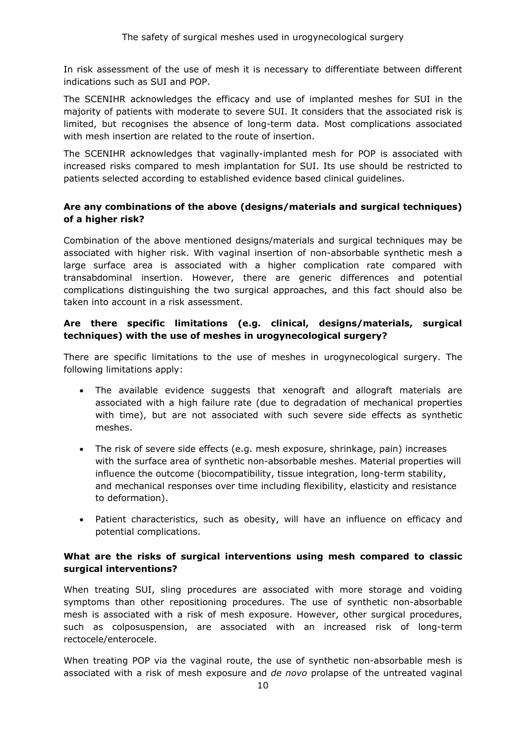In risk assessment of the use of mesh it is necessary to differentiate between different indications such as SUI and POP.

The SCENIHR acknowledges the efficacy and use of implanted meshes for SUI in the majority of patients with moderate to severe SUI. It considers that the associated risk is limited, but recognises the absence of long-term data. Most complications associated with mesh insertion are related to the route of insertion.

The SCENIHR acknowledges that vaginally-implanted mesh for POP is associated with increased risks compared to mesh implantation for SUI. Its use should be restricted to patients selected according to established evidence based clinical guidelines.

### **Are any combinations of the above (designs/materials and surgical techniques) of a higher risk?**

Combination of the above mentioned designs/materials and surgical techniques may be associated with higher risk. With vaginal insertion of non-absorbable synthetic mesh a large surface area is associated with a higher complication rate compared with transabdominal insertion. However, there are generic differences and potential complications distinguishing the two surgical approaches, and this fact should also be taken into account in a risk assessment.

### **Are there specific limitations (e.g. clinical, designs/materials, surgical techniques) with the use of meshes in urogynecological surgery?**

There are specific limitations to the use of meshes in urogynecological surgery. The following limitations apply:

- The available evidence suggests that xenograft and allograft materials are associated with a high failure rate (due to degradation of mechanical properties with time), but are not associated with such severe side effects as synthetic meshes.
- The risk of severe side effects (e.g. mesh exposure, shrinkage, pain) increases with the surface area of synthetic non-absorbable meshes. Material properties will influence the outcome (biocompatibility, tissue integration, long-term stability, and mechanical responses over time including flexibility, elasticity and resistance to deformation).
- Patient characteristics, such as obesity, will have an influence on efficacy and potential complications.

### **What are the risks of surgical interventions using mesh compared to classic surgical interventions?**

When treating SUI, sling procedures are associated with more storage and voiding symptoms than other repositioning procedures. The use of synthetic non-absorbable mesh is associated with a risk of mesh exposure. However, other surgical procedures, such as colposuspension, are associated with an increased risk of long-term rectocele/enterocele.

When treating POP via the vaginal route, the use of synthetic non-absorbable mesh is associated with a risk of mesh exposure and *de novo* prolapse of the untreated vaginal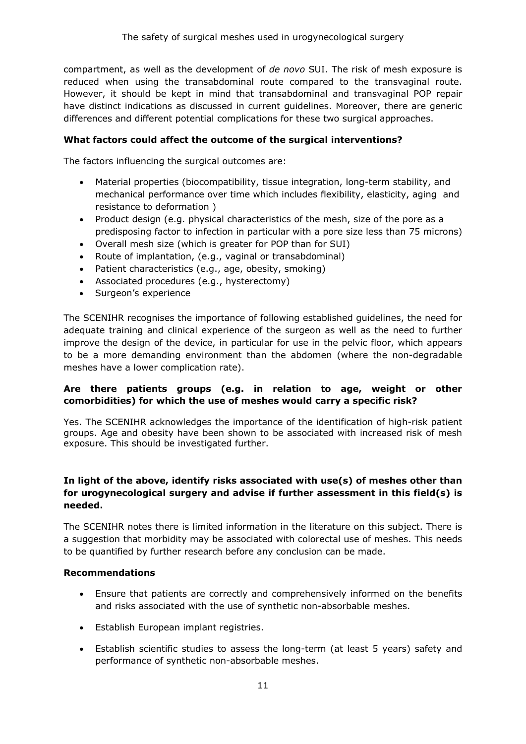compartment, as well as the development of *de novo* SUI. The risk of mesh exposure is reduced when using the transabdominal route compared to the transvaginal route. However, it should be kept in mind that transabdominal and transvaginal POP repair have distinct indications as discussed in current guidelines. Moreover, there are generic differences and different potential complications for these two surgical approaches.

### **What factors could affect the outcome of the surgical interventions?**

The factors influencing the surgical outcomes are:

- Material properties (biocompatibility, tissue integration, long-term stability, and mechanical performance over time which includes flexibility, elasticity, aging and resistance to deformation )
- Product design (e.g. physical characteristics of the mesh, size of the pore as a predisposing factor to infection in particular with a pore size less than 75 microns)
- Overall mesh size (which is greater for POP than for SUI)
- Route of implantation, (e.g., vaginal or transabdominal)
- Patient characteristics (e.g., age, obesity, smoking)
- Associated procedures (e.g., hysterectomy)
- Surgeon's experience

The SCENIHR recognises the importance of following established guidelines, the need for adequate training and clinical experience of the surgeon as well as the need to further improve the design of the device, in particular for use in the pelvic floor, which appears to be a more demanding environment than the abdomen (where the non-degradable meshes have a lower complication rate).

### **Are there patients groups (e.g. in relation to age, weight or other comorbidities) for which the use of meshes would carry a specific risk?**

Yes. The SCENIHR acknowledges the importance of the identification of high-risk patient groups. Age and obesity have been shown to be associated with increased risk of mesh exposure. This should be investigated further.

### **In light of the above, identify risks associated with use(s) of meshes other than for urogynecological surgery and advise if further assessment in this field(s) is needed.**

The SCENIHR notes there is limited information in the literature on this subject. There is a suggestion that morbidity may be associated with colorectal use of meshes. This needs to be quantified by further research before any conclusion can be made.

### **Recommendations**

- Ensure that patients are correctly and comprehensively informed on the benefits and risks associated with the use of synthetic non-absorbable meshes.
- Establish European implant registries.
- Establish scientific studies to assess the long-term (at least 5 years) safety and performance of synthetic non-absorbable meshes.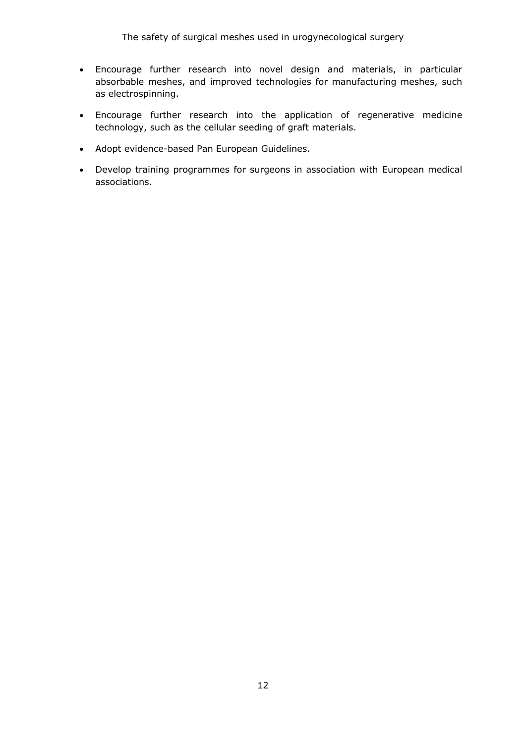The safety of surgical meshes used in urogynecological surgery

- Encourage further research into novel design and materials, in particular absorbable meshes, and improved technologies for manufacturing meshes, such as electrospinning.
- Encourage further research into the application of regenerative medicine technology, such as the cellular seeding of graft materials.
- Adopt evidence-based Pan European Guidelines.
- Develop training programmes for surgeons in association with European medical associations.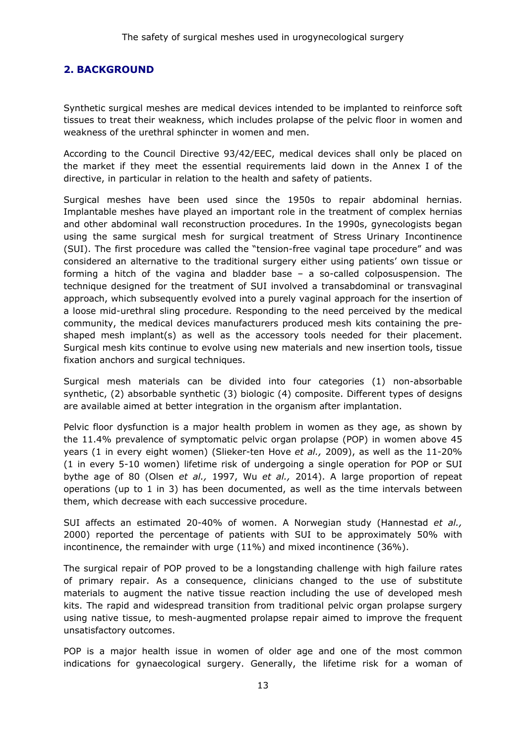### <span id="page-12-0"></span>**2. BACKGROUND**

Synthetic surgical meshes are medical devices intended to be implanted to reinforce soft tissues to treat their weakness, which includes prolapse of the pelvic floor in women and weakness of the urethral sphincter in women and men.

According to the Council Directive 93/42/EEC, medical devices shall only be placed on the market if they meet the essential requirements laid down in the Annex I of the directive, in particular in relation to the health and safety of patients.

Surgical meshes have been used since the 1950s to repair abdominal hernias. Implantable meshes have played an important role in the treatment of complex hernias and other abdominal wall reconstruction procedures. In the 1990s, gynecologists began using the same surgical mesh for surgical treatment of Stress Urinary Incontinence (SUI). The first procedure was called the "tension-free vaginal tape procedure" and was considered an alternative to the traditional surgery either using patients' own tissue or forming a hitch of the vagina and bladder base – a so-called colposuspension. The technique designed for the treatment of SUI involved a transabdominal or transvaginal approach, which subsequently evolved into a purely vaginal approach for the insertion of a loose mid-urethral sling procedure. Responding to the need perceived by the medical community, the medical devices manufacturers produced mesh kits containing the preshaped mesh implant(s) as well as the accessory tools needed for their placement. Surgical mesh kits continue to evolve using new materials and new insertion tools, tissue fixation anchors and surgical techniques.

Surgical mesh materials can be divided into four categories (1) non-absorbable synthetic, (2) absorbable synthetic (3) biologic (4) composite. Different types of designs are available aimed at better integration in the organism after implantation.

Pelvic floor dysfunction is a major health problem in women as they age, as shown by the 11.4% prevalence of symptomatic pelvic organ prolapse (POP) in women above 45 years (1 in every eight women) (Slieker-ten Hove *et al.,* 2009), as well as the 11-20% (1 in every 5-10 women) lifetime risk of undergoing a single operation for POP or SUI bythe age of 80 (Olsen *et al.,* 1997, Wu *et al.,* 2014). A large proportion of repeat operations (up to 1 in 3) has been documented, as well as the time intervals between them, which decrease with each successive procedure.

SUI affects an estimated 20-40% of women. A Norwegian study (Hannestad *et al.,*  2000) reported the percentage of patients with SUI to be approximately 50% with incontinence, the remainder with urge (11%) and mixed incontinence (36%).

The surgical repair of POP proved to be a longstanding challenge with high failure rates of primary repair. As a consequence, clinicians changed to the use of substitute materials to augment the native tissue reaction including the use of developed mesh kits. The rapid and widespread transition from traditional pelvic organ prolapse surgery using native tissue, to mesh-augmented prolapse repair aimed to improve the frequent unsatisfactory outcomes.

POP is a major health issue in women of older age and one of the most common indications for gynaecological surgery. Generally, the lifetime risk for a woman of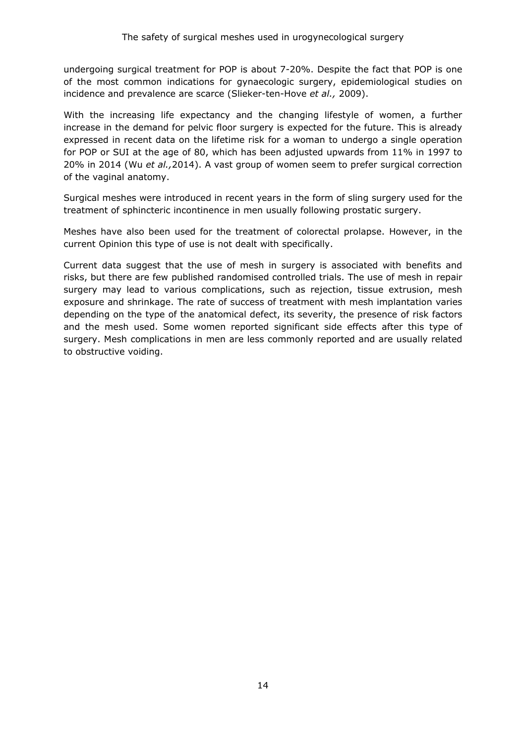undergoing surgical treatment for POP is about 7-20%. Despite the fact that POP is one of the most common indications for gynaecologic surgery, epidemiological studies on incidence and prevalence are scarce (Slieker-ten-Hove *et al.,* 2009).

With the increasing life expectancy and the changing lifestyle of women, a further increase in the demand for pelvic floor surgery is expected for the future. This is already expressed in recent data on the lifetime risk for a woman to undergo a single operation for POP or SUI at the age of 80, which has been adjusted upwards from 11% in 1997 to 20% in 2014 (Wu *et al.,*2014). A vast group of women seem to prefer surgical correction of the vaginal anatomy.

Surgical meshes were introduced in recent years in the form of sling surgery used for the treatment of sphincteric incontinence in men usually following prostatic surgery.

Meshes have also been used for the treatment of colorectal prolapse. However, in the current Opinion this type of use is not dealt with specifically.

Current data suggest that the use of mesh in surgery is associated with benefits and risks, but there are few published randomised controlled trials. The use of mesh in repair surgery may lead to various complications, such as rejection, tissue extrusion, mesh exposure and shrinkage. The rate of success of treatment with mesh implantation varies depending on the type of the anatomical defect, its severity, the presence of risk factors and the mesh used. Some women reported significant side effects after this type of surgery. Mesh complications in men are less commonly reported and are usually related to obstructive voiding.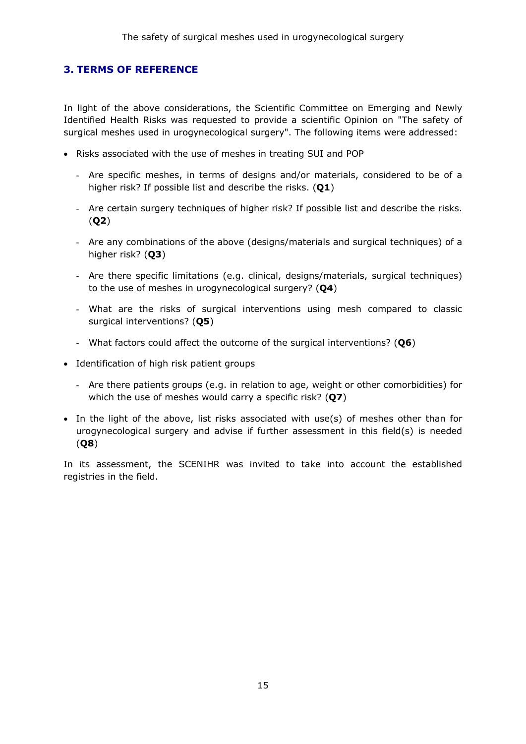### <span id="page-14-0"></span>**3. TERMS OF REFERENCE**

In light of the above considerations, the Scientific Committee on Emerging and Newly Identified Health Risks was requested to provide a scientific Opinion on "The safety of surgical meshes used in urogynecological surgery". The following items were addressed:

- Risks associated with the use of meshes in treating SUI and POP
	- Are specific meshes, in terms of designs and/or materials, considered to be of a higher risk? If possible list and describe the risks. (**Q1**)
	- Are certain surgery techniques of higher risk? If possible list and describe the risks. (**Q2**)
	- Are any combinations of the above (designs/materials and surgical techniques) of a higher risk? (**Q3**)
	- Are there specific limitations (e.g. clinical, designs/materials, surgical techniques) to the use of meshes in urogynecological surgery? (**Q4**)
	- What are the risks of surgical interventions using mesh compared to classic surgical interventions? (**Q5**)
	- What factors could affect the outcome of the surgical interventions? (**Q6**)
- Identification of high risk patient groups
	- Are there patients groups (e.g. in relation to age, weight or other comorbidities) for which the use of meshes would carry a specific risk? (**Q7**)
- In the light of the above, list risks associated with use(s) of meshes other than for urogynecological surgery and advise if further assessment in this field(s) is needed (**Q8**)

In its assessment, the SCENIHR was invited to take into account the established registries in the field.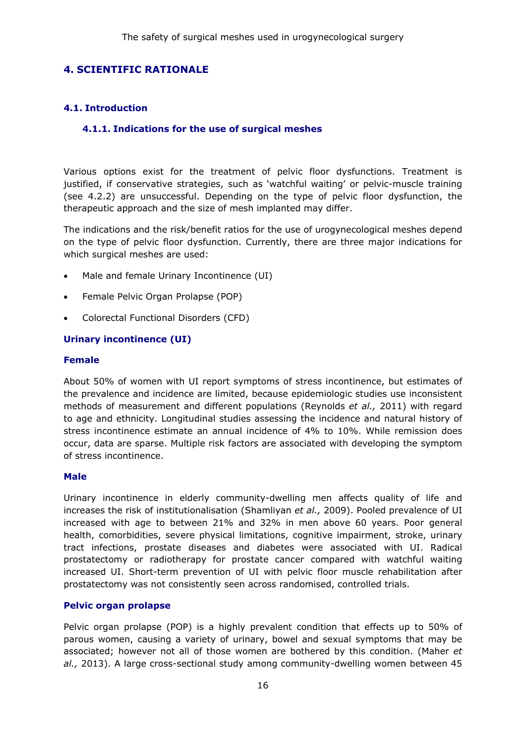### <span id="page-15-0"></span>**4. SCIENTIFIC RATIONALE**

### <span id="page-15-2"></span><span id="page-15-1"></span>**4.1. Introduction**

### **4.1.1. Indications for the use of surgical meshes**

Various options exist for the treatment of pelvic floor dysfunctions. Treatment is justified, if conservative strategies, such as 'watchful waiting' or pelvic-muscle training (see 4.2.2) are unsuccessful. Depending on the type of pelvic floor dysfunction, the therapeutic approach and the size of mesh implanted may differ.

The indications and the risk/benefit ratios for the use of urogynecological meshes depend on the type of pelvic floor dysfunction. Currently, there are three major indications for which surgical meshes are used:

- Male and female Urinary Incontinence (UI)
- Female Pelvic Organ Prolapse (POP)
- Colorectal Functional Disorders (CFD)

#### **Urinary incontinence (UI)**

#### **Female**

About 50% of women with UI report symptoms of stress incontinence, but estimates of the prevalence and incidence are limited, because epidemiologic studies use inconsistent methods of measurement and different populations (Reynolds *et al.,* 2011) with regard to age and ethnicity. Longitudinal studies assessing the incidence and natural history of stress incontinence estimate an annual incidence of 4% to 10%. While remission does occur, data are sparse. Multiple risk factors are associated with developing the symptom of stress incontinence.

#### **Male**

Urinary incontinence in elderly community-dwelling men affects quality of life and increases the risk of institutionalisation (Shamliyan *et al.,* 2009). Pooled prevalence of UI increased with age to between 21% and 32% in men above 60 years. Poor general health, comorbidities, severe physical limitations, cognitive impairment, stroke, urinary tract infections, prostate diseases and diabetes were associated with UI. Radical prostatectomy or radiotherapy for prostate cancer compared with watchful waiting increased UI. Short-term prevention of UI with pelvic floor muscle rehabilitation after prostatectomy was not consistently seen across randomised, controlled trials.

#### **Pelvic organ prolapse**

Pelvic organ prolapse (POP) is a highly prevalent condition that effects up to 50% of parous women, causing a variety of urinary, bowel and sexual symptoms that may be associated; however not all of those women are bothered by this condition. (Maher *et al.,* 2013). A large cross-sectional study among community-dwelling women between 45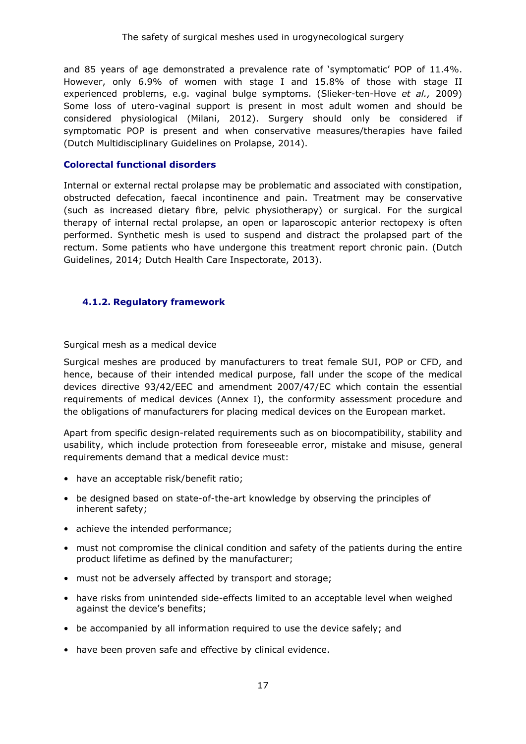and 85 years of age demonstrated a prevalence rate of 'symptomatic' POP of 11.4%. However, only 6.9% of women with stage I and 15.8% of those with stage II experienced problems, e.g. vaginal bulge symptoms. (Slieker-ten-Hove *et al.,* 2009) Some loss of utero-vaginal support is present in most adult women and should be considered physiological (Milani, 2012). Surgery should only be considered if symptomatic POP is present and when conservative measures/therapies have failed (Dutch Multidisciplinary Guidelines on Prolapse, 2014).

#### **Colorectal functional disorders**

Internal or external rectal prolapse may be problematic and associated with constipation, obstructed defecation, faecal incontinence and pain. Treatment may be conservative (such as increased dietary fibre, pelvic physiotherapy) or surgical. For the surgical therapy of internal rectal prolapse, an open or laparoscopic anterior rectopexy is often performed. Synthetic mesh is used to suspend and distract the prolapsed part of the rectum. Some patients who have undergone this treatment report chronic pain. (Dutch Guidelines, 2014; Dutch Health Care Inspectorate, 2013).

### <span id="page-16-0"></span>**4.1.2. Regulatory framework**

Surgical mesh as a medical device

Surgical meshes are produced by manufacturers to treat female SUI, POP or CFD, and hence, because of their intended medical purpose, fall under the scope of the medical devices directive 93/42/EEC and amendment 2007/47/EC which contain the essential requirements of medical devices (Annex I), the conformity assessment procedure and the obligations of manufacturers for placing medical devices on the European market.

Apart from specific design-related requirements such as on biocompatibility, stability and usability, which include protection from foreseeable error, mistake and misuse, general requirements demand that a medical device must:

- have an acceptable risk/benefit ratio;
- be designed based on state-of-the-art knowledge by observing the principles of inherent safety;
- achieve the intended performance;
- must not compromise the clinical condition and safety of the patients during the entire product lifetime as defined by the manufacturer;
- must not be adversely affected by transport and storage;
- have risks from unintended side-effects limited to an acceptable level when weighed against the device's benefits;
- be accompanied by all information required to use the device safely; and
- have been proven safe and effective by clinical evidence.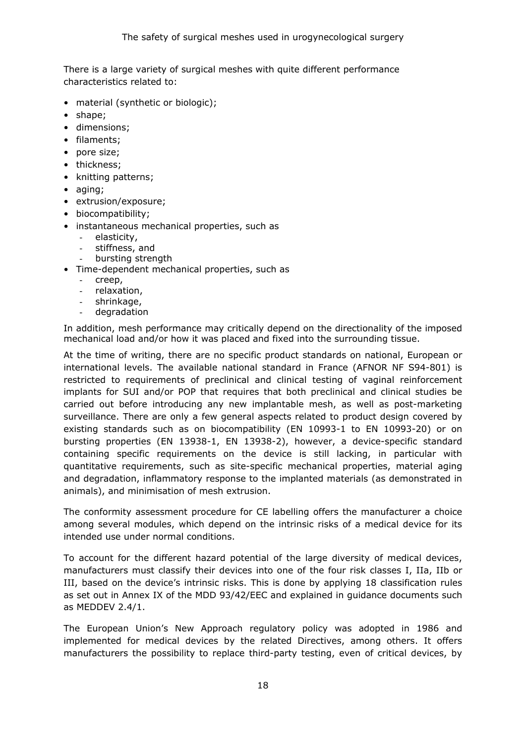There is a large variety of surgical meshes with quite different performance characteristics related to:

- material (synthetic or biologic);
- shape;
- dimensions;
- filaments;
- pore size;
- thickness;
- knitting patterns;
- aging;
- extrusion/exposure;
- biocompatibility;
- instantaneous mechanical properties, such as
	- elasticity,
	- stiffness, and
	- bursting strength
- Time-dependent mechanical properties, such as
	- creep,
	- relaxation,
	- shrinkage,
	- degradation

In addition, mesh performance may critically depend on the directionality of the imposed mechanical load and/or how it was placed and fixed into the surrounding tissue.

At the time of writing, there are no specific product standards on national, European or international levels. The available national standard in France (AFNOR NF S94-801) is restricted to requirements of preclinical and clinical testing of vaginal reinforcement implants for SUI and/or POP that requires that both preclinical and clinical studies be carried out before introducing any new implantable mesh, as well as post-marketing surveillance. There are only a few general aspects related to product design covered by existing standards such as on biocompatibility (EN 10993-1 to EN 10993-20) or on bursting properties (EN 13938-1, EN 13938-2), however, a device-specific standard containing specific requirements on the device is still lacking, in particular with quantitative requirements, such as site-specific mechanical properties, material aging and degradation, inflammatory response to the implanted materials (as demonstrated in animals), and minimisation of mesh extrusion.

The conformity assessment procedure for CE labelling offers the manufacturer a choice among several modules, which depend on the intrinsic risks of a medical device for its intended use under normal conditions.

To account for the different hazard potential of the large diversity of medical devices, manufacturers must classify their devices into one of the four risk classes I, IIa, IIb or III, based on the device's intrinsic risks. This is done by applying 18 classification rules as set out in Annex IX of the MDD 93/42/EEC and explained in guidance documents such as MEDDEV 2.4/1.

The European Union's New Approach regulatory policy was adopted in 1986 and implemented for medical devices by the related Directives, among others. It offers manufacturers the possibility to replace third-party testing, even of critical devices, by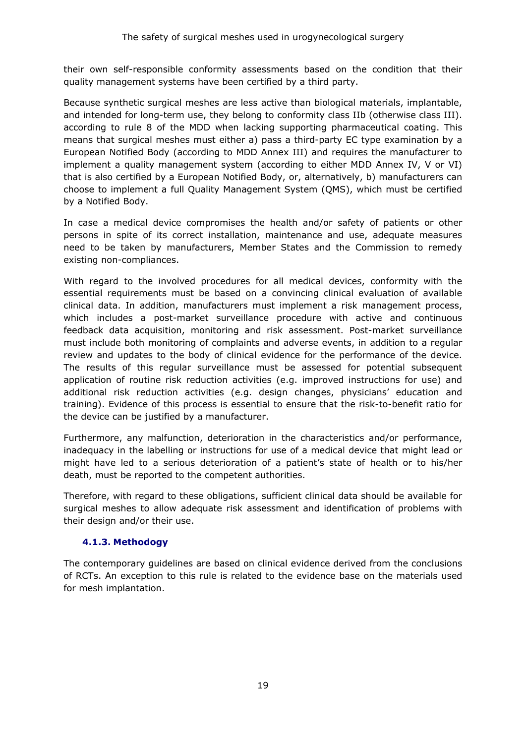their own self-responsible conformity assessments based on the condition that their quality management systems have been certified by a third party.

Because synthetic surgical meshes are less active than biological materials, implantable, and intended for long-term use, they belong to conformity class IIb (otherwise class III). according to rule 8 of the MDD when lacking supporting pharmaceutical coating. This means that surgical meshes must either a) pass a third-party EC type examination by a European Notified Body (according to MDD Annex III) and requires the manufacturer to implement a quality management system (according to either MDD Annex IV, V or VI) that is also certified by a European Notified Body, or, alternatively, b) manufacturers can choose to implement a full Quality Management System (QMS), which must be certified by a Notified Body.

In case a medical device compromises the health and/or safety of patients or other persons in spite of its correct installation, maintenance and use, adequate measures need to be taken by manufacturers, Member States and the Commission to remedy existing non-compliances.

With regard to the involved procedures for all medical devices, conformity with the essential requirements must be based on a convincing clinical evaluation of available clinical data. In addition, manufacturers must implement a risk management process, which includes a post-market surveillance procedure with active and continuous feedback data acquisition, monitoring and risk assessment. Post-market surveillance must include both monitoring of complaints and adverse events, in addition to a regular review and updates to the body of clinical evidence for the performance of the device. The results of this regular surveillance must be assessed for potential subsequent application of routine risk reduction activities (e.g. improved instructions for use) and additional risk reduction activities (e.g. design changes, physicians' education and training). Evidence of this process is essential to ensure that the risk-to-benefit ratio for the device can be justified by a manufacturer.

Furthermore, any malfunction, deterioration in the characteristics and/or performance, inadequacy in the labelling or instructions for use of a medical device that might lead or might have led to a serious deterioration of a patient's state of health or to his/her death, must be reported to the competent authorities.

Therefore, with regard to these obligations, sufficient clinical data should be available for surgical meshes to allow adequate risk assessment and identification of problems with their design and/or their use.

### **4.1.3. Methodogy**

<span id="page-18-0"></span>The contemporary guidelines are based on clinical evidence derived from the conclusions of RCTs. An exception to this rule is related to the evidence base on the materials used for mesh implantation.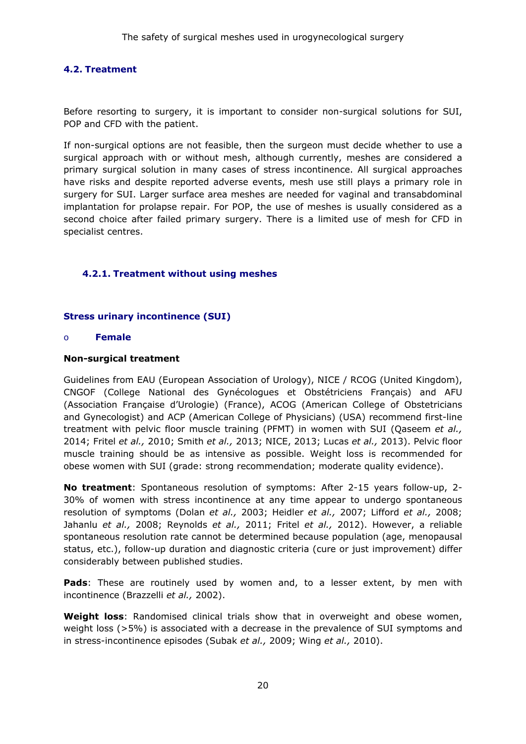### <span id="page-19-0"></span>**4.2. Treatment**

Before resorting to surgery, it is important to consider non-surgical solutions for SUI, POP and CFD with the patient.

If non-surgical options are not feasible, then the surgeon must decide whether to use a surgical approach with or without mesh, although currently, meshes are considered a primary surgical solution in many cases of stress incontinence. All surgical approaches have risks and despite reported adverse events, mesh use still plays a primary role in surgery for SUI. Larger surface area meshes are needed for vaginal and transabdominal implantation for prolapse repair. For POP, the use of meshes is usually considered as a second choice after failed primary surgery. There is a limited use of mesh for CFD in specialist centres.

### <span id="page-19-1"></span>**4.2.1. Treatment without using meshes**

#### **Stress urinary incontinence (SUI)**

#### o **Female**

#### **Non-surgical treatment**

Guidelines from EAU (European Association of Urology), NICE / RCOG (United Kingdom), CNGOF (College National des Gynécologues et Obstétriciens Français) and AFU (Association Française d'Urologie) (France), ACOG (American College of Obstetricians and Gynecologist) and ACP (American College of Physicians) (USA) recommend first-line treatment with pelvic floor muscle training (PFMT) in women with SUI (Qaseem *et al.,* 2014; Fritel *et al.,* 2010; Smith *et al.,* 2013; NICE, 2013; Lucas *et al.,* 2013). Pelvic floor muscle training should be as intensive as possible. Weight loss is recommended for obese women with SUI (grade: strong recommendation; moderate quality evidence).

**No treatment**: Spontaneous resolution of symptoms: After 2-15 years follow-up, 2- 30% of women with stress incontinence at any time appear to undergo spontaneous resolution of symptoms (Dolan *et al.,* 2003; Heidler *et al.,* 2007; Lifford *et al.,* 2008; Jahanlu *et al.,* 2008; Reynolds *et al.,* 2011; Fritel *et al.,* 2012). However, a reliable spontaneous resolution rate cannot be determined because population (age, menopausal status, etc.), follow-up duration and diagnostic criteria (cure or just improvement) differ considerably between published studies.

**Pads**: These are routinely used by women and, to a lesser extent, by men with incontinence (Brazzelli *et al.,* 2002).

**Weight loss**: Randomised clinical trials show that in overweight and obese women, weight loss (>5%) is associated with a decrease in the prevalence of SUI symptoms and in stress-incontinence episodes (Subak *et al.,* 2009; Wing *et al.,* 2010).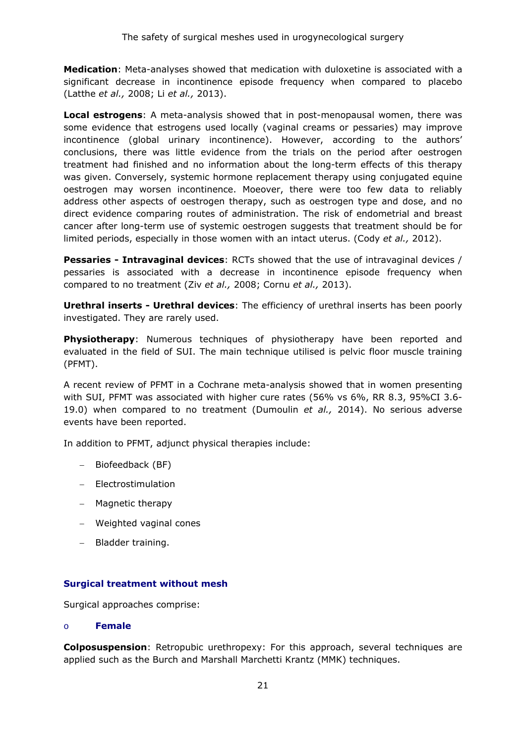**Medication**: Meta-analyses showed that medication with duloxetine is associated with a significant decrease in incontinence episode frequency when compared to placebo (Latthe *et al.,* 2008; Li *et al.,* 2013).

**Local estrogens**: A meta-analysis showed that in post-menopausal women, there was some evidence that estrogens used locally (vaginal creams or pessaries) may improve incontinence (global urinary incontinence). However, according to the authors' conclusions, there was little evidence from the trials on the period after oestrogen treatment had finished and no information about the long-term effects of this therapy was given. Conversely, systemic hormone replacement therapy using conjugated equine oestrogen may worsen incontinence. Moeover, there were too few data to reliably address other aspects of oestrogen therapy, such as oestrogen type and dose, and no direct evidence comparing routes of administration. The risk of endometrial and breast cancer after long-term use of systemic oestrogen suggests that treatment should be for limited periods, especially in those women with an intact uterus. (Cody *et al.,* 2012).

**Pessaries - Intravaginal devices**: RCTs showed that the use of intravaginal devices / pessaries is associated with a decrease in incontinence episode frequency when compared to no treatment (Ziv *et al.,* 2008; Cornu *et al.,* 2013).

**Urethral inserts - Urethral devices**: The efficiency of urethral inserts has been poorly investigated. They are rarely used.

**Physiotherapy**: Numerous techniques of physiotherapy have been reported and evaluated in the field of SUI. The main technique utilised is pelvic floor muscle training (PFMT).

A recent review of PFMT in a Cochrane meta-analysis showed that in women presenting with SUI, PFMT was associated with higher cure rates (56% vs 6%, RR 8.3, 95%CI 3.6- 19.0) when compared to no treatment (Dumoulin *et al.,* 2014). No serious adverse events have been reported.

In addition to PFMT, adjunct physical therapies include:

- − Biofeedback (BF)
- − Electrostimulation
- − Magnetic therapy
- − Weighted vaginal cones
- − Bladder training.

### **Surgical treatment without mesh**

Surgical approaches comprise:

#### o **Female**

**Colposuspension**: Retropubic urethropexy: For this approach, several techniques are applied such as the Burch and Marshall Marchetti Krantz (MMK) techniques.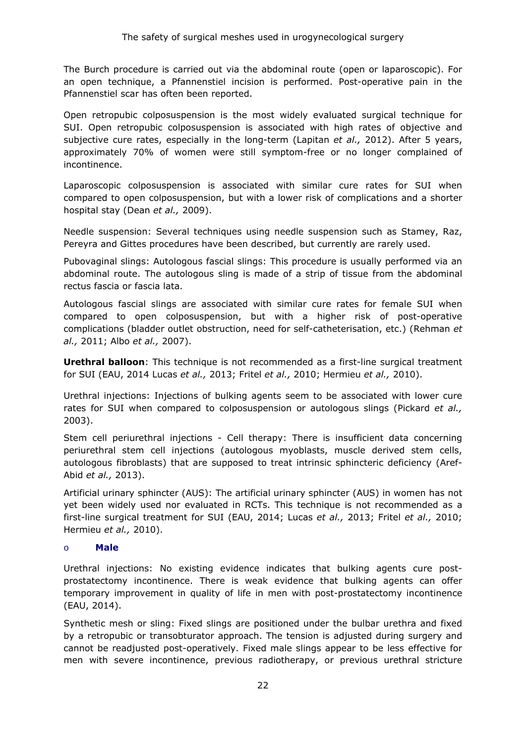The Burch procedure is carried out via the abdominal route (open or laparoscopic). For an open technique, a Pfannenstiel incision is performed. Post-operative pain in the Pfannenstiel scar has often been reported.

Open retropubic colposuspension is the most widely evaluated surgical technique for SUI. Open retropubic colposuspension is associated with high rates of objective and subjective cure rates, especially in the long-term (Lapitan *et al.,* 2012). After 5 years, approximately 70% of women were still symptom-free or no longer complained of incontinence.

Laparoscopic colposuspension is associated with similar cure rates for SUI when compared to open colposuspension, but with a lower risk of complications and a shorter hospital stay (Dean *et al.,* 2009).

Needle suspension: Several techniques using needle suspension such as Stamey, Raz, Pereyra and Gittes procedures have been described, but currently are rarely used.

Pubovaginal slings: Autologous fascial slings: This procedure is usually performed via an abdominal route. The autologous sling is made of a strip of tissue from the abdominal rectus fascia or fascia lata.

Autologous fascial slings are associated with similar cure rates for female SUI when compared to open colposuspension, but with a higher risk of post-operative complications (bladder outlet obstruction, need for self-catheterisation, etc.) (Rehman *et al.,* 2011; Albo *et al.,* 2007).

**Urethral balloon**: This technique is not recommended as a first-line surgical treatment for SUI (EAU, 2014 Lucas *et al.,* 2013; Fritel *et al.,* 2010; Hermieu *et al.,* 2010).

Urethral injections: Injections of bulking agents seem to be associated with lower cure rates for SUI when compared to colposuspension or autologous slings (Pickard *et al.,* 2003).

Stem cell periurethral injections - Cell therapy: There is insufficient data concerning periurethral stem cell injections (autologous myoblasts, muscle derived stem cells, autologous fibroblasts) that are supposed to treat intrinsic sphincteric deficiency (Aref-Abid *et al.,* 2013).

Artificial urinary sphincter (AUS): The artificial urinary sphincter (AUS) in women has not yet been widely used nor evaluated in RCTs. This technique is not recommended as a first-line surgical treatment for SUI (EAU, 2014; Lucas *et al.,* 2013; Fritel *et al.,* 2010; Hermieu *et al.,* 2010).

### o **Male**

Urethral injections: No existing evidence indicates that bulking agents cure postprostatectomy incontinence. There is weak evidence that bulking agents can offer temporary improvement in quality of life in men with post-prostatectomy incontinence (EAU, 2014).

Synthetic mesh or sling: Fixed slings are positioned under the bulbar urethra and fixed by a retropubic or transobturator approach. The tension is adjusted during surgery and cannot be readjusted post-operatively. Fixed male slings appear to be less effective for men with severe incontinence, previous radiotherapy, or previous urethral stricture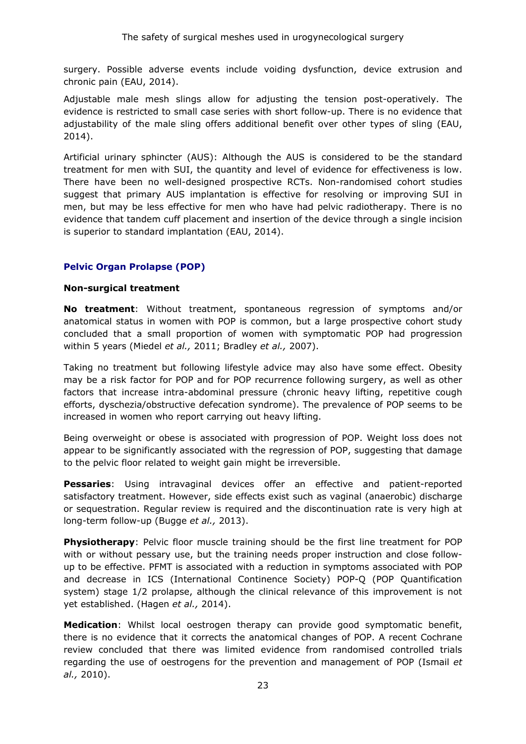surgery. Possible adverse events include voiding dysfunction, device extrusion and chronic pain (EAU, 2014).

Adjustable male mesh slings allow for adjusting the tension post-operatively. The evidence is restricted to small case series with short follow-up. There is no evidence that adjustability of the male sling offers additional benefit over other types of sling (EAU, 2014).

Artificial urinary sphincter (AUS): Although the AUS is considered to be the standard treatment for men with SUI, the quantity and level of evidence for effectiveness is low. There have been no well-designed prospective RCTs. Non-randomised cohort studies suggest that primary AUS implantation is effective for resolving or improving SUI in men, but may be less effective for men who have had pelvic radiotherapy. There is no evidence that tandem cuff placement and insertion of the device through a single incision is superior to standard implantation (EAU, 2014).

### **Pelvic Organ Prolapse (POP)**

#### **Non-surgical treatment**

**No treatment**: Without treatment, spontaneous regression of symptoms and/or anatomical status in women with POP is common, but a large prospective cohort study concluded that a small proportion of women with symptomatic POP had progression within 5 years (Miedel *et al.,* 2011; Bradley *et al.,* 2007).

Taking no treatment but following lifestyle advice may also have some effect. Obesity may be a risk factor for POP and for POP recurrence following surgery, as well as other factors that increase intra-abdominal pressure (chronic heavy lifting, repetitive cough efforts, dyschezia/obstructive defecation syndrome). The prevalence of POP seems to be increased in women who report carrying out heavy lifting.

Being overweight or obese is associated with progression of POP. Weight loss does not appear to be significantly associated with the regression of POP, suggesting that damage to the pelvic floor related to weight gain might be irreversible.

**Pessaries**: Using intravaginal devices offer an effective and patient-reported satisfactory treatment. However, side effects exist such as vaginal (anaerobic) discharge or sequestration. Regular review is required and the discontinuation rate is very high at long-term follow-up (Bugge *et al.,* 2013).

**Physiotherapy**: Pelvic floor muscle training should be the first line treatment for POP with or without pessary use, but the training needs proper instruction and close followup to be effective. PFMT is associated with a reduction in symptoms associated with POP and decrease in ICS (International Continence Society) POP-Q (POP Quantification system) stage 1/2 prolapse, although the clinical relevance of this improvement is not yet established. (Hagen *et al.,* 2014).

**Medication**: Whilst local oestrogen therapy can provide good symptomatic benefit, there is no evidence that it corrects the anatomical changes of POP. A recent Cochrane review concluded that there was limited evidence from randomised controlled trials regarding the use of oestrogens for the prevention and management of POP (Ismail *et al.,* 2010).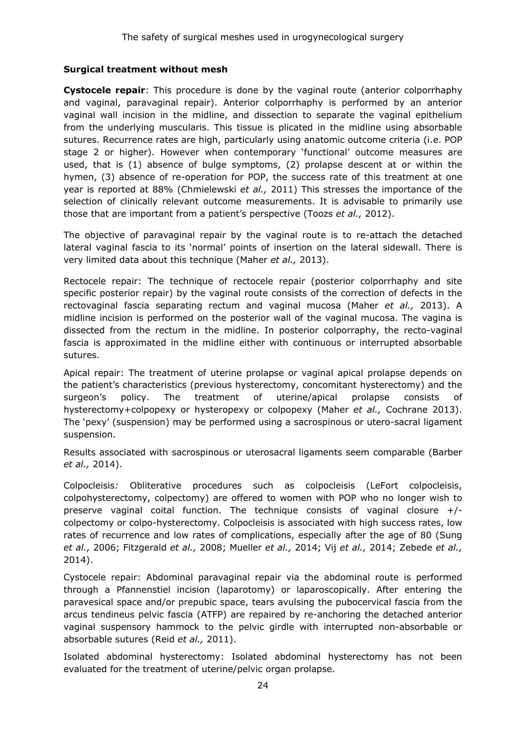### **Surgical treatment without mesh**

**Cystocele repair**: This procedure is done by the vaginal route (anterior colporrhaphy and vaginal, paravaginal repair). Anterior colporrhaphy is performed by an anterior vaginal wall incision in the midline, and dissection to separate the vaginal epithelium from the underlying muscularis. This tissue is plicated in the midline using absorbable sutures. Recurrence rates are high, particularly using anatomic outcome criteria (i.e. POP stage 2 or higher). However when contemporary 'functional' outcome measures are used, that is (1) absence of bulge symptoms, (2) prolapse descent at or within the hymen, (3) absence of re-operation for POP, the success rate of this treatment at one year is reported at 88% (Chmielewski *et al.,* 2011) This stresses the importance of the selection of clinically relevant outcome measurements. It is advisable to primarily use those that are important from a patient's perspective (Toozs *et al.,* 2012).

The objective of paravaginal repair by the vaginal route is to re-attach the detached lateral vaginal fascia to its 'normal' points of insertion on the lateral sidewall. There is very limited data about this technique (Maher *et al.,* 2013).

Rectocele repair: The technique of rectocele repair (posterior colporrhaphy and site specific posterior repair) by the vaginal route consists of the correction of defects in the rectovaginal fascia separating rectum and vaginal mucosa (Maher *et al.,* 2013). A midline incision is performed on the posterior wall of the vaginal mucosa. The vagina is dissected from the rectum in the midline. In posterior colporraphy, the recto-vaginal fascia is approximated in the midline either with continuous or interrupted absorbable sutures.

Apical repair: The treatment of uterine prolapse or vaginal apical prolapse depends on the patient's characteristics (previous hysterectomy, concomitant hysterectomy) and the surgeon's policy. The treatment of uterine/apical prolapse consists of hysterectomy+colpopexy or hysteropexy or colpopexy (Maher *et al.,* Cochrane 2013). The 'pexy' (suspension) may be performed using a sacrospinous or utero-sacral ligament suspension.

Results associated with sacrospinous or uterosacral ligaments seem comparable (Barber *et al.,* 2014).

Colpocleisis*:* Obliterative procedures such as colpocleisis (LeFort colpocleisis, colpohysterectomy, colpectomy) are offered to women with POP who no longer wish to preserve vaginal coital function. The technique consists of vaginal closure +/ colpectomy or colpo-hysterectomy. Colpocleisis is associated with high success rates, low rates of recurrence and low rates of complications, especially after the age of 80 (Sung *et al.,* 2006; Fitzgerald *et al.,* 2008; Mueller *et al.,* 2014; Vij *et al.,* 2014; Zebede *et al.,* 2014).

Cystocele repair: Abdominal paravaginal repair via the abdominal route is performed through a Pfannenstiel incision (laparotomy) or laparoscopically. After entering the paravesical space and/or prepubic space, tears avulsing the pubocervical fascia from the arcus tendineus pelvic fascia (ATFP) are repaired by re-anchoring the detached anterior vaginal suspensory hammock to the pelvic girdle with interrupted non-absorbable or absorbable sutures (Reid *et al.,* 2011).

Isolated abdominal hysterectomy: Isolated abdominal hysterectomy has not been evaluated for the treatment of uterine/pelvic organ prolapse.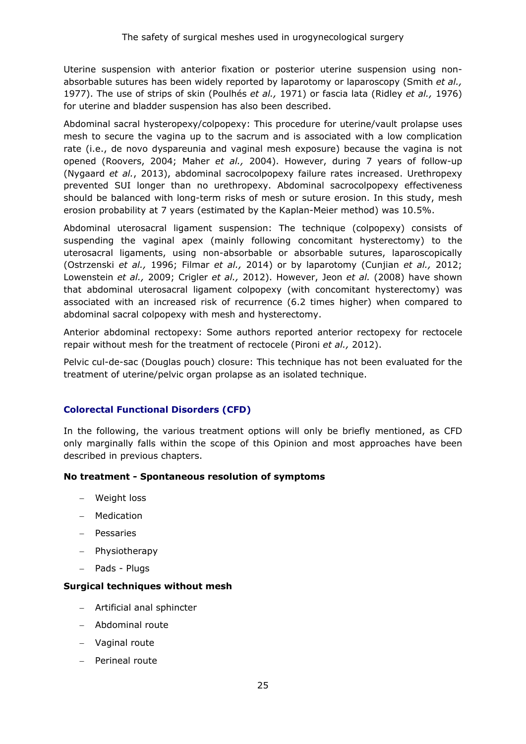Uterine suspension with anterior fixation or posterior uterine suspension using nonabsorbable sutures has been widely reported by laparotomy or laparoscopy (Smith *et al.,* 1977). The use of strips of skin (Poulhés *et al.,* 1971) or fascia lata (Ridley *et al.,* 1976) for uterine and bladder suspension has also been described.

Abdominal sacral hysteropexy/colpopexy: This procedure for uterine/vault prolapse uses mesh to secure the vagina up to the sacrum and is associated with a low complication rate (i.e., de novo dyspareunia and vaginal mesh exposure) because the vagina is not opened (Roovers, 2004; Maher *et al.,* 2004). However, during 7 years of follow-up (Nygaard *et al.*, 2013), abdominal sacrocolpopexy failure rates increased. Urethropexy prevented SUI longer than no urethropexy. Abdominal sacrocolpopexy effectiveness should be balanced with long-term risks of mesh or suture erosion. In this study, mesh erosion probability at 7 years (estimated by the Kaplan-Meier method) was 10.5%.

Abdominal uterosacral ligament suspension: The technique (colpopexy) consists of suspending the vaginal apex (mainly following concomitant hysterectomy) to the uterosacral ligaments, using non-absorbable or absorbable sutures, laparoscopically (Ostrzenski *et al.,* 1996; Filmar *et al.,* 2014) or by laparotomy (Cunjian *et al.,* 2012; Lowenstein *et al.,* 2009; Crigler *et al.,* 2012). However, Jeon *et al.* (2008) have shown that abdominal uterosacral ligament colpopexy (with concomitant hysterectomy) was associated with an increased risk of recurrence (6.2 times higher) when compared to abdominal sacral colpopexy with mesh and hysterectomy.

Anterior abdominal rectopexy: Some authors reported anterior rectopexy for rectocele repair without mesh for the treatment of rectocele (Pironi *et al.,* 2012).

Pelvic cul-de-sac (Douglas pouch) closure: This technique has not been evaluated for the treatment of uterine/pelvic organ prolapse as an isolated technique.

### **Colorectal Functional Disorders (CFD)**

In the following, the various treatment options will only be briefly mentioned, as CFD only marginally falls within the scope of this Opinion and most approaches have been described in previous chapters.

### **No treatment - Spontaneous resolution of symptoms**

- − Weight loss
- − Medication
- − Pessaries
- − Physiotherapy
- − Pads Plugs

### **Surgical techniques without mesh**

- − Artificial anal sphincter
- − Abdominal route
- − Vaginal route
- − Perineal route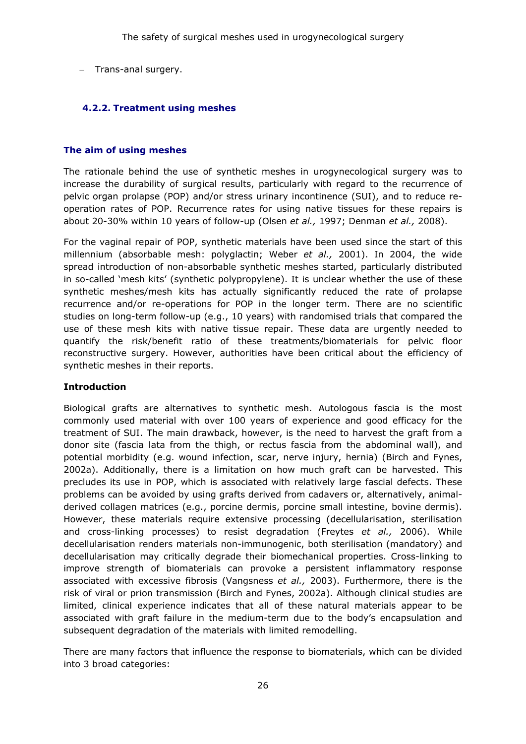− Trans-anal surgery.

### <span id="page-25-0"></span>**4.2.2. Treatment using meshes**

### **The aim of using meshes**

The rationale behind the use of synthetic meshes in urogynecological surgery was to increase the durability of surgical results, particularly with regard to the recurrence of pelvic organ prolapse (POP) and/or stress urinary incontinence (SUI), and to reduce reoperation rates of POP. Recurrence rates for using native tissues for these repairs is about 20-30% within 10 years of follow-up (Olsen *et al.,* 1997; Denman *et al.,* 2008).

For the vaginal repair of POP, synthetic materials have been used since the start of this millennium (absorbable mesh: polyglactin; Weber *et al.,* 2001). In 2004, the wide spread introduction of non-absorbable synthetic meshes started, particularly distributed in so-called 'mesh kits' (synthetic polypropylene). It is unclear whether the use of these synthetic meshes/mesh kits has actually significantly reduced the rate of prolapse recurrence and/or re-operations for POP in the longer term. There are no scientific studies on long-term follow-up (e.g., 10 years) with randomised trials that compared the use of these mesh kits with native tissue repair. These data are urgently needed to quantify the risk/benefit ratio of these treatments/biomaterials for pelvic floor reconstructive surgery. However, authorities have been critical about the efficiency of synthetic meshes in their reports.

### **Introduction**

Biological grafts are alternatives to synthetic mesh. Autologous fascia is the most commonly used material with over 100 years of experience and good efficacy for the treatment of SUI. The main drawback, however, is the need to harvest the graft from a donor site (fascia lata from the thigh, or rectus fascia from the abdominal wall), and potential morbidity (e.g. wound infection, scar, nerve injury, hernia) (Birch and Fynes, 2002a). Additionally, there is a limitation on how much graft can be harvested. This precludes its use in POP, which is associated with relatively large fascial defects. These problems can be avoided by using grafts derived from cadavers or, alternatively, animalderived collagen matrices (e.g., porcine dermis, porcine small intestine, bovine dermis). However, these materials require extensive processing (decellularisation, sterilisation and cross-linking processes) to resist degradation (Freytes *et al.,* 2006). While decellularisation renders materials non-immunogenic, both sterilisation (mandatory) and decellularisation may critically degrade their biomechanical properties. Cross-linking to improve strength of biomaterials can provoke a persistent inflammatory response associated with excessive fibrosis (Vangsness *et al.,* 2003). Furthermore, there is the risk of viral or prion transmission (Birch and Fynes, 2002a). Although clinical studies are limited, clinical experience indicates that all of these natural materials appear to be associated with graft failure in the medium-term due to the body's encapsulation and subsequent degradation of the materials with limited remodelling.

There are many factors that influence the response to biomaterials, which can be divided into 3 broad categories: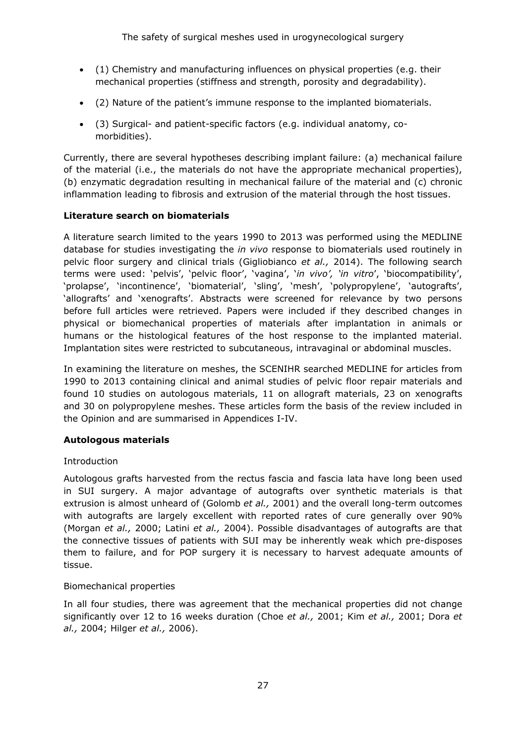- (1) Chemistry and manufacturing influences on physical properties (e.g. their mechanical properties (stiffness and strength, porosity and degradability).
- (2) Nature of the patient's immune response to the implanted biomaterials.
- (3) Surgical- and patient-specific factors (e.g. individual anatomy, comorbidities).

Currently, there are several hypotheses describing implant failure: (a) mechanical failure of the material (i.e., the materials do not have the appropriate mechanical properties), (b) enzymatic degradation resulting in mechanical failure of the material and (c) chronic inflammation leading to fibrosis and extrusion of the material through the host tissues.

### **Literature search on biomaterials**

A literature search limited to the years 1990 to 2013 was performed using the MEDLINE database for studies investigating the *in vivo* response to biomaterials used routinely in pelvic floor surgery and clinical trials (Gigliobianco *et al.,* 2014). The following search terms were used: 'pelvis', 'pelvic floor', 'vagina', '*in vivo', 'in vitro*', 'biocompatibility', 'prolapse', 'incontinence', 'biomaterial', 'sling', 'mesh', 'polypropylene', 'autografts', 'allografts' and 'xenografts'. Abstracts were screened for relevance by two persons before full articles were retrieved. Papers were included if they described changes in physical or biomechanical properties of materials after implantation in animals or humans or the histological features of the host response to the implanted material. Implantation sites were restricted to subcutaneous, intravaginal or abdominal muscles.

In examining the literature on meshes, the SCENIHR searched MEDLINE for articles from 1990 to 2013 containing clinical and animal studies of pelvic floor repair materials and found 10 studies on autologous materials, 11 on allograft materials, 23 on xenografts and 30 on polypropylene meshes. These articles form the basis of the review included in the Opinion and are summarised in Appendices I-IV.

### **Autologous materials**

### Introduction

Autologous grafts harvested from the rectus fascia and fascia lata have long been used in SUI surgery. A major advantage of autografts over synthetic materials is that extrusion is almost unheard of (Golomb *et al.,* 2001) and the overall long-term outcomes with autografts are largely excellent with reported rates of cure generally over 90% (Morgan *et al.,* 2000; Latini *et al.,* 2004). Possible disadvantages of autografts are that the connective tissues of patients with SUI may be inherently weak which pre-disposes them to failure, and for POP surgery it is necessary to harvest adequate amounts of tissue.

### Biomechanical properties

In all four studies, there was agreement that the mechanical properties did not change significantly over 12 to 16 weeks duration (Choe *et al.,* 2001; Kim *et al.,* 2001; Dora *et al.,* 2004; Hilger *et al.,* 2006).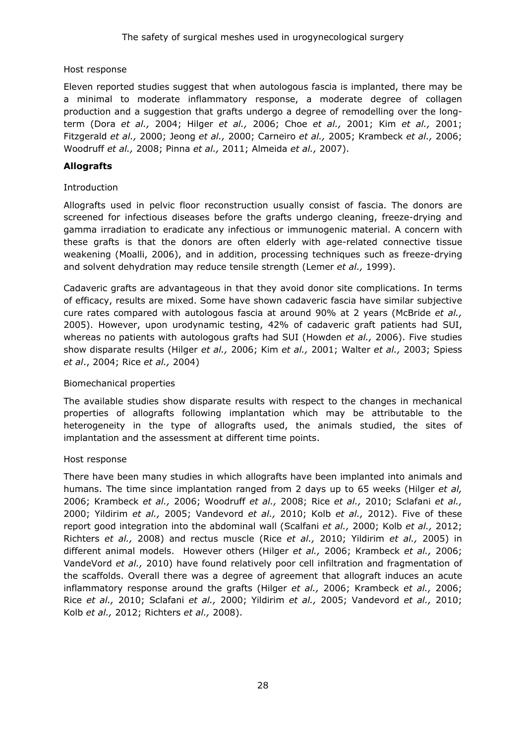Host response

Eleven reported studies suggest that when autologous fascia is implanted, there may be a minimal to moderate inflammatory response, a moderate degree of collagen production and a suggestion that grafts undergo a degree of remodelling over the longterm (Dora *et al.,* 2004; Hilger *et al.,* 2006; Choe *et al.,* 2001; Kim *et al.,* 2001; Fitzgerald *et al.,* 2000; Jeong *et al.,* 2000; Carneiro *et al.,* 2005; Krambeck *et al.,* 2006; Woodruff *et al.,* 2008; Pinna *et al.,* 2011; Almeida *et al.,* 2007).

### **Allografts**

### Introduction

Allografts used in pelvic floor reconstruction usually consist of fascia. The donors are screened for infectious diseases before the grafts undergo cleaning, freeze-drying and gamma irradiation to eradicate any infectious or immunogenic material. A concern with these grafts is that the donors are often elderly with age-related connective tissue weakening (Moalli, 2006), and in addition, processing techniques such as freeze-drying and solvent dehydration may reduce tensile strength (Lemer *et al.,* 1999).

Cadaveric grafts are advantageous in that they avoid donor site complications. In terms of efficacy, results are mixed. Some have shown cadaveric fascia have similar subjective cure rates compared with autologous fascia at around 90% at 2 years (McBride *et al.,* 2005). However, upon urodynamic testing, 42% of cadaveric graft patients had SUI, whereas no patients with autologous grafts had SUI (Howden *et al.,* 2006). Five studies show disparate results (Hilger *et al.,* 2006; Kim *et al.,* 2001; Walter *et al.,* 2003; Spiess *et al*., 2004; Rice *et al.,* 2004)

### Biomechanical properties

The available studies show disparate results with respect to the changes in mechanical properties of allografts following implantation which may be attributable to the heterogeneity in the type of allografts used, the animals studied, the sites of implantation and the assessment at different time points.

### Host response

There have been many studies in which allografts have been implanted into animals and humans. The time since implantation ranged from 2 days up to 65 weeks (Hilger *et al,* 2006; Krambeck *et al.,* 2006; Woodruff *et al.,* 2008; Rice *et al.,* 2010; Sclafani *et al.,* 2000; Yildirim *et al.,* 2005; Vandevord *et al.,* 2010; Kolb *et al.,* 2012). Five of these report good integration into the abdominal wall (Scalfani *et al.,* 2000; Kolb *et al.,* 2012; Richters *et al.,* 2008) and rectus muscle (Rice *et al.,* 2010; Yildirim *et al.,* 2005) in different animal models. However others (Hilger *et al.,* 2006; Krambeck *et al.,* 2006; VandeVord *et al.,* 2010) have found relatively poor cell infiltration and fragmentation of the scaffolds. Overall there was a degree of agreement that allograft induces an acute inflammatory response around the grafts (Hilger *et al.,* 2006; Krambeck *et al.,* 2006; Rice *et al.,* 2010; Sclafani *et al.,* 2000; Yildirim *et al.,* 2005; Vandevord *et al.,* 2010; Kolb *et al.,* 2012; Richters *et al.,* 2008).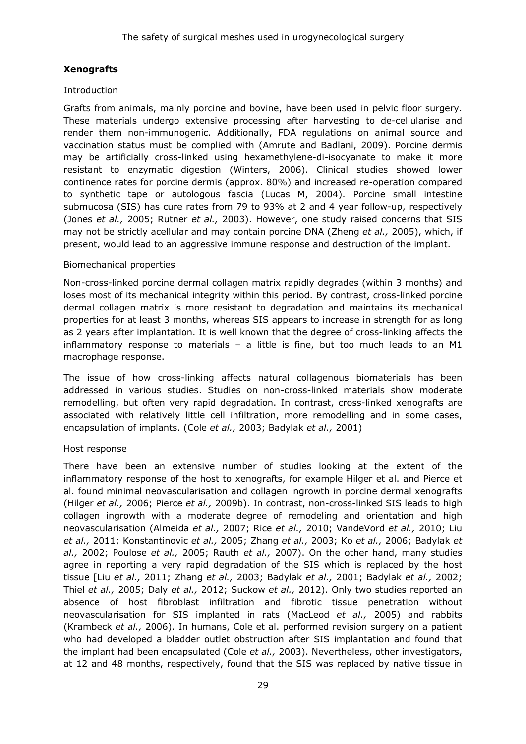### **Xenografts**

### Introduction

Grafts from animals, mainly porcine and bovine, have been used in pelvic floor surgery. These materials undergo extensive processing after harvesting to de-cellularise and render them non-immunogenic. Additionally, FDA regulations on animal source and vaccination status must be complied with (Amrute and Badlani, 2009). Porcine dermis may be artificially cross-linked using hexamethylene-di-isocyanate to make it more resistant to enzymatic digestion (Winters, 2006). Clinical studies showed lower continence rates for porcine dermis (approx. 80%) and increased re-operation compared to synthetic tape or autologous fascia (Lucas M, 2004). Porcine small intestine submucosa (SIS) has cure rates from 79 to 93% at 2 and 4 year follow-up, respectively (Jones *et al.,* 2005; Rutner *et al.,* 2003). However, one study raised concerns that SIS may not be strictly acellular and may contain porcine DNA (Zheng *et al.,* 2005), which, if present, would lead to an aggressive immune response and destruction of the implant.

### Biomechanical properties

Non-cross-linked porcine dermal collagen matrix rapidly degrades (within 3 months) and loses most of its mechanical integrity within this period. By contrast, cross-linked porcine dermal collagen matrix is more resistant to degradation and maintains its mechanical properties for at least 3 months, whereas SIS appears to increase in strength for as long as 2 years after implantation. It is well known that the degree of cross-linking affects the inflammatory response to materials – a little is fine, but too much leads to an M1 macrophage response.

The issue of how cross-linking affects natural collagenous biomaterials has been addressed in various studies. Studies on non-cross-linked materials show moderate remodelling, but often very rapid degradation. In contrast, cross-linked xenografts are associated with relatively little cell infiltration, more remodelling and in some cases, encapsulation of implants. (Cole *et al.,* 2003; Badylak *et al.,* 2001)

### Host response

There have been an extensive number of studies looking at the extent of the inflammatory response of the host to xenografts, for example Hilger et al. and Pierce et al. found minimal neovascularisation and collagen ingrowth in porcine dermal xenografts (Hilger *et al.,* 2006; Pierce *et al.,* 2009b). In contrast, non-cross-linked SIS leads to high collagen ingrowth with a moderate degree of remodeling and orientation and high neovascularisation (Almeida *et al.,* 2007; Rice *et al.,* 2010; VandeVord *et al.,* 2010; Liu *et al.,* 2011; Konstantinovic *et al.,* 2005; Zhang *et al.,* 2003; Ko *et al.,* 2006; Badylak *et al.,* 2002; Poulose *et al.,* 2005; Rauth *et al.,* 2007). On the other hand, many studies agree in reporting a very rapid degradation of the SIS which is replaced by the host tissue [Liu *et al.,* 2011; Zhang *et al.,* 2003; Badylak *et al.,* 2001; Badylak *et al.,* 2002; Thiel *et al.,* 2005; Daly *et al.,* 2012; Suckow *et al.,* 2012). Only two studies reported an absence of host fibroblast infiltration and fibrotic tissue penetration without neovascularisation for SIS implanted in rats (MacLeod *et al.,* 2005) and rabbits (Krambeck *et al.,* 2006). In humans, Cole et al. performed revision surgery on a patient who had developed a bladder outlet obstruction after SIS implantation and found that the implant had been encapsulated (Cole *et al.,* 2003). Nevertheless, other investigators, at 12 and 48 months, respectively, found that the SIS was replaced by native tissue in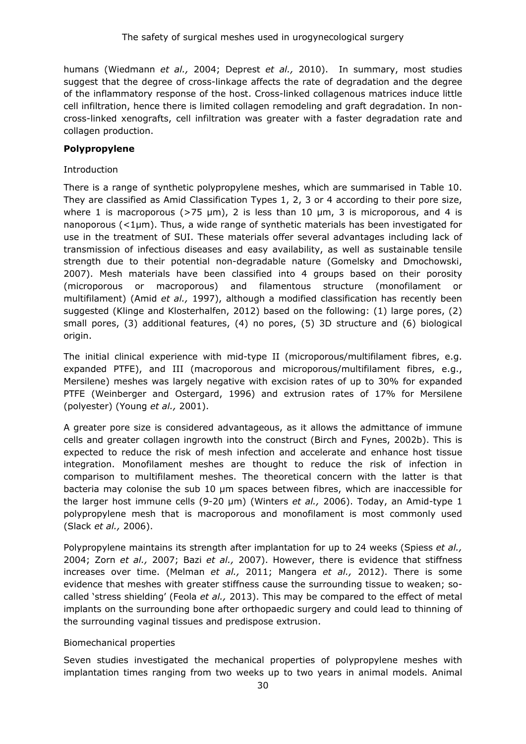humans (Wiedmann *et al.,* 2004; Deprest *et al.,* 2010). In summary, most studies suggest that the degree of cross-linkage affects the rate of degradation and the degree of the inflammatory response of the host. Cross-linked collagenous matrices induce little cell infiltration, hence there is limited collagen remodeling and graft degradation. In noncross-linked xenografts, cell infiltration was greater with a faster degradation rate and collagen production.

### **Polypropylene**

#### Introduction

There is a range of synthetic polypropylene meshes, which are summarised in [Table 10.](#page-79-0) They are classified as Amid Classification Types 1, 2, 3 or 4 according to their pore size, where 1 is macroporous ( $>75 \mu m$ ), 2 is less than 10  $\mu m$ , 3 is microporous, and 4 is nanoporous  $\langle$ <1µm). Thus, a wide range of synthetic materials has been investigated for use in the treatment of SUI. These materials offer several advantages including lack of transmission of infectious diseases and easy availability, as well as sustainable tensile strength due to their potential non-degradable nature (Gomelsky and Dmochowski, 2007). Mesh materials have been classified into 4 groups based on their porosity (microporous or macroporous) and filamentous structure (monofilament or multifilament) (Amid *et al.,* 1997), although a modified classification has recently been suggested (Klinge and Klosterhalfen, 2012) based on the following: (1) large pores, (2) small pores, (3) additional features, (4) no pores, (5) 3D structure and (6) biological origin.

The initial clinical experience with mid-type II (microporous/multifilament fibres, e.g. expanded PTFE), and III (macroporous and microporous/multifilament fibres, e.g., Mersilene) meshes was largely negative with excision rates of up to 30% for expanded PTFE (Weinberger and Ostergard, 1996) and extrusion rates of 17% for Mersilene (polyester) (Young *et al.,* 2001).

A greater pore size is considered advantageous, as it allows the admittance of immune cells and greater collagen ingrowth into the construct (Birch and Fynes, 2002b). This is expected to reduce the risk of mesh infection and accelerate and enhance host tissue integration. Monofilament meshes are thought to reduce the risk of infection in comparison to multifilament meshes. The theoretical concern with the latter is that bacteria may colonise the sub 10 μm spaces between fibres, which are inaccessible for the larger host immune cells (9-20 μm) (Winters *et al.,* 2006). Today, an Amid-type 1 polypropylene mesh that is macroporous and monofilament is most commonly used (Slack *et al.,* 2006).

Polypropylene maintains its strength after implantation for up to 24 weeks (Spiess *et al.,* 2004; Zorn *et al.,* 2007; Bazi *et al.,* 2007). However, there is evidence that stiffness increases over time. (Melman *et al.,* 2011; Mangera *et al.,* 2012). There is some evidence that meshes with greater stiffness cause the surrounding tissue to weaken; socalled 'stress shielding' (Feola *et al.,* 2013). This may be compared to the effect of metal implants on the surrounding bone after orthopaedic surgery and could lead to thinning of the surrounding vaginal tissues and predispose extrusion.

#### Biomechanical properties

Seven studies investigated the mechanical properties of polypropylene meshes with implantation times ranging from two weeks up to two years in animal models. Animal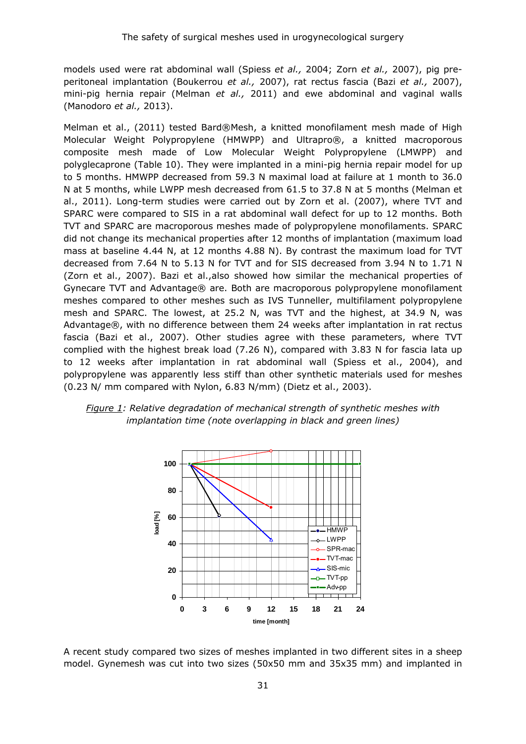models used were rat abdominal wall (Spiess *et al.,* 2004; Zorn *et al.,* 2007), pig preperitoneal implantation (Boukerrou *et al.,* 2007), rat rectus fascia (Bazi *et al.,* 2007), mini-pig hernia repair (Melman *et al.,* 2011) and ewe abdominal and vaginal walls (Manodoro *et al.,* 2013).

Melman et al., (2011) tested Bard®Mesh, a knitted monofilament mesh made of High Molecular Weight Polypropylene (HMWPP) and Ultrapro®, a knitted macroporous composite mesh made of Low Molecular Weight Polypropylene (LMWPP) and polyglecaprone [\(Table 1](#page-79-0)0). They were implanted in a mini-pig hernia repair model for up to 5 months. HMWPP decreased from 59.3 N maximal load at failure at 1 month to 36.0 N at 5 months, while LWPP mesh decreased from 61.5 to 37.8 N at 5 months (Melman et al., 2011). Long-term studies were carried out by Zorn et al. (2007), where TVT and SPARC were compared to SIS in a rat abdominal wall defect for up to 12 months. Both TVT and SPARC are macroporous meshes made of polypropylene monofilaments. SPARC did not change its mechanical properties after 12 months of implantation (maximum load mass at baseline 4.44 N, at 12 months 4.88 N). By contrast the maximum load for TVT decreased from 7.64 N to 5.13 N for TVT and for SIS decreased from 3.94 N to 1.71 N (Zorn et al., 2007). Bazi et al.,also showed how similar the mechanical properties of Gynecare TVT and Advantage® are. Both are macroporous polypropylene monofilament meshes compared to other meshes such as IVS Tunneller, multifilament polypropylene mesh and SPARC. The lowest, at 25.2 N, was TVT and the highest, at 34.9 N, was Advantage®, with no difference between them 24 weeks after implantation in rat rectus fascia (Bazi et al., 2007). Other studies agree with these parameters, where TVT complied with the highest break load (7.26 N), compared with 3.83 N for fascia lata up to 12 weeks after implantation in rat abdominal wall (Spiess et al., 2004), and polypropylene was apparently less stiff than other synthetic materials used for meshes (0.23 N/ mm compared with Nylon, 6.83 N/mm) (Dietz et al., 2003).





A recent study compared two sizes of meshes implanted in two different sites in a sheep model. Gynemesh was cut into two sizes (50x50 mm and 35x35 mm) and implanted in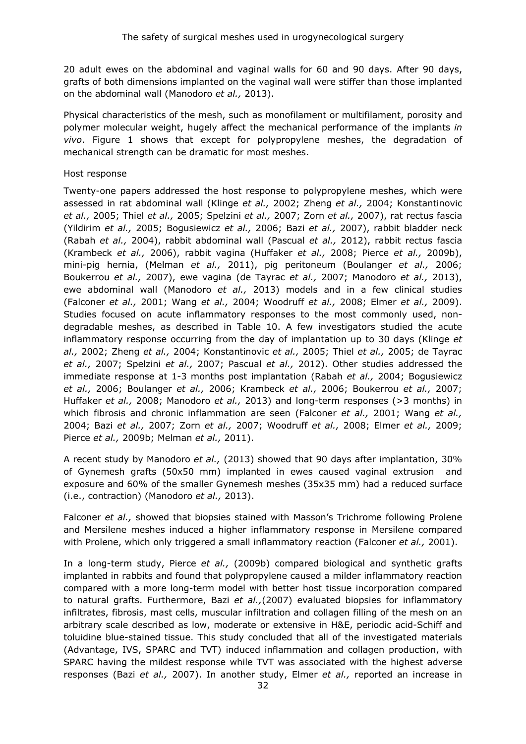20 adult ewes on the abdominal and vaginal walls for 60 and 90 days. After 90 days, grafts of both dimensions implanted on the vaginal wall were stiffer than those implanted on the abdominal wall (Manodoro *et al.,* 2013).

Physical characteristics of the mesh, such as monofilament or multifilament, porosity and polymer molecular weight, hugely affect the mechanical performance of the implants *in vivo*. Figure 1 shows that except for polypropylene meshes, the degradation of mechanical strength can be dramatic for most meshes.

### Host response

Twenty-one papers addressed the host response to polypropylene meshes, which were assessed in rat abdominal wall (Klinge *et al.,* 2002; Zheng *et al.,* 2004; Konstantinovic *et al.,* 2005; Thiel *et al.,* 2005; Spelzini *et al.,* 2007; Zorn *et al.,* 2007), rat rectus fascia (Yildirim *et al.,* 2005; Bogusiewicz *et al.,* 2006; Bazi *et al.,* 2007), rabbit bladder neck (Rabah *et al.,* 2004), rabbit abdominal wall (Pascual *et al.,* 2012), rabbit rectus fascia (Krambeck *et al.,* 2006), rabbit vagina (Huffaker *et al.,* 2008; Pierce *et al.,* 2009b), mini-pig hernia, (Melman *et al.,* 2011), pig peritoneum (Boulanger *et al.,* 2006; Boukerrou *et al.,* 2007), ewe vagina (de Tayrac *et al.,* 2007; Manodoro *et al.,* 2013), ewe abdominal wall (Manodoro *et al.,* 2013) models and in a few clinical studies (Falconer *et al.,* 2001; Wang *et al.,* 2004; Woodruff *et al.,* 2008; Elmer *et al.,* 2009). Studies focused on acute inflammatory responses to the most commonly used, nondegradable meshes, as described in [Table 10.](#page-79-0) A few investigators studied the acute inflammatory response occurring from the day of implantation up to 30 days (Klinge *et al.,* 2002; Zheng *et al.,* 2004; Konstantinovic *et al.,* 2005; Thiel *et al.,* 2005; de Tayrac *et al.,* 2007; Spelzini *et al.,* 2007; Pascual *et al.,* 2012). Other studies addressed the immediate response at 1-3 months post implantation (Rabah *et al.,* 2004; Bogusiewicz *et al.,* 2006; Boulanger *et al.,* 2006; Krambeck *et al.,* 2006; Boukerrou *et al.,* 2007; Huffaker *et al.,* 2008; Manodoro *et al.,* 2013) and long-term responses (>3 months) in which fibrosis and chronic inflammation are seen (Falconer *et al.,* 2001; Wang *et al.,* 2004; Bazi *et al.,* 2007; Zorn *et al.,* 2007; Woodruff *et al.,* 2008; Elmer *et al.,* 2009; Pierce *et al.,* 2009b; Melman *et al.,* 2011).

A recent study by Manodoro *et al.,* (2013) showed that 90 days after implantation, 30% of Gynemesh grafts (50x50 mm) implanted in ewes caused vaginal extrusion and exposure and 60% of the smaller Gynemesh meshes (35x35 mm) had a reduced surface (i.e., contraction) (Manodoro *et al.,* 2013).

Falconer *et al.,* showed that biopsies stained with Masson's Trichrome following Prolene and Mersilene meshes induced a higher inflammatory response in Mersilene compared with Prolene, which only triggered a small inflammatory reaction (Falconer *et al.,* 2001).

In a long-term study, Pierce *et al.,* (2009b) compared biological and synthetic grafts implanted in rabbits and found that polypropylene caused a milder inflammatory reaction compared with a more long-term model with better host tissue incorporation compared to natural grafts. Furthermore, Bazi *et al.,*(2007) evaluated biopsies for inflammatory infiltrates, fibrosis, mast cells, muscular infiltration and collagen filling of the mesh on an arbitrary scale described as low, moderate or extensive in H&E, periodic acid-Schiff and toluidine blue-stained tissue. This study concluded that all of the investigated materials (Advantage, IVS, SPARC and TVT) induced inflammation and collagen production, with SPARC having the mildest response while TVT was associated with the highest adverse responses (Bazi *et al.,* 2007). In another study, Elmer *et al.,* reported an increase in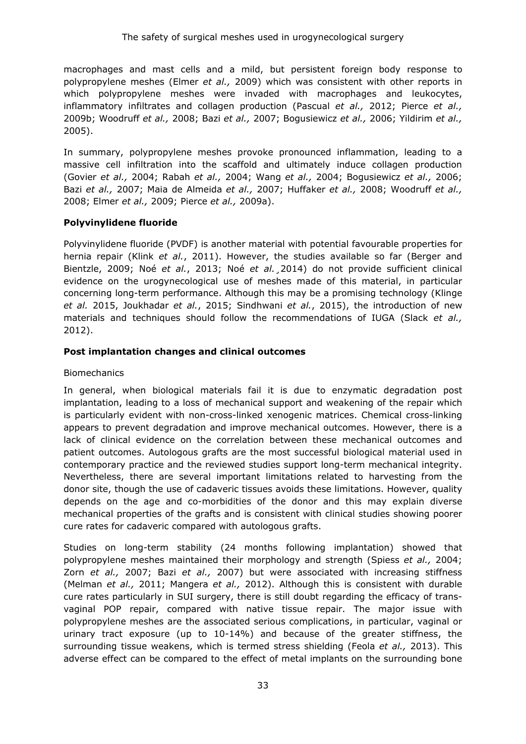macrophages and mast cells and a mild, but persistent foreign body response to polypropylene meshes (Elmer *et al.,* 2009) which was consistent with other reports in which polypropylene meshes were invaded with macrophages and leukocytes, inflammatory infiltrates and collagen production (Pascual *et al.,* 2012; Pierce *et al.,* 2009b; Woodruff *et al.,* 2008; Bazi *et al.,* 2007; Bogusiewicz *et al.,* 2006; Yildirim *et al.,* 2005).

In summary, polypropylene meshes provoke pronounced inflammation, leading to a massive cell infiltration into the scaffold and ultimately induce collagen production (Govier *et al.,* 2004; Rabah *et al.,* 2004; Wang *et al.,* 2004; Bogusiewicz *et al.,* 2006; Bazi *et al.,* 2007; Maia de Almeida *et al.,* 2007; Huffaker *et al.,* 2008; Woodruff *et al.,* 2008; Elmer *et al.,* 2009; Pierce *et al.,* 2009a).

### **Polyvinylidene fluoride**

Polyvinylidene fluoride (PVDF) is another material with potential favourable properties for hernia repair (Klink *et al.*, 2011). However, the studies available so far (Berger and Bientzle, 2009; Noé *et al.*, 2013; Noé *et al.*¸2014) do not provide sufficient clinical evidence on the urogynecological use of meshes made of this material, in particular concerning long-term performance. Although this may be a promising technology (Klinge *et al.* 2015, Joukhadar *et al.*, 2015; Sindhwani *et al.*, 2015), the introduction of new materials and techniques should follow the recommendations of IUGA (Slack *et al.,* 2012).

### **Post implantation changes and clinical outcomes**

### Biomechanics

In general, when biological materials fail it is due to enzymatic degradation post implantation, leading to a loss of mechanical support and weakening of the repair which is particularly evident with non-cross-linked xenogenic matrices. Chemical cross-linking appears to prevent degradation and improve mechanical outcomes. However, there is a lack of clinical evidence on the correlation between these mechanical outcomes and patient outcomes. Autologous grafts are the most successful biological material used in contemporary practice and the reviewed studies support long-term mechanical integrity. Nevertheless, there are several important limitations related to harvesting from the donor site, though the use of cadaveric tissues avoids these limitations. However, quality depends on the age and co-morbidities of the donor and this may explain diverse mechanical properties of the grafts and is consistent with clinical studies showing poorer cure rates for cadaveric compared with autologous grafts.

Studies on long-term stability (24 months following implantation) showed that polypropylene meshes maintained their morphology and strength (Spiess *et al.,* 2004; Zorn *et al.,* 2007; Bazi *et al.,* 2007) but were associated with increasing stiffness (Melman *et al.,* 2011; Mangera *et al.,* 2012). Although this is consistent with durable cure rates particularly in SUI surgery, there is still doubt regarding the efficacy of transvaginal POP repair, compared with native tissue repair. The major issue with polypropylene meshes are the associated serious complications, in particular, vaginal or urinary tract exposure (up to 10-14%) and because of the greater stiffness, the surrounding tissue weakens, which is termed stress shielding (Feola *et al.,* 2013). This adverse effect can be compared to the effect of metal implants on the surrounding bone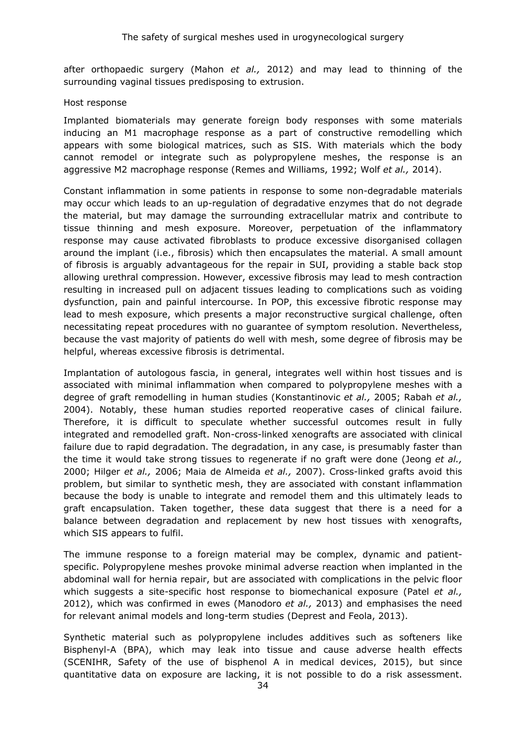after orthopaedic surgery (Mahon *et al.,* 2012) and may lead to thinning of the surrounding vaginal tissues predisposing to extrusion.

#### Host response

Implanted biomaterials may generate foreign body responses with some materials inducing an M1 macrophage response as a part of constructive remodelling which appears with some biological matrices, such as SIS. With materials which the body cannot remodel or integrate such as polypropylene meshes, the response is an aggressive M2 macrophage response (Remes and Williams, 1992; Wolf *et al.,* 2014).

Constant inflammation in some patients in response to some non-degradable materials may occur which leads to an up-regulation of degradative enzymes that do not degrade the material, but may damage the surrounding extracellular matrix and contribute to tissue thinning and mesh exposure. Moreover, perpetuation of the inflammatory response may cause activated fibroblasts to produce excessive disorganised collagen around the implant (i.e., fibrosis) which then encapsulates the material. A small amount of fibrosis is arguably advantageous for the repair in SUI, providing a stable back stop allowing urethral compression. However, excessive fibrosis may lead to mesh contraction resulting in increased pull on adjacent tissues leading to complications such as voiding dysfunction, pain and painful intercourse. In POP, this excessive fibrotic response may lead to mesh exposure, which presents a major reconstructive surgical challenge, often necessitating repeat procedures with no guarantee of symptom resolution. Nevertheless, because the vast majority of patients do well with mesh, some degree of fibrosis may be helpful, whereas excessive fibrosis is detrimental.

Implantation of autologous fascia, in general, integrates well within host tissues and is associated with minimal inflammation when compared to polypropylene meshes with a degree of graft remodelling in human studies (Konstantinovic *et al.,* 2005; Rabah *et al.,* 2004). Notably, these human studies reported reoperative cases of clinical failure. Therefore, it is difficult to speculate whether successful outcomes result in fully integrated and remodelled graft. Non-cross-linked xenografts are associated with clinical failure due to rapid degradation. The degradation, in any case, is presumably faster than the time it would take strong tissues to regenerate if no graft were done (Jeong *et al.,* 2000; Hilger *et al.,* 2006; Maia de Almeida *et al.,* 2007). Cross-linked grafts avoid this problem, but similar to synthetic mesh, they are associated with constant inflammation because the body is unable to integrate and remodel them and this ultimately leads to graft encapsulation. Taken together, these data suggest that there is a need for a balance between degradation and replacement by new host tissues with xenografts, which SIS appears to fulfil.

The immune response to a foreign material may be complex, dynamic and patientspecific. Polypropylene meshes provoke minimal adverse reaction when implanted in the abdominal wall for hernia repair, but are associated with complications in the pelvic floor which suggests a site-specific host response to biomechanical exposure (Patel *et al.,* 2012), which was confirmed in ewes (Manodoro *et al.,* 2013) and emphasises the need for relevant animal models and long-term studies (Deprest and Feola, 2013).

Synthetic material such as polypropylene includes additives such as softeners like Bisphenyl-A (BPA), which may leak into tissue and cause adverse health effects (SCENIHR, Safety of the use of bisphenol A in medical devices, 2015), but since quantitative data on exposure are lacking, it is not possible to do a risk assessment.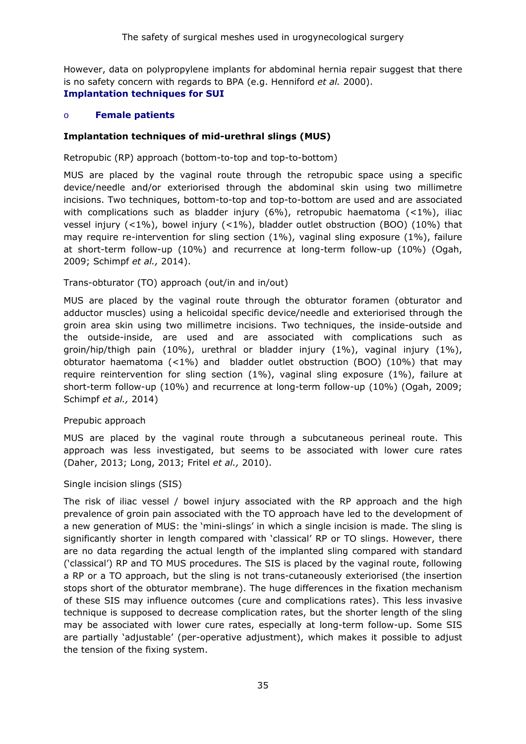However, data on polypropylene implants for abdominal hernia repair suggest that there is no safety concern with regards to BPA (e.g. Henniford *et al.* 2000). **Implantation techniques for SUI** 

### o **Female patients**

#### **Implantation techniques of mid-urethral slings (MUS)**

Retropubic (RP) approach (bottom-to-top and top-to-bottom)

MUS are placed by the vaginal route through the retropubic space using a specific device/needle and/or exteriorised through the abdominal skin using two millimetre incisions. Two techniques, bottom-to-top and top-to-bottom are used and are associated with complications such as bladder injury  $(6\%)$ , retropubic haematoma  $(1\%)$ , iliac vessel injury (<1%), bowel injury (<1%), bladder outlet obstruction (BOO) (10%) that may require re-intervention for sling section  $(1\%)$ , vaginal sling exposure  $(1\%)$ , failure at short-term follow-up (10%) and recurrence at long-term follow-up (10%) (Ogah, 2009; Schimpf *et al.,* 2014).

#### Trans-obturator (TO) approach (out/in and in/out)

MUS are placed by the vaginal route through the obturator foramen (obturator and adductor muscles) using a helicoidal specific device/needle and exteriorised through the groin area skin using two millimetre incisions. Two techniques, the inside-outside and the outside-inside, are used and are associated with complications such as groin/hip/thigh pain (10%), urethral or bladder injury (1%), vaginal injury (1%), obturator haematoma (<1%) and bladder outlet obstruction (BOO) (10%) that may require reintervention for sling section (1%), vaginal sling exposure (1%), failure at short-term follow-up (10%) and recurrence at long-term follow-up (10%) (Ogah, 2009; Schimpf *et al.,* 2014)

#### Prepubic approach

MUS are placed by the vaginal route through a subcutaneous perineal route. This approach was less investigated, but seems to be associated with lower cure rates (Daher, 2013; Long, 2013; Fritel *et al.,* 2010).

#### Single incision slings (SIS)

The risk of iliac vessel / bowel injury associated with the RP approach and the high prevalence of groin pain associated with the TO approach have led to the development of a new generation of MUS: the 'mini-slings' in which a single incision is made. The sling is significantly shorter in length compared with 'classical' RP or TO slings. However, there are no data regarding the actual length of the implanted sling compared with standard ('classical') RP and TO MUS procedures. The SIS is placed by the vaginal route, following a RP or a TO approach, but the sling is not trans-cutaneously exteriorised (the insertion stops short of the obturator membrane). The huge differences in the fixation mechanism of these SIS may influence outcomes (cure and complications rates). This less invasive technique is supposed to decrease complication rates, but the shorter length of the sling may be associated with lower cure rates, especially at long-term follow-up. Some SIS are partially 'adjustable' (per-operative adjustment), which makes it possible to adjust the tension of the fixing system.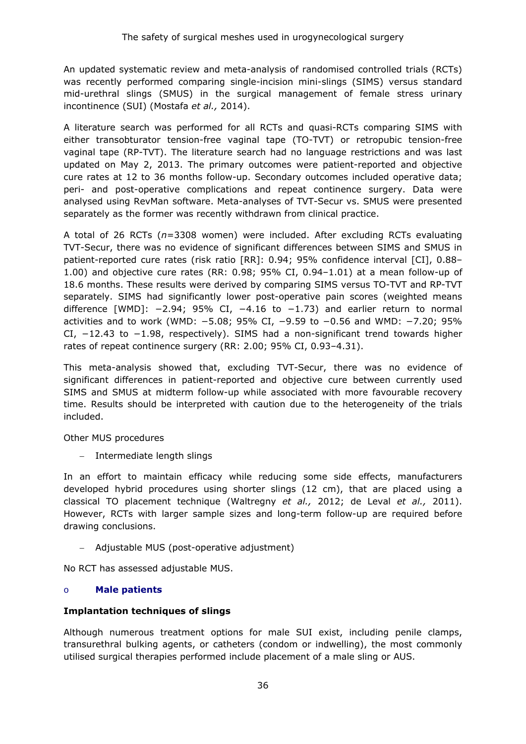An updated systematic review and meta-analysis of randomised controlled trials (RCTs) was recently performed comparing single-incision mini-slings (SIMS) versus standard mid-urethral slings (SMUS) in the surgical management of female stress urinary incontinence (SUI) (Mostafa *et al.,* 2014).

A literature search was performed for all RCTs and quasi-RCTs comparing SIMS with either transobturator tension-free vaginal tape (TO-TVT) or retropubic tension-free vaginal tape (RP-TVT). The literature search had no language restrictions and was last updated on May 2, 2013. The primary outcomes were patient-reported and objective cure rates at 12 to 36 months follow-up. Secondary outcomes included operative data; peri- and post-operative complications and repeat continence surgery. Data were analysed using RevMan software. Meta-analyses of TVT-Secur vs. SMUS were presented separately as the former was recently withdrawn from clinical practice.

A total of 26 RCTs (*n*=3308 women) were included. After excluding RCTs evaluating TVT-Secur, there was no evidence of significant differences between SIMS and SMUS in patient-reported cure rates (risk ratio [RR]: 0.94; 95% confidence interval [CI], 0.88– 1.00) and objective cure rates (RR: 0.98; 95% CI, 0.94–1.01) at a mean follow-up of 18.6 months. These results were derived by comparing SIMS versus TO-TVT and RP-TVT separately. SIMS had significantly lower post-operative pain scores (weighted means difference  $[WMD]$ : -2.94; 95% CI, -4.16 to -1.73) and earlier return to normal activities and to work (WMD: −5.08; 95% CI, −9.59 to −0.56 and WMD: −7.20; 95% CI, −12.43 to −1.98, respectively). SIMS had a non-significant trend towards higher rates of repeat continence surgery (RR: 2.00; 95% CI, 0.93–4.31).

This meta-analysis showed that, excluding TVT-Secur, there was no evidence of significant differences in patient-reported and objective cure between currently used SIMS and SMUS at midterm follow-up while associated with more favourable recovery time. Results should be interpreted with caution due to the heterogeneity of the trials included.

Other MUS procedures

− Intermediate length slings

In an effort to maintain efficacy while reducing some side effects, manufacturers developed hybrid procedures using shorter slings (12 cm), that are placed using a classical TO placement technique (Waltregny *et al.,* 2012; de Leval *et al.,* 2011). However, RCTs with larger sample sizes and long-term follow-up are required before drawing conclusions.

− Adjustable MUS (post-operative adjustment)

No RCT has assessed adjustable MUS.

### o **Male patients**

### **Implantation techniques of slings**

Although numerous treatment options for male SUI exist, including penile clamps, transurethral bulking agents, or catheters (condom or indwelling), the most commonly utilised surgical therapies performed include placement of a male sling or AUS.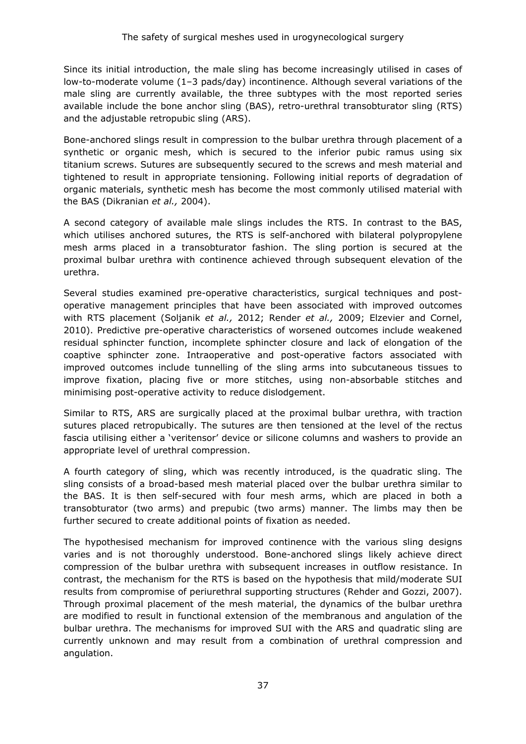Since its initial introduction, the male sling has become increasingly utilised in cases of low-to-moderate volume (1–3 pads/day) incontinence. Although several variations of the male sling are currently available, the three subtypes with the most reported series available include the bone anchor sling (BAS), retro-urethral transobturator sling (RTS) and the adjustable retropubic sling (ARS).

Bone-anchored slings result in compression to the bulbar urethra through placement of a synthetic or organic mesh, which is secured to the inferior pubic ramus using six titanium screws. Sutures are subsequently secured to the screws and mesh material and tightened to result in appropriate tensioning. Following initial reports of degradation of organic materials, synthetic mesh has become the most commonly utilised material with the BAS (Dikranian *et al.,* 2004).

A second category of available male slings includes the RTS. In contrast to the BAS, which utilises anchored sutures, the RTS is self-anchored with bilateral polypropylene mesh arms placed in a transobturator fashion. The sling portion is secured at the proximal bulbar urethra with continence achieved through subsequent elevation of the urethra.

Several studies examined pre-operative characteristics, surgical techniques and postoperative management principles that have been associated with improved outcomes with RTS placement (Soljanik *et al.,* 2012; Render *et al.,* 2009; Elzevier and Cornel, 2010). Predictive pre-operative characteristics of worsened outcomes include weakened residual sphincter function, incomplete sphincter closure and lack of elongation of the coaptive sphincter zone. Intraoperative and post-operative factors associated with improved outcomes include tunnelling of the sling arms into subcutaneous tissues to improve fixation, placing five or more stitches, using non-absorbable stitches and minimising post-operative activity to reduce dislodgement.

Similar to RTS, ARS are surgically placed at the proximal bulbar urethra, with traction sutures placed retropubically. The sutures are then tensioned at the level of the rectus fascia utilising either a 'veritensor' device or silicone columns and washers to provide an appropriate level of urethral compression.

A fourth category of sling, which was recently introduced, is the quadratic sling. The sling consists of a broad-based mesh material placed over the bulbar urethra similar to the BAS. It is then self-secured with four mesh arms, which are placed in both a transobturator (two arms) and prepubic (two arms) manner. The limbs may then be further secured to create additional points of fixation as needed.

The hypothesised mechanism for improved continence with the various sling designs varies and is not thoroughly understood. Bone-anchored slings likely achieve direct compression of the bulbar urethra with subsequent increases in outflow resistance. In contrast, the mechanism for the RTS is based on the hypothesis that mild/moderate SUI results from compromise of periurethral supporting structures (Rehder and Gozzi, 2007). Through proximal placement of the mesh material, the dynamics of the bulbar urethra are modified to result in functional extension of the membranous and angulation of the bulbar urethra. The mechanisms for improved SUI with the ARS and quadratic sling are currently unknown and may result from a combination of urethral compression and angulation.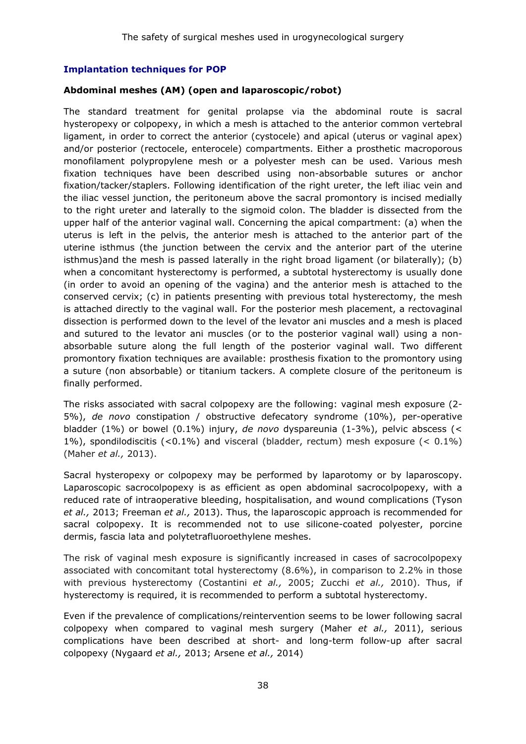#### **Implantation techniques for POP**

#### **Abdominal meshes (AM) (open and laparoscopic/robot)**

The standard treatment for genital prolapse via the abdominal route is sacral hysteropexy or colpopexy, in which a mesh is attached to the anterior common vertebral ligament, in order to correct the anterior (cystocele) and apical (uterus or vaginal apex) and/or posterior (rectocele, enterocele) compartments. Either a prosthetic macroporous monofilament polypropylene mesh or a polyester mesh can be used. Various mesh fixation techniques have been described using non-absorbable sutures or anchor fixation/tacker/staplers. Following identification of the right ureter, the left iliac vein and the iliac vessel junction, the peritoneum above the sacral promontory is incised medially to the right ureter and laterally to the sigmoid colon. The bladder is dissected from the upper half of the anterior vaginal wall. Concerning the apical compartment: (a) when the uterus is left in the pelvis, the anterior mesh is attached to the anterior part of the uterine isthmus (the junction between the cervix and the anterior part of the uterine isthmus)and the mesh is passed laterally in the right broad ligament (or bilaterally); (b) when a concomitant hysterectomy is performed, a subtotal hysterectomy is usually done (in order to avoid an opening of the vagina) and the anterior mesh is attached to the conserved cervix; (c) in patients presenting with previous total hysterectomy, the mesh is attached directly to the vaginal wall. For the posterior mesh placement, a rectovaginal dissection is performed down to the level of the levator ani muscles and a mesh is placed and sutured to the levator ani muscles (or to the posterior vaginal wall) using a nonabsorbable suture along the full length of the posterior vaginal wall. Two different promontory fixation techniques are available: prosthesis fixation to the promontory using a suture (non absorbable) or titanium tackers. A complete closure of the peritoneum is finally performed.

The risks associated with sacral colpopexy are the following: vaginal mesh exposure (2- 5%), *de novo* constipation / obstructive defecatory syndrome (10%), per-operative bladder (1%) or bowel (0.1%) injury, *de novo* dyspareunia (1-3%), pelvic abscess (< 1%), spondilodiscitis (<0.1%) and visceral (bladder, rectum) mesh exposure (< 0.1%) (Maher *et al.,* 2013).

Sacral hysteropexy or colpopexy may be performed by laparotomy or by laparoscopy. Laparoscopic sacrocolpopexy is as efficient as open abdominal sacrocolpopexy, with a reduced rate of intraoperative bleeding, hospitalisation, and wound complications (Tyson *et al.,* 2013; Freeman *et al.,* 2013). Thus, the laparoscopic approach is recommended for sacral colpopexy. It is recommended not to use silicone-coated polyester, porcine dermis, fascia lata and polytetrafluoroethylene meshes.

The risk of vaginal mesh exposure is significantly increased in cases of sacrocolpopexy associated with concomitant total hysterectomy (8.6%), in comparison to 2.2% in those with previous hysterectomy (Costantini *et al.,* 2005; Zucchi *et al.,* 2010). Thus, if hysterectomy is required, it is recommended to perform a subtotal hysterectomy.

Even if the prevalence of complications/reintervention seems to be lower following sacral colpopexy when compared to vaginal mesh surgery (Maher *et al.,* 2011), serious complications have been described at short- and long-term follow-up after sacral colpopexy (Nygaard *et al.,* 2013; Arsene *et al.,* 2014)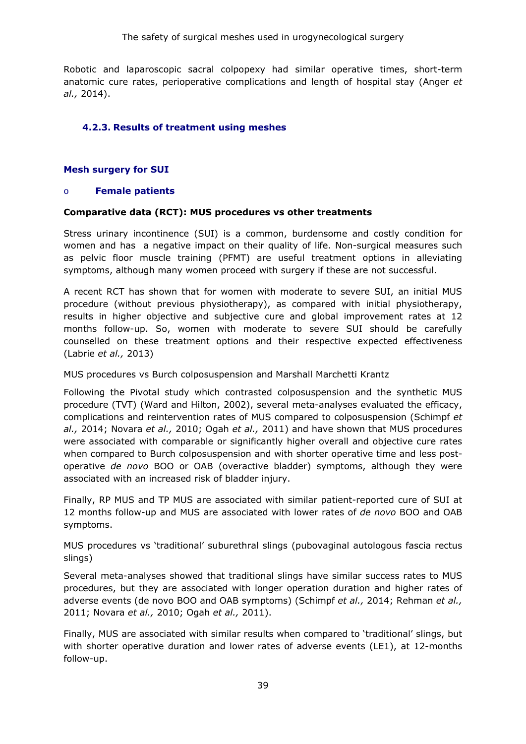Robotic and laparoscopic sacral colpopexy had similar operative times, short-term anatomic cure rates, perioperative complications and length of hospital stay (Anger *et al.,* 2014).

# **4.2.3. Results of treatment using meshes**

# **Mesh surgery for SUI**

#### o **Female patients**

#### **Comparative data (RCT): MUS procedures vs other treatments**

Stress urinary incontinence (SUI) is a common, burdensome and costly condition for women and has a negative impact on their quality of life. Non-surgical measures such as pelvic floor muscle training (PFMT) are useful treatment options in alleviating symptoms, although many women proceed with surgery if these are not successful.

A recent RCT has shown that for women with moderate to severe SUI, an initial MUS procedure (without previous physiotherapy), as compared with initial physiotherapy, results in higher objective and subjective cure and global improvement rates at 12 months follow-up. So, women with moderate to severe SUI should be carefully counselled on these treatment options and their respective expected effectiveness (Labrie *et al.,* 2013)

MUS procedures vs Burch colposuspension and Marshall Marchetti Krantz

Following the Pivotal study which contrasted colposuspension and the synthetic MUS procedure (TVT) (Ward and Hilton, 2002), several meta-analyses evaluated the efficacy, complications and reintervention rates of MUS compared to colposuspension (Schimpf *et al.,* 2014; Novara *et al.,* 2010; Ogah *et al.,* 2011) and have shown that MUS procedures were associated with comparable or significantly higher overall and objective cure rates when compared to Burch colposuspension and with shorter operative time and less postoperative *de novo* BOO or OAB (overactive bladder) symptoms, although they were associated with an increased risk of bladder injury.

Finally, RP MUS and TP MUS are associated with similar patient-reported cure of SUI at 12 months follow-up and MUS are associated with lower rates of *de novo* BOO and OAB symptoms.

MUS procedures vs 'traditional' suburethral slings (pubovaginal autologous fascia rectus slings)

Several meta-analyses showed that traditional slings have similar success rates to MUS procedures, but they are associated with longer operation duration and higher rates of adverse events (de novo BOO and OAB symptoms) (Schimpf *et al.,* 2014; Rehman *et al.,* 2011; Novara *et al.,* 2010; Ogah *et al.,* 2011).

Finally, MUS are associated with similar results when compared to 'traditional' slings, but with shorter operative duration and lower rates of adverse events (LE1), at 12-months follow-up.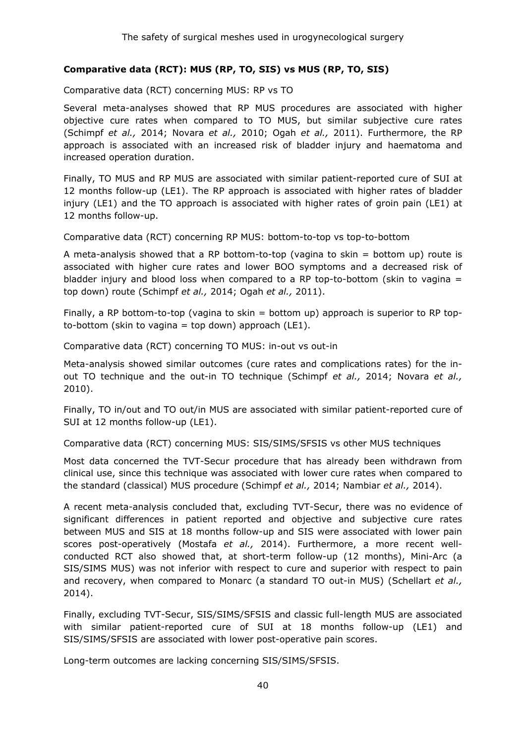# **Comparative data (RCT): MUS (RP, TO, SIS) vs MUS (RP, TO, SIS)**

Comparative data (RCT) concerning MUS: RP vs TO

Several meta-analyses showed that RP MUS procedures are associated with higher objective cure rates when compared to TO MUS, but similar subjective cure rates (Schimpf *et al.,* 2014; Novara *et al.,* 2010; Ogah *et al.,* 2011). Furthermore, the RP approach is associated with an increased risk of bladder injury and haematoma and increased operation duration.

Finally, TO MUS and RP MUS are associated with similar patient-reported cure of SUI at 12 months follow-up (LE1). The RP approach is associated with higher rates of bladder injury (LE1) and the TO approach is associated with higher rates of groin pain (LE1) at 12 months follow-up.

Comparative data (RCT) concerning RP MUS: bottom-to-top vs top-to-bottom

A meta-analysis showed that a RP bottom-to-top (vagina to skin = bottom up) route is associated with higher cure rates and lower BOO symptoms and a decreased risk of bladder injury and blood loss when compared to a RP top-to-bottom (skin to vagina  $=$ top down) route (Schimpf *et al.,* 2014; Ogah *et al.,* 2011).

Finally, a RP bottom-to-top (vagina to skin = bottom up) approach is superior to RP topto-bottom (skin to vagina = top down) approach (LE1).

Comparative data (RCT) concerning TO MUS: in-out vs out-in

Meta-analysis showed similar outcomes (cure rates and complications rates) for the inout TO technique and the out-in TO technique (Schimpf *et al.,* 2014; Novara *et al.,* 2010).

Finally, TO in/out and TO out/in MUS are associated with similar patient-reported cure of SUI at 12 months follow-up (LE1).

Comparative data (RCT) concerning MUS: SIS/SIMS/SFSIS vs other MUS techniques

Most data concerned the TVT-Secur procedure that has already been withdrawn from clinical use, since this technique was associated with lower cure rates when compared to the standard (classical) MUS procedure (Schimpf *et al.,* 2014; Nambiar *et al.,* 2014).

A recent meta-analysis concluded that, excluding TVT-Secur, there was no evidence of significant differences in patient reported and objective and subjective cure rates between MUS and SIS at 18 months follow-up and SIS were associated with lower pain scores post-operatively (Mostafa *et al.,* 2014). Furthermore, a more recent wellconducted RCT also showed that, at short-term follow-up (12 months), Mini-Arc (a SIS/SIMS MUS) was not inferior with respect to cure and superior with respect to pain and recovery, when compared to Monarc (a standard TO out-in MUS) (Schellart *et al.,* 2014).

Finally, excluding TVT-Secur, SIS/SIMS/SFSIS and classic full-length MUS are associated with similar patient-reported cure of SUI at 18 months follow-up (LE1) and SIS/SIMS/SFSIS are associated with lower post-operative pain scores.

Long-term outcomes are lacking concerning SIS/SIMS/SFSIS.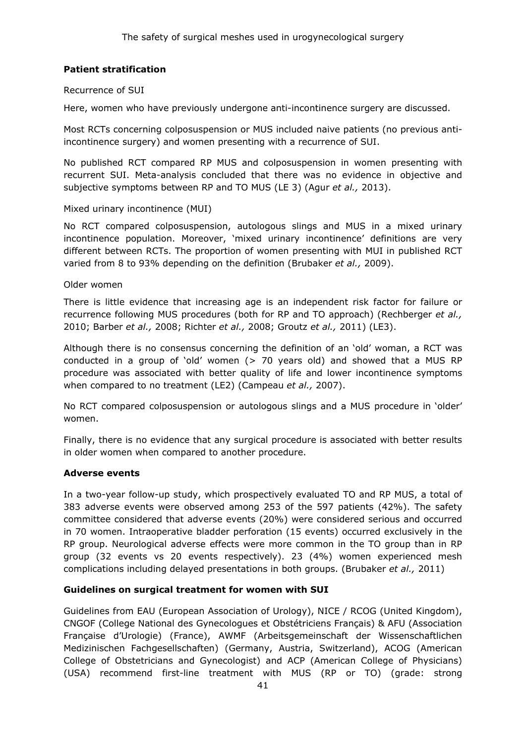# **Patient stratification**

#### Recurrence of SUI

Here, women who have previously undergone anti-incontinence surgery are discussed.

Most RCTs concerning colposuspension or MUS included naive patients (no previous antiincontinence surgery) and women presenting with a recurrence of SUI.

No published RCT compared RP MUS and colposuspension in women presenting with recurrent SUI. Meta-analysis concluded that there was no evidence in objective and subjective symptoms between RP and TO MUS (LE 3) (Agur *et al.,* 2013).

#### Mixed urinary incontinence (MUI)

No RCT compared colposuspension, autologous slings and MUS in a mixed urinary incontinence population. Moreover, 'mixed urinary incontinence' definitions are very different between RCTs. The proportion of women presenting with MUI in published RCT varied from 8 to 93% depending on the definition (Brubaker *et al.,* 2009).

#### Older women

There is little evidence that increasing age is an independent risk factor for failure or recurrence following MUS procedures (both for RP and TO approach) (Rechberger *et al.,* 2010; Barber *et al.,* 2008; Richter *et al.,* 2008; Groutz *et al.,* 2011) (LE3).

Although there is no consensus concerning the definition of an 'old' woman, a RCT was conducted in a group of 'old' women (> 70 years old) and showed that a MUS RP procedure was associated with better quality of life and lower incontinence symptoms when compared to no treatment (LE2) (Campeau *et al.,* 2007).

No RCT compared colposuspension or autologous slings and a MUS procedure in 'older' women.

Finally, there is no evidence that any surgical procedure is associated with better results in older women when compared to another procedure.

#### **Adverse events**

In a two-year follow-up study, which prospectively evaluated TO and RP MUS, a total of 383 adverse events were observed among 253 of the 597 patients (42%). The safety committee considered that adverse events (20%) were considered serious and occurred in 70 women. Intraoperative bladder perforation (15 events) occurred exclusively in the RP group. Neurological adverse effects were more common in the TO group than in RP group (32 events vs 20 events respectively). 23 (4%) women experienced mesh complications including delayed presentations in both groups. (Brubaker *et al.,* 2011)

#### **Guidelines on surgical treatment for women with SUI**

Guidelines from EAU (European Association of Urology), NICE / RCOG (United Kingdom), CNGOF (College National des Gynecologues et Obstétriciens Français) & AFU (Association Française d'Urologie) (France), AWMF (Arbeitsgemeinschaft der Wissenschaftlichen Medizinischen Fachgesellschaften) (Germany, Austria, Switzerland), ACOG (American College of Obstetricians and Gynecologist) and ACP (American College of Physicians) (USA) recommend first-line treatment with MUS (RP or TO) (grade: strong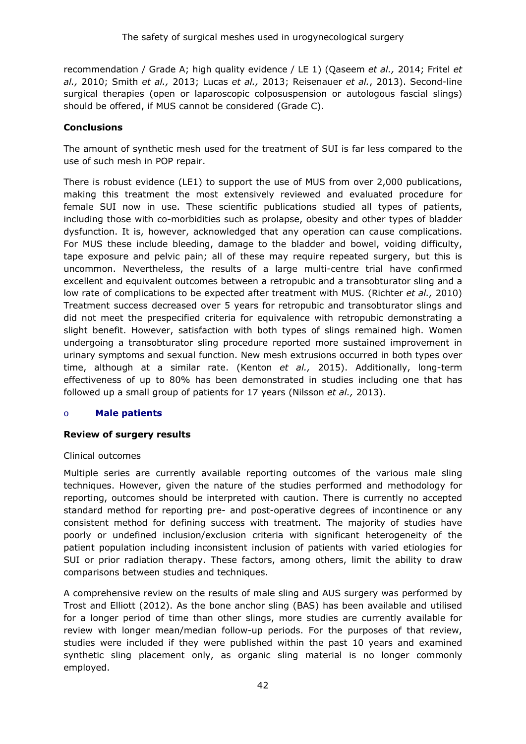recommendation / Grade A; high quality evidence / LE 1) (Qaseem *et al.,* 2014; Fritel *et al.,* 2010; Smith *et al.,* 2013; Lucas *et al.,* 2013; Reisenauer *et al.*, 2013). Second-line surgical therapies (open or laparoscopic colposuspension or autologous fascial slings) should be offered, if MUS cannot be considered (Grade C).

#### **Conclusions**

The amount of synthetic mesh used for the treatment of SUI is far less compared to the use of such mesh in POP repair.

There is robust evidence (LE1) to support the use of MUS from over 2,000 publications, making this treatment the most extensively reviewed and evaluated procedure for female SUI now in use. These scientific publications studied all types of patients, including those with co-morbidities such as prolapse, obesity and other types of bladder dysfunction. It is, however, acknowledged that any operation can cause complications. For MUS these include bleeding, damage to the bladder and bowel, voiding difficulty, tape exposure and pelvic pain; all of these may require repeated surgery, but this is uncommon. Nevertheless, the results of a large multi-centre trial have confirmed excellent and equivalent outcomes between a retropubic and a transobturator sling and a low rate of complications to be expected after treatment with MUS. (Richter *et al.,* 2010) Treatment success decreased over 5 years for retropubic and transobturator slings and did not meet the prespecified criteria for equivalence with retropubic demonstrating a slight benefit. However, satisfaction with both types of slings remained high. Women undergoing a transobturator sling procedure reported more sustained improvement in urinary symptoms and sexual function. New mesh extrusions occurred in both types over time, although at a similar rate. (Kenton *et al.,* 2015). Additionally, long-term effectiveness of up to 80% has been demonstrated in studies including one that has followed up a small group of patients for 17 years (Nilsson *et al.,* 2013).

#### o **Male patients**

#### **Review of surgery results**

#### Clinical outcomes

Multiple series are currently available reporting outcomes of the various male sling techniques. However, given the nature of the studies performed and methodology for reporting, outcomes should be interpreted with caution. There is currently no accepted standard method for reporting pre- and post-operative degrees of incontinence or any consistent method for defining success with treatment. The majority of studies have poorly or undefined inclusion/exclusion criteria with significant heterogeneity of the patient population including inconsistent inclusion of patients with varied etiologies for SUI or prior radiation therapy. These factors, among others, limit the ability to draw comparisons between studies and techniques.

A comprehensive review on the results of male sling and AUS surgery was performed by Trost and Elliott (2012). As the bone anchor sling (BAS) has been available and utilised for a longer period of time than other slings, more studies are currently available for review with longer mean/median follow-up periods. For the purposes of that review, studies were included if they were published within the past 10 years and examined synthetic sling placement only, as organic sling material is no longer commonly employed.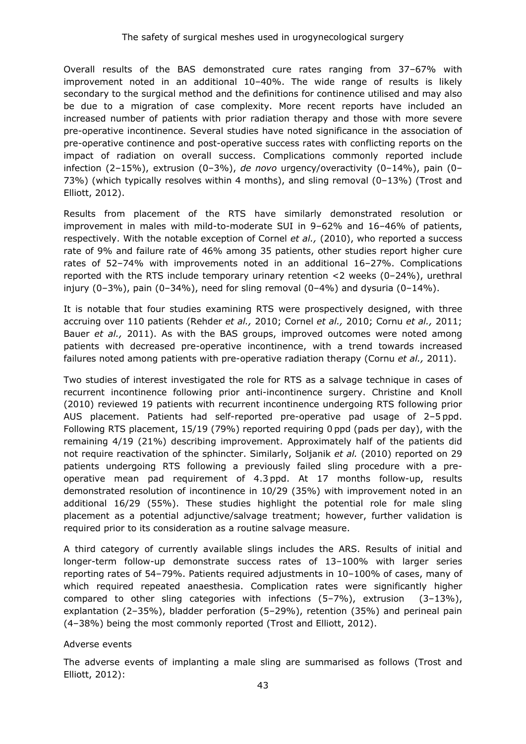Overall results of the BAS demonstrated cure rates ranging from 37–67% with improvement noted in an additional 10–40%. The wide range of results is likely secondary to the surgical method and the definitions for continence utilised and may also be due to a migration of case complexity. More recent reports have included an increased number of patients with prior radiation therapy and those with more severe pre-operative incontinence. Several studies have noted significance in the association of pre-operative continence and post-operative success rates with conflicting reports on the impact of radiation on overall success. Complications commonly reported include infection (2–15%), extrusion (0–3%), *de novo* urgency/overactivity (0–14%), pain (0– 73%) (which typically resolves within 4 months), and sling removal (0–13%) (Trost and Elliott, 2012).

Results from placement of the RTS have similarly demonstrated resolution or improvement in males with mild-to-moderate SUI in 9–62% and 16–46% of patients, respectively. With the notable exception of Cornel *et al.,* (2010), who reported a success rate of 9% and failure rate of 46% among 35 patients, other studies report higher cure rates of 52–74% with improvements noted in an additional 16–27%. Complications reported with the RTS include temporary urinary retention <2 weeks (0–24%), urethral injury (0–3%), pain (0–34%), need for sling removal (0–4%) and dysuria (0–14%).

It is notable that four studies examining RTS were prospectively designed, with three accruing over 110 patients (Rehder *et al.,* 2010; Cornel *et al.,* 2010; Cornu *et al.,* 2011; Bauer *et al.,* 2011). As with the BAS groups, improved outcomes were noted among patients with decreased pre-operative incontinence, with a trend towards increased failures noted among patients with pre-operative radiation therapy (Cornu *et al.,* 2011).

Two studies of interest investigated the role for RTS as a salvage technique in cases of recurrent incontinence following prior anti-incontinence surgery. Christine and Knoll (2010) reviewed 19 patients with recurrent incontinence undergoing RTS following prior AUS placement. Patients had self-reported pre-operative pad usage of 2–5 ppd. Following RTS placement, 15/19 (79%) reported requiring 0 ppd (pads per day), with the remaining 4/19 (21%) describing improvement. Approximately half of the patients did not require reactivation of the sphincter. Similarly, Soljanik *et al.* (2010) reported on 29 patients undergoing RTS following a previously failed sling procedure with a preoperative mean pad requirement of 4.3 ppd. At 17 months follow-up, results demonstrated resolution of incontinence in 10/29 (35%) with improvement noted in an additional 16/29 (55%). These studies highlight the potential role for male sling placement as a potential adjunctive/salvage treatment; however, further validation is required prior to its consideration as a routine salvage measure.

A third category of currently available slings includes the ARS. Results of initial and longer-term follow-up demonstrate success rates of 13–100% with larger series reporting rates of 54–79%. Patients required adjustments in 10–100% of cases, many of which required repeated anaesthesia. Complication rates were significantly higher compared to other sling categories with infections (5–7%), extrusion (3–13%), explantation (2–35%), bladder perforation (5–29%), retention (35%) and perineal pain (4–38%) being the most commonly reported (Trost and Elliott, 2012).

#### Adverse events

The adverse events of implanting a male sling are summarised as follows (Trost and Elliott, 2012):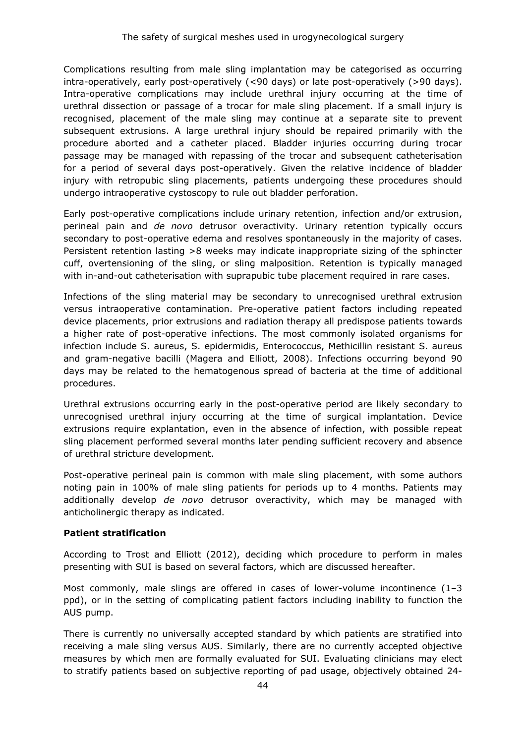Complications resulting from male sling implantation may be categorised as occurring intra-operatively, early post-operatively (<90 days) or late post-operatively (>90 days). Intra-operative complications may include urethral injury occurring at the time of urethral dissection or passage of a trocar for male sling placement. If a small injury is recognised, placement of the male sling may continue at a separate site to prevent subsequent extrusions. A large urethral injury should be repaired primarily with the procedure aborted and a catheter placed. Bladder injuries occurring during trocar passage may be managed with repassing of the trocar and subsequent catheterisation for a period of several days post-operatively. Given the relative incidence of bladder injury with retropubic sling placements, patients undergoing these procedures should undergo intraoperative cystoscopy to rule out bladder perforation.

Early post-operative complications include urinary retention, infection and/or extrusion, perineal pain and *de novo* detrusor overactivity. Urinary retention typically occurs secondary to post-operative edema and resolves spontaneously in the majority of cases. Persistent retention lasting >8 weeks may indicate inappropriate sizing of the sphincter cuff, overtensioning of the sling, or sling malposition. Retention is typically managed with in-and-out catheterisation with suprapubic tube placement required in rare cases.

Infections of the sling material may be secondary to unrecognised urethral extrusion versus intraoperative contamination. Pre-operative patient factors including repeated device placements, prior extrusions and radiation therapy all predispose patients towards a higher rate of post-operative infections. The most commonly isolated organisms for infection include S. aureus, S. epidermidis, Enterococcus, Methicillin resistant S. aureus and gram-negative bacilli (Magera and Elliott, 2008). Infections occurring beyond 90 days may be related to the hematogenous spread of bacteria at the time of additional procedures.

Urethral extrusions occurring early in the post-operative period are likely secondary to unrecognised urethral injury occurring at the time of surgical implantation. Device extrusions require explantation, even in the absence of infection, with possible repeat sling placement performed several months later pending sufficient recovery and absence of urethral stricture development.

Post-operative perineal pain is common with male sling placement, with some authors noting pain in 100% of male sling patients for periods up to 4 months. Patients may additionally develop *de novo* detrusor overactivity, which may be managed with anticholinergic therapy as indicated.

#### **Patient stratification**

According to Trost and Elliott (2012), deciding which procedure to perform in males presenting with SUI is based on several factors, which are discussed hereafter.

Most commonly, male slings are offered in cases of lower-volume incontinence (1–3 ppd), or in the setting of complicating patient factors including inability to function the AUS pump.

There is currently no universally accepted standard by which patients are stratified into receiving a male sling versus AUS. Similarly, there are no currently accepted objective measures by which men are formally evaluated for SUI. Evaluating clinicians may elect to stratify patients based on subjective reporting of pad usage, objectively obtained 24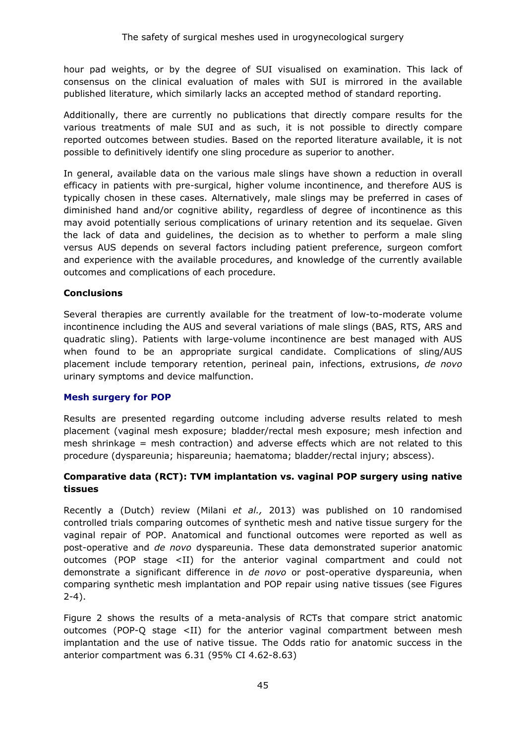hour pad weights, or by the degree of SUI visualised on examination. This lack of consensus on the clinical evaluation of males with SUI is mirrored in the available published literature, which similarly lacks an accepted method of standard reporting.

Additionally, there are currently no publications that directly compare results for the various treatments of male SUI and as such, it is not possible to directly compare reported outcomes between studies. Based on the reported literature available, it is not possible to definitively identify one sling procedure as superior to another.

In general, available data on the various male slings have shown a reduction in overall efficacy in patients with pre-surgical, higher volume incontinence, and therefore AUS is typically chosen in these cases. Alternatively, male slings may be preferred in cases of diminished hand and/or cognitive ability, regardless of degree of incontinence as this may avoid potentially serious complications of urinary retention and its sequelae. Given the lack of data and guidelines, the decision as to whether to perform a male sling versus AUS depends on several factors including patient preference, surgeon comfort and experience with the available procedures, and knowledge of the currently available outcomes and complications of each procedure.

# **Conclusions**

Several therapies are currently available for the treatment of low-to-moderate volume incontinence including the AUS and several variations of male slings (BAS, RTS, ARS and quadratic sling). Patients with large-volume incontinence are best managed with AUS when found to be an appropriate surgical candidate. Complications of sling/AUS placement include temporary retention, perineal pain, infections, extrusions, *de novo* urinary symptoms and device malfunction.

#### **Mesh surgery for POP**

Results are presented regarding outcome including adverse results related to mesh placement (vaginal mesh exposure; bladder/rectal mesh exposure; mesh infection and mesh shrinkage = mesh contraction) and adverse effects which are not related to this procedure (dyspareunia; hispareunia; haematoma; bladder/rectal injury; abscess).

# **Comparative data (RCT): TVM implantation vs. vaginal POP surgery using native tissues**

Recently a (Dutch) review (Milani *et al.,* 2013) was published on 10 randomised controlled trials comparing outcomes of synthetic mesh and native tissue surgery for the vaginal repair of POP. Anatomical and functional outcomes were reported as well as post-operative and *de novo* dyspareunia. These data demonstrated superior anatomic outcomes (POP stage <II) for the anterior vaginal compartment and could not demonstrate a significant difference in *de novo* or post-operative dyspareunia, when comparing synthetic mesh implantation and POP repair using native tissues (see Figures  $2-4$ ).

Figure 2 shows the results of a meta-analysis of RCTs that compare strict anatomic outcomes (POP-Q stage <II) for the anterior vaginal compartment between mesh implantation and the use of native tissue. The Odds ratio for anatomic success in the anterior compartment was 6.31 (95% CI 4.62-8.63)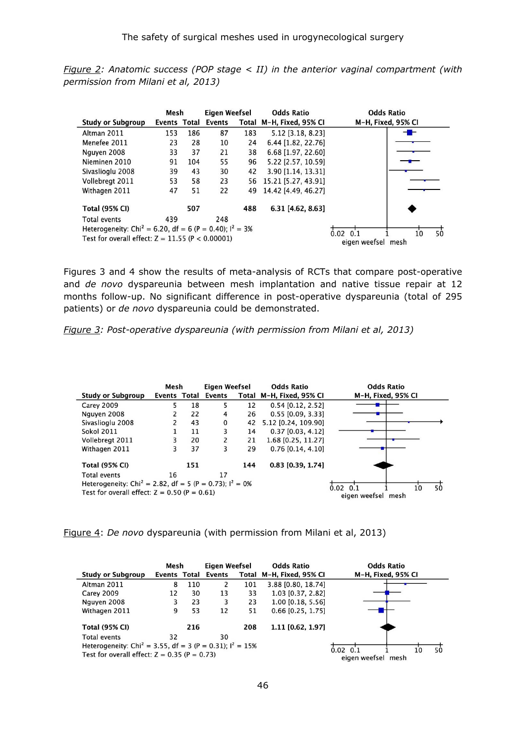*Figure 2: Anatomic success (POP stage < II) in the anterior vaginal compartment (with permission from Milani et al, 2013)*

|                                                                       | Mesh         |     | <b>Eigen Weefsel</b> |     | <b>Odds Ratio</b>        | <b>Odds Ratio</b>                                |
|-----------------------------------------------------------------------|--------------|-----|----------------------|-----|--------------------------|--------------------------------------------------|
| <b>Study or Subgroup</b>                                              | Events Total |     | Events               |     | Total M-H, Fixed, 95% CI | M-H, Fixed, 95% CI                               |
| Altman 2011                                                           | 153          | 186 | 87                   | 183 | 5.12 [3.18, 8.23]        | - -                                              |
| Menefee 2011                                                          | 23           | 28  | 10                   | 24  | 6.44 [1.82, 22.76]       |                                                  |
| Nguyen 2008                                                           | 33           | 37  | 21                   | 38  | 6.68 [1.97, 22.60]       |                                                  |
| Nieminen 2010                                                         | 91           | 104 | 55                   | 96  | 5.22 [2.57, 10.59]       |                                                  |
| Sivaslioglu 2008                                                      | 39           | 43  | 30                   | 42  | 3.90 [1.14, 13.31]       |                                                  |
| Vollebregt 2011                                                       | 53           | 58  | 23                   | 56  | 15.21 [5.27, 43.91]      |                                                  |
| Withagen 2011                                                         | 47           | 51  | 22                   | 49  | 14.42 [4.49, 46.27]      |                                                  |
| <b>Total (95% CI)</b>                                                 |              | 507 |                      | 488 | 6.31 [4.62, 8.63]        |                                                  |
| <b>Total events</b>                                                   | 439          |     | 248                  |     |                          |                                                  |
| Heterogeneity: Chi <sup>2</sup> = 6.20, df = 6 (P = 0.40); $I^2$ = 3% |              |     |                      |     |                          |                                                  |
| Test for overall effect: $Z = 11.55$ (P < 0.00001)                    |              |     |                      |     |                          | 0.02<br>50<br>0.1<br>10<br>eigen weefsel<br>mesh |

Figures 3 and 4 show the results of meta-analysis of RCTs that compare post-operative and *de novo* dyspareunia between mesh implantation and native tissue repair at 12 months follow-up. No significant difference in post-operative dyspareunia (total of 295 patients) or *de novo* dyspareunia could be demonstrated.

*Figure 3: Post-operative dyspareunia (with permission from Milani et al, 2013)* 

|                                                                        | Mesh         |     | Eigen Weefsel |                    | <b>Odds Ratio</b>        | <b>Odds Ratio</b>  |  |    |
|------------------------------------------------------------------------|--------------|-----|---------------|--------------------|--------------------------|--------------------|--|----|
| <b>Study or Subgroup</b>                                               | Events Total |     | <b>Events</b> |                    | Total M-H, Fixed, 95% CI | M-H, Fixed, 95% CI |  |    |
| <b>Carey 2009</b>                                                      | 5            | 18  | 5             | 12                 | $0.54$ [0.12, 2.52]      |                    |  |    |
| Nguyen 2008                                                            |              | 22  | 4             | 26                 | $0.55$ [0.09, 3.33]      |                    |  |    |
| Sivaslioglu 2008                                                       |              | 43  | $\mathbf{0}$  | 42                 | 5.12 [0.24, 109.90]      |                    |  |    |
| <b>Sokol 2011</b>                                                      |              | 11  | 3             | 14                 | $0.37$ [0.03, 4.12]      |                    |  |    |
| Vollebregt 2011                                                        | 3            | 20  | 2             | 21                 | 1.68 [0.25, 11.27]       |                    |  |    |
| Withagen 2011                                                          | 3            | 37  | 3             | 29                 | $0.76$ [0.14, 4.10]      |                    |  |    |
| <b>Total (95% CI)</b>                                                  |              | 151 |               | 144                | $0.83$ [0.39, 1.74]      |                    |  |    |
| <b>Total events</b>                                                    | 16           |     | 17            |                    |                          |                    |  |    |
| Heterogeneity: Chi <sup>2</sup> = 2.82, df = 5 (P = 0.73); $I^2 = 0\%$ |              |     |               |                    |                          | $0.02 \quad 0.1$   |  | 50 |
| Test for overall effect: $Z = 0.50$ (P = 0.61)                         |              |     |               | eigen weefsel mesh | 10                       |                    |  |    |

Figure 4: *De novo* dyspareunia (with permission from Milani et al, 2013)

|                                                                         | Mesh                |     | Eigen Weefsel |                       | <b>Odds Ratio</b>        | <b>Odds Ratio</b>  |    |    |
|-------------------------------------------------------------------------|---------------------|-----|---------------|-----------------------|--------------------------|--------------------|----|----|
| <b>Study or Subgroup</b>                                                | <b>Events Total</b> |     | <b>Events</b> |                       | Total M-H, Fixed, 95% CI | M-H, Fixed, 95% CI |    |    |
| Altman 2011                                                             | 8                   | 110 | 2             | 101                   | 3.88 [0.80, 18.74]       |                    |    |    |
| Carey 2009                                                              | 12                  | 30  | 13            | 33                    | 1.03 [0.37, 2.82]        |                    |    |    |
| Nguyen 2008                                                             | 3                   | 23  | 3             | 23                    | 1.00 [0.18, 5.56]        |                    |    |    |
| Withagen 2011                                                           | 9                   | 53  | 12            | 51                    | 0.66 [0.25, 1.75]        |                    |    |    |
| <b>Total (95% CI)</b>                                                   |                     | 216 |               | 208                   | 1.11 [0.62, 1.97]        |                    |    |    |
| Total events                                                            | 32                  |     | 30            |                       |                          |                    |    |    |
| Heterogeneity: Chi <sup>2</sup> = 3.55, df = 3 (P = 0.31); $I^2 = 15\%$ |                     |     |               |                       |                          | $0.02 \ 0.1$       | 10 | 50 |
| Test for overall effect: $Z = 0.35$ (P = 0.73)                          |                     |     |               | eigen weefsel<br>mesh |                          |                    |    |    |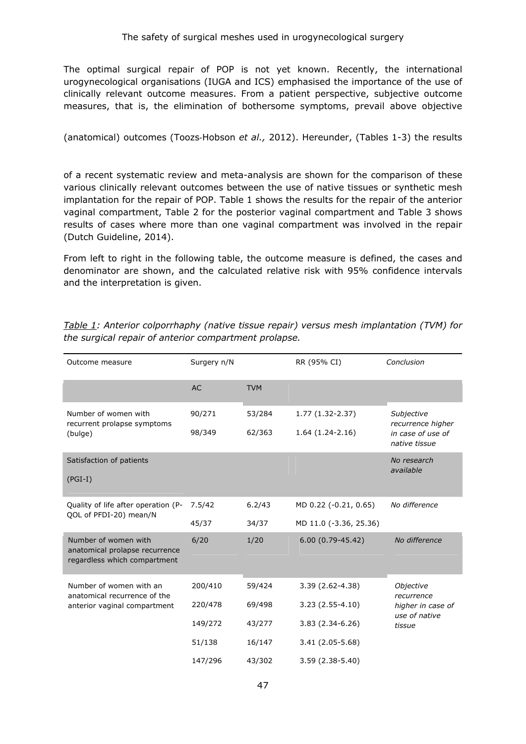The optimal surgical repair of POP is not yet known. Recently, the international urogynecological organisations (IUGA and ICS) emphasised the importance of the use of clinically relevant outcome measures. From a patient perspective, subjective outcome measures, that is, the elimination of bothersome symptoms, prevail above objective

(anatomical) outcomes (Toozs‐Hobson *et al.,* 2012). Hereunder, (Tables 1-3) the results

of a recent systematic review and meta-analysis are shown for the comparison of these various clinically relevant outcomes between the use of native tissues or synthetic mesh implantation for the repair of POP. Table 1 shows the results for the repair of the anterior vaginal compartment, Table 2 for the posterior vaginal compartment and Table 3 shows results of cases where more than one vaginal compartment was involved in the repair (Dutch Guideline, 2014).

From left to right in the following table, the outcome measure is defined, the cases and denominator are shown, and the calculated relative risk with 95% confidence intervals and the interpretation is given.

| Outcome measure                                                                        | Surgery n/N |            | RR (95% CI)            | Conclusion                         |  |
|----------------------------------------------------------------------------------------|-------------|------------|------------------------|------------------------------------|--|
|                                                                                        | <b>AC</b>   | <b>TVM</b> |                        |                                    |  |
| Number of women with<br>recurrent prolapse symptoms                                    | 90/271      | 53/284     | 1.77 (1.32-2.37)       | Subjective<br>recurrence higher    |  |
| (bulge)                                                                                | 98/349      | 62/363     | $1.64(1.24-2.16)$      | in case of use of<br>native tissue |  |
| Satisfaction of patients                                                               |             |            |                        | No research<br>available           |  |
| $(PGI-I)$                                                                              |             |            |                        |                                    |  |
| Quality of life after operation (P-<br>QOL of PFDI-20) mean/N                          | 7.5/42      | 6.2/43     | MD 0.22 (-0.21, 0.65)  | No difference                      |  |
|                                                                                        | 45/37       | 34/37      | MD 11.0 (-3.36, 25.36) |                                    |  |
| Number of women with<br>anatomical prolapse recurrence<br>regardless which compartment | 6/20        | 1/20       | $6.00(0.79 - 45.42)$   | No difference                      |  |
| Number of women with an<br>anatomical recurrence of the                                | 200/410     | 59/424     | $3.39(2.62 - 4.38)$    | Objective<br>recurrence            |  |
| anterior vaginal compartment                                                           | 220/478     | 69/498     | $3.23(2.55-4.10)$      | higher in case of<br>use of native |  |
|                                                                                        | 149/272     | 43/277     | $3.83(2.34-6.26)$      | tissue                             |  |
|                                                                                        | 51/138      | 16/147     | 3.41 (2.05-5.68)       |                                    |  |
|                                                                                        | 147/296     | 43/302     | $3.59(2.38-5.40)$      |                                    |  |

*Table 1: Anterior colporrhaphy (native tissue repair) versus mesh implantation (TVM) for the surgical repair of anterior compartment prolapse.*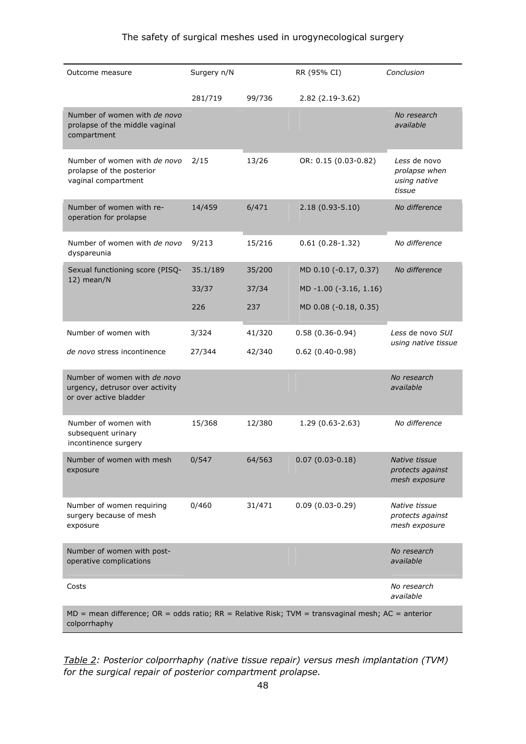| Outcome measure                                                                                                     | Surgery n/N |        | RR (95% CI)            | Conclusion                                              |
|---------------------------------------------------------------------------------------------------------------------|-------------|--------|------------------------|---------------------------------------------------------|
|                                                                                                                     | 281/719     | 99/736 | 2.82 (2.19-3.62)       |                                                         |
| Number of women with de novo<br>prolapse of the middle vaginal<br>compartment                                       |             |        |                        | No research<br>available                                |
| Number of women with de novo<br>prolapse of the posterior<br>vaginal compartment                                    | 2/15        | 13/26  | OR: 0.15 (0.03-0.82)   | Less de novo<br>prolapse when<br>using native<br>tissue |
| Number of women with re-<br>operation for prolapse                                                                  | 14/459      | 6/471  | $2.18(0.93 - 5.10)$    | No difference                                           |
| Number of women with de novo<br>dyspareunia                                                                         | 9/213       | 15/216 | $0.61(0.28-1.32)$      | No difference                                           |
| Sexual functioning score (PISQ-                                                                                     | 35.1/189    | 35/200 | MD 0.10 (-0.17, 0.37)  | No difference                                           |
| 12) mean/N                                                                                                          | 33/37       | 37/34  | MD -1.00 (-3.16, 1.16) |                                                         |
|                                                                                                                     | 226         | 237    | MD 0.08 (-0.18, 0.35)  |                                                         |
| Number of women with                                                                                                | 3/324       | 41/320 | $0.58(0.36 - 0.94)$    | Less de novo SUI                                        |
| de novo stress incontinence                                                                                         | 27/344      | 42/340 | $0.62(0.40-0.98)$      | using native tissue                                     |
| Number of women with de novo<br>urgency, detrusor over activity<br>or over active bladder                           |             |        |                        | No research<br>available                                |
| Number of women with<br>subsequent urinary<br>incontinence surgery                                                  | 15/368      | 12/380 | 1.29 (0.63-2.63)       | No difference                                           |
| Number of women with mesh<br>exposure                                                                               | 0/547       | 64/563 | $0.07(0.03 - 0.18)$    | Native tissue<br>protects against<br>mesh exposure      |
| Number of women requiring<br>surgery because of mesh<br>exposure                                                    | 0/460       | 31/471 | $0.09(0.03-0.29)$      | Native tissue<br>protects against<br>mesh exposure      |
| Number of women with post-<br>operative complications                                                               |             |        |                        | No research<br>available                                |
| Costs                                                                                                               |             |        |                        | No research<br>available                                |
| $MD = mean$ difference; OR = odds ratio; RR = Relative Risk; TVM = transvaginal mesh; AC = anterior<br>colporrhaphy |             |        |                        |                                                         |

*Table 2: Posterior colporrhaphy (native tissue repair) versus mesh implantation (TVM) for the surgical repair of posterior compartment prolapse.*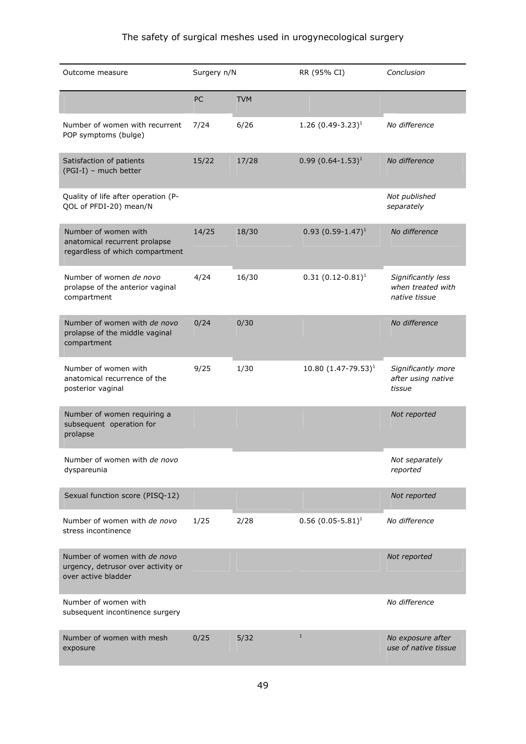# The safety of surgical meshes used in urogynecological surgery

| Outcome measure                                                                           | Surgery n/N |            | RR (95% CI)              | Conclusion                                               |
|-------------------------------------------------------------------------------------------|-------------|------------|--------------------------|----------------------------------------------------------|
|                                                                                           | PC          | <b>TVM</b> |                          |                                                          |
| Number of women with recurrent<br>POP symptoms (bulge)                                    | 7/24        | 6/26       | 1.26 $(0.49-3.23)^1$     | No difference                                            |
| Satisfaction of patients<br>(PGI-I) - much better                                         | 15/22       | 17/28      | $0.99(0.64 - 1.53)^1$    | No difference                                            |
| Quality of life after operation (P-<br>QOL of PFDI-20) mean/N                             |             |            |                          | Not published<br>separately                              |
| Number of women with<br>anatomical recurrent prolapse<br>regardless of which compartment  | 14/25       | 18/30      | $0.93(0.59-1.47)^1$      | No difference                                            |
| Number of women de novo<br>prolapse of the anterior vaginal<br>compartment                | 4/24        | 16/30      | $0.31(0.12-0.81)^1$      | Significantly less<br>when treated with<br>native tissue |
| Number of women with de novo<br>prolapse of the middle vaginal<br>compartment             | 0/24        | 0/30       |                          | No difference                                            |
| Number of women with<br>anatomical recurrence of the<br>posterior vaginal                 | 9/25        | 1/30       | 10.80 $(1.47 - 79.53)^1$ | Significantly more<br>after using native<br>tissue       |
| Number of women requiring a<br>subsequent operation for<br>prolapse                       |             |            |                          | Not reported                                             |
| Number of women with de novo<br>dyspareunia                                               |             |            |                          | Not separately<br>reported                               |
| Sexual function score (PISQ-12)                                                           |             |            |                          | Not reported                                             |
| Number of women with de novo<br>stress incontinence                                       | 1/25        | 2/28       | $0.56(0.05-5.81)^1$      | No difference                                            |
| Number of women with de novo<br>urgency, detrusor over activity or<br>over active bladder |             |            |                          | Not reported                                             |
| Number of women with<br>subsequent incontinence surgery                                   |             |            |                          | No difference                                            |
| Number of women with mesh<br>exposure                                                     | 0/25        | 5/32       | $\,1\,$                  | No exposure after<br>use of native tissue                |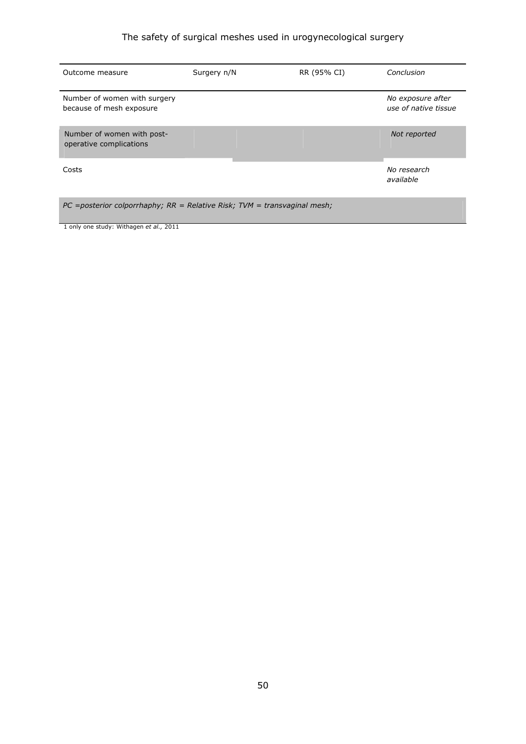# The safety of surgical meshes used in urogynecological surgery

| Outcome measure                                                                | Surgery n/N | RR (95% CI) | Conclusion                                |  |  |  |
|--------------------------------------------------------------------------------|-------------|-------------|-------------------------------------------|--|--|--|
| Number of women with surgery<br>because of mesh exposure                       |             |             | No exposure after<br>use of native tissue |  |  |  |
| Number of women with post-<br>operative complications                          |             |             | Not reported                              |  |  |  |
| Costs                                                                          |             |             | No research<br>available                  |  |  |  |
| $PC$ =posterior colporrhaphy; $RR$ = Relative Risk; $TVM$ = transvaginal mesh; |             |             |                                           |  |  |  |

1 only one study: Withagen *et al.,* 2011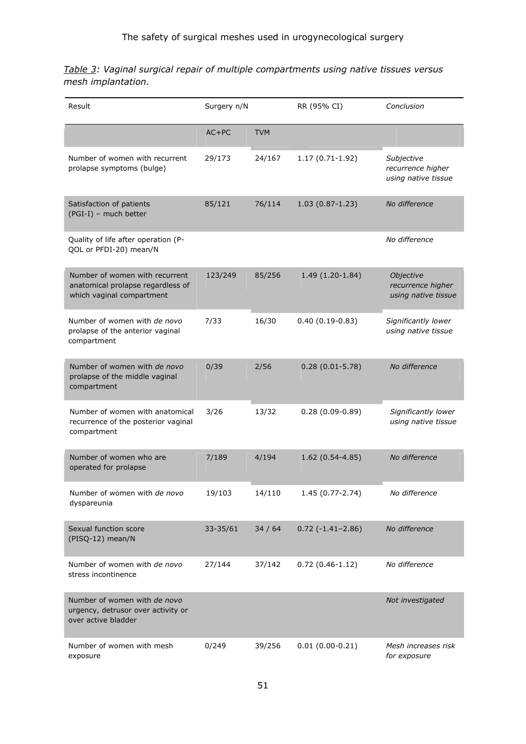*Table 3: Vaginal surgical repair of multiple compartments using native tissues versus mesh implantation.* 

| Surgery n/N<br>Result                                                                            |          |            | RR (95% CI)             | Conclusion                                             |
|--------------------------------------------------------------------------------------------------|----------|------------|-------------------------|--------------------------------------------------------|
|                                                                                                  | $AC+PC$  | <b>TVM</b> |                         |                                                        |
| Number of women with recurrent<br>prolapse symptoms (bulge)                                      | 29/173   | 24/167     | $1.17(0.71-1.92)$       | Subjective<br>recurrence higher<br>using native tissue |
| Satisfaction of patients<br>(PGI-I) - much better                                                | 85/121   | 76/114     | $1.03(0.87 - 1.23)$     | No difference                                          |
| Quality of life after operation (P-<br>QOL or PFDI-20) mean/N                                    |          |            |                         | No difference                                          |
| Number of women with recurrent<br>anatomical prolapse regardless of<br>which vaginal compartment | 123/249  | 85/256     | 1.49 (1.20-1.84)        | Objective<br>recurrence higher<br>using native tissue  |
| Number of women with de novo<br>prolapse of the anterior vaginal<br>compartment                  | 7/33     | 16/30      | $0.40(0.19-0.83)$       | Significantly lower<br>using native tissue             |
| Number of women with de novo<br>prolapse of the middle vaginal<br>compartment                    | 0/39     | 2/56       | $0.28(0.01 - 5.78)$     | No difference                                          |
| Number of women with anatomical<br>recurrence of the posterior vaginal<br>compartment            | 3/26     | 13/32      | $0.28(0.09-0.89)$       | Significantly lower<br>using native tissue             |
| Number of women who are<br>operated for prolapse                                                 | 7/189    | 4/194      | 1.62 (0.54-4.85)        | No difference                                          |
| Number of women with de novo<br>dyspareunia                                                      | 19/103   | 14/110     | 1.45 (0.77-2.74)        | No difference                                          |
| Sexual function score<br>(PISQ-12) mean/N                                                        | 33-35/61 | 34/64      | $0.72$ ( $-1.41-2.86$ ) | No difference                                          |
| Number of women with de novo<br>stress incontinence                                              | 27/144   | 37/142     | $0.72(0.46-1.12)$       | No difference                                          |
| Number of women with de novo<br>urgency, detrusor over activity or<br>over active bladder        |          |            |                         | Not investigated                                       |
| Number of women with mesh<br>exposure                                                            | 0/249    | 39/256     | $0.01(0.00-0.21)$       | Mesh increases risk<br>for exposure                    |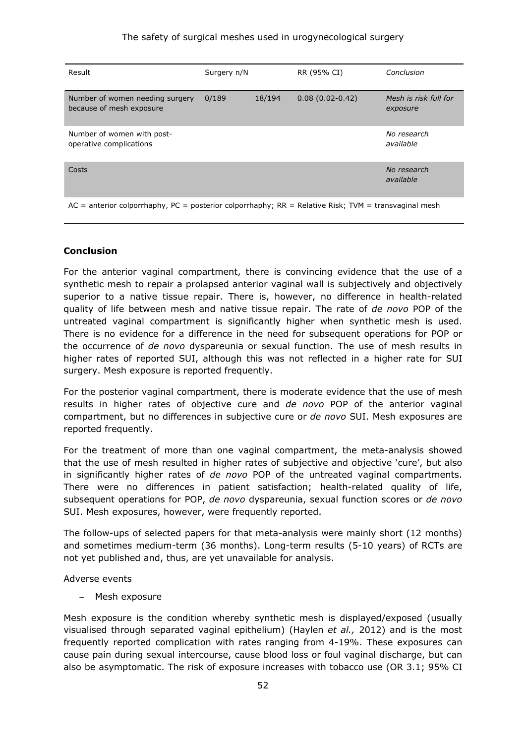| Result                                                                                                 | Surgery n/N |        | RR (95% CI)       | Conclusion                        |
|--------------------------------------------------------------------------------------------------------|-------------|--------|-------------------|-----------------------------------|
| Number of women needing surgery<br>because of mesh exposure                                            | 0/189       | 18/194 | $0.08(0.02-0.42)$ | Mesh is risk full for<br>exposure |
| Number of women with post-<br>operative complications                                                  |             |        |                   | No research<br>available          |
| Costs                                                                                                  |             |        |                   | No research<br>available          |
| $AC =$ anterior colporrhaphy, PC = posterior colporrhaphy; RR = Relative Risk; TVM = transvaginal mesh |             |        |                   |                                   |

# **Conclusion**

For the anterior vaginal compartment, there is convincing evidence that the use of a synthetic mesh to repair a prolapsed anterior vaginal wall is subjectively and objectively superior to a native tissue repair. There is, however, no difference in health-related quality of life between mesh and native tissue repair. The rate of *de novo* POP of the untreated vaginal compartment is significantly higher when synthetic mesh is used. There is no evidence for a difference in the need for subsequent operations for POP or the occurrence of *de novo* dyspareunia or sexual function. The use of mesh results in higher rates of reported SUI, although this was not reflected in a higher rate for SUI surgery. Mesh exposure is reported frequently.

For the posterior vaginal compartment, there is moderate evidence that the use of mesh results in higher rates of objective cure and *de novo* POP of the anterior vaginal compartment, but no differences in subjective cure or *de novo* SUI. Mesh exposures are reported frequently.

For the treatment of more than one vaginal compartment, the meta-analysis showed that the use of mesh resulted in higher rates of subjective and objective 'cure', but also in significantly higher rates of *de novo* POP of the untreated vaginal compartments. There were no differences in patient satisfaction; health-related quality of life, subsequent operations for POP, *de novo* dyspareunia, sexual function scores or *de novo* SUI. Mesh exposures, however, were frequently reported.

The follow-ups of selected papers for that meta-analysis were mainly short (12 months) and sometimes medium-term (36 months). Long-term results (5-10 years) of RCTs are not yet published and, thus, are yet unavailable for analysis.

#### Adverse events

− Mesh exposure

Mesh exposure is the condition whereby synthetic mesh is displayed/exposed (usually visualised through separated vaginal epithelium) (Haylen *et al.,* 2012) and is the most frequently reported complication with rates ranging from 4-19%. These exposures can cause pain during sexual intercourse, cause blood loss or foul vaginal discharge, but can also be asymptomatic. The risk of exposure increases with tobacco use (OR 3.1; 95% CI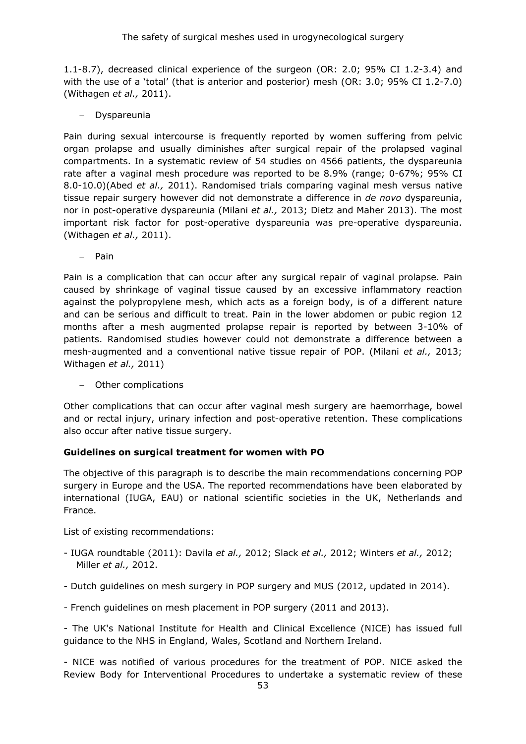1.1-8.7), decreased clinical experience of the surgeon (OR: 2.0; 95% CI 1.2-3.4) and with the use of a 'total' (that is anterior and posterior) mesh (OR: 3.0; 95% CI 1.2-7.0) (Withagen *et al.,* 2011).

− Dyspareunia

Pain during sexual intercourse is frequently reported by women suffering from pelvic organ prolapse and usually diminishes after surgical repair of the prolapsed vaginal compartments. In a systematic review of 54 studies on 4566 patients, the dyspareunia rate after a vaginal mesh procedure was reported to be 8.9% (range; 0-67%; 95% CI 8.0-10.0)(Abed *et al.,* 2011). Randomised trials comparing vaginal mesh versus native tissue repair surgery however did not demonstrate a difference in *de novo* dyspareunia, nor in post-operative dyspareunia (Milani *et al.,* 2013; Dietz and Maher 2013). The most important risk factor for post-operative dyspareunia was pre-operative dyspareunia. (Withagen *et al.,* 2011).

− Pain

Pain is a complication that can occur after any surgical repair of vaginal prolapse. Pain caused by shrinkage of vaginal tissue caused by an excessive inflammatory reaction against the polypropylene mesh, which acts as a foreign body, is of a different nature and can be serious and difficult to treat. Pain in the lower abdomen or pubic region 12 months after a mesh augmented prolapse repair is reported by between 3-10% of patients. Randomised studies however could not demonstrate a difference between a mesh-augmented and a conventional native tissue repair of POP. (Milani *et al.,* 2013; Withagen *et al.,* 2011)

− Other complications

Other complications that can occur after vaginal mesh surgery are haemorrhage, bowel and or rectal injury, urinary infection and post-operative retention. These complications also occur after native tissue surgery.

# **Guidelines on surgical treatment for women with PO**

The objective of this paragraph is to describe the main recommendations concerning POP surgery in Europe and the USA. The reported recommendations have been elaborated by international (IUGA, EAU) or national scientific societies in the UK, Netherlands and France.

List of existing recommendations:

- IUGA roundtable (2011): Davila *et al.,* 2012; Slack *et al.,* 2012; Winters *et al.,* 2012; Miller *et al.,* 2012.
- Dutch guidelines on mesh surgery in POP surgery and MUS (2012, updated in 2014).

- French guidelines on mesh placement in POP surgery (2011 and 2013).

- The UK's National Institute for Health and Clinical Excellence (NICE) has issued full guidance to the NHS in England, Wales, Scotland and Northern Ireland.

- NICE was notified of various procedures for the treatment of POP. NICE asked the Review Body for Interventional Procedures to undertake a systematic review of these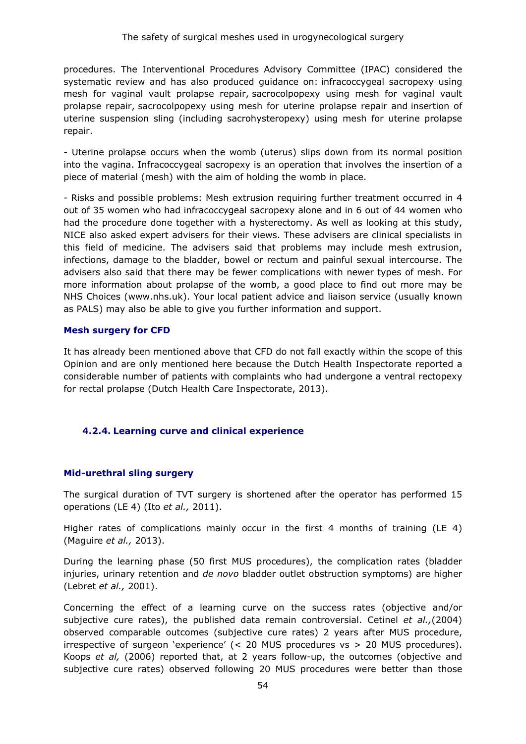procedures. The Interventional Procedures Advisory Committee (IPAC) considered the systematic review and has also produced guidance on: infracoccygeal sacropexy using mesh for vaginal vault prolapse repair, sacrocolpopexy using mesh for vaginal vault prolapse repair, sacrocolpopexy using mesh for uterine prolapse repair and insertion of uterine suspension sling (including sacrohysteropexy) using mesh for uterine prolapse repair.

- Uterine prolapse occurs when the womb (uterus) slips down from its normal position into the vagina. Infracoccygeal sacropexy is an operation that involves the insertion of a piece of material (mesh) with the aim of holding the womb in place.

- Risks and possible problems: Mesh extrusion requiring further treatment occurred in 4 out of 35 women who had infracoccygeal sacropexy alone and in 6 out of 44 women who had the procedure done together with a hysterectomy. As well as looking at this study, NICE also asked expert advisers for their views. These advisers are clinical specialists in this field of medicine. The advisers said that problems may include mesh extrusion, infections, damage to the bladder, bowel or rectum and painful sexual intercourse. The advisers also said that there may be fewer complications with newer types of mesh. For more information about prolapse of the womb, a good place to find out more may be NHS Choices (www.nhs.uk). Your local patient advice and liaison service (usually known as PALS) may also be able to give you further information and support.

#### **Mesh surgery for CFD**

It has already been mentioned above that CFD do not fall exactly within the scope of this Opinion and are only mentioned here because the Dutch Health Inspectorate reported a considerable number of patients with complaints who had undergone a ventral rectopexy for rectal prolapse (Dutch Health Care Inspectorate, 2013).

#### **4.2.4. Learning curve and clinical experience**

#### **Mid-urethral sling surgery**

The surgical duration of TVT surgery is shortened after the operator has performed 15 operations (LE 4) (Ito *et al.,* 2011).

Higher rates of complications mainly occur in the first 4 months of training (LE 4) (Maguire *et al.,* 2013).

During the learning phase (50 first MUS procedures), the complication rates (bladder injuries, urinary retention and *de novo* bladder outlet obstruction symptoms) are higher (Lebret *et al.,* 2001).

Concerning the effect of a learning curve on the success rates (objective and/or subjective cure rates), the published data remain controversial. Cetinel *et al.,*(2004) observed comparable outcomes (subjective cure rates) 2 years after MUS procedure, irrespective of surgeon 'experience' (< 20 MUS procedures vs > 20 MUS procedures). Koops *et al,* (2006) reported that, at 2 years follow-up, the outcomes (objective and subjective cure rates) observed following 20 MUS procedures were better than those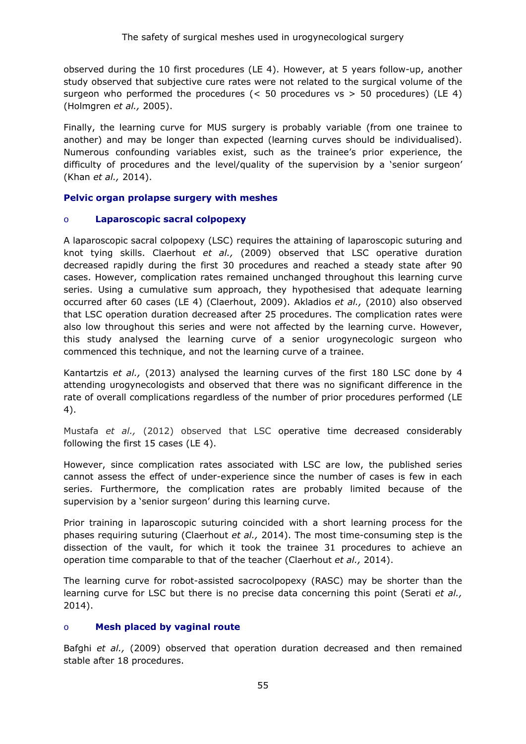observed during the 10 first procedures (LE 4). However, at 5 years follow-up, another study observed that subjective cure rates were not related to the surgical volume of the surgeon who performed the procedures  $\langle$  < 50 procedures vs > 50 procedures) (LE 4) (Holmgren *et al.,* 2005).

Finally, the learning curve for MUS surgery is probably variable (from one trainee to another) and may be longer than expected (learning curves should be individualised). Numerous confounding variables exist, such as the trainee's prior experience, the difficulty of procedures and the level/quality of the supervision by a 'senior surgeon' (Khan *et al.,* 2014).

# **Pelvic organ prolapse surgery with meshes**

# o **Laparoscopic sacral colpopexy**

A laparoscopic sacral colpopexy (LSC) requires the attaining of laparoscopic suturing and knot tying skills. Claerhout *et al.,* (2009) observed that LSC operative duration decreased rapidly during the first 30 procedures and reached a steady state after 90 cases. However, complication rates remained unchanged throughout this learning curve series. Using a cumulative sum approach, they hypothesised that adequate learning occurred after 60 cases (LE 4) (Claerhout, 2009). Akladios *et al.,* (2010) also observed that LSC operation duration decreased after 25 procedures. The complication rates were also low throughout this series and were not affected by the learning curve. However, this study analysed the learning curve of a senior urogynecologic surgeon who commenced this technique, and not the learning curve of a trainee.

Kantartzis *et al.,* (2013) analysed the learning curves of the first 180 LSC done by 4 attending urogynecologists and observed that there was no significant difference in the rate of overall complications regardless of the number of prior procedures performed (LE 4).

Mustafa *et al.,* (2012) observed that LSC operative time decreased considerably following the first 15 cases (LE 4).

However, since complication rates associated with LSC are low, the published series cannot assess the effect of under-experience since the number of cases is few in each series. Furthermore, the complication rates are probably limited because of the supervision by a 'senior surgeon' during this learning curve.

Prior training in laparoscopic suturing coincided with a short learning process for the phases requiring suturing (Claerhout *et al.,* 2014). The most time-consuming step is the dissection of the vault, for which it took the trainee 31 procedures to achieve an operation time comparable to that of the teacher (Claerhout *et al.,* 2014).

The learning curve for robot-assisted sacrocolpopexy (RASC) may be shorter than the learning curve for LSC but there is no precise data concerning this point (Serati *et al.,* 2014).

#### o **Mesh placed by vaginal route**

Bafghi *et al.,* (2009) observed that operation duration decreased and then remained stable after 18 procedures.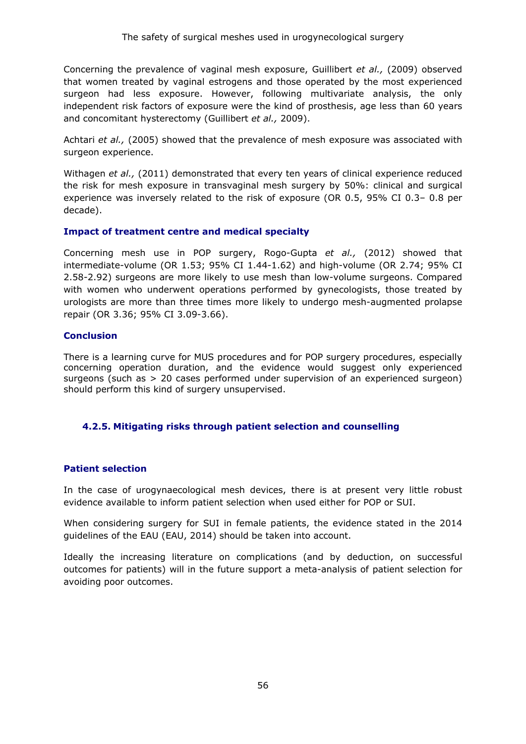Concerning the prevalence of vaginal mesh exposure, Guillibert *et al.,* (2009) observed that women treated by vaginal estrogens and those operated by the most experienced surgeon had less exposure. However, following multivariate analysis, the only independent risk factors of exposure were the kind of prosthesis, age less than 60 years and concomitant hysterectomy (Guillibert *et al.,* 2009).

Achtari *et al.,* (2005) showed that the prevalence of mesh exposure was associated with surgeon experience.

Withagen *et al.,* (2011) demonstrated that every ten years of clinical experience reduced the risk for mesh exposure in transvaginal mesh surgery by 50%: clinical and surgical experience was inversely related to the risk of exposure (OR 0.5, 95% CI 0.3– 0.8 per decade).

# **Impact of treatment centre and medical specialty**

Concerning mesh use in POP surgery, Rogo-Gupta *et al.,* (2012) showed that intermediate-volume (OR 1.53; 95% CI 1.44-1.62) and high-volume (OR 2.74; 95% CI 2.58-2.92) surgeons are more likely to use mesh than low-volume surgeons. Compared with women who underwent operations performed by gynecologists, those treated by urologists are more than three times more likely to undergo mesh-augmented prolapse repair (OR 3.36; 95% CI 3.09-3.66).

#### **Conclusion**

There is a learning curve for MUS procedures and for POP surgery procedures, especially concerning operation duration, and the evidence would suggest only experienced surgeons (such as > 20 cases performed under supervision of an experienced surgeon) should perform this kind of surgery unsupervised.

# **4.2.5. Mitigating risks through patient selection and counselling**

# **Patient selection**

In the case of urogynaecological mesh devices, there is at present very little robust evidence available to inform patient selection when used either for POP or SUI.

When considering surgery for SUI in female patients, the evidence stated in the 2014 guidelines of the EAU (EAU, 2014) should be taken into account.

Ideally the increasing literature on complications (and by deduction, on successful outcomes for patients) will in the future support a meta-analysis of patient selection for avoiding poor outcomes.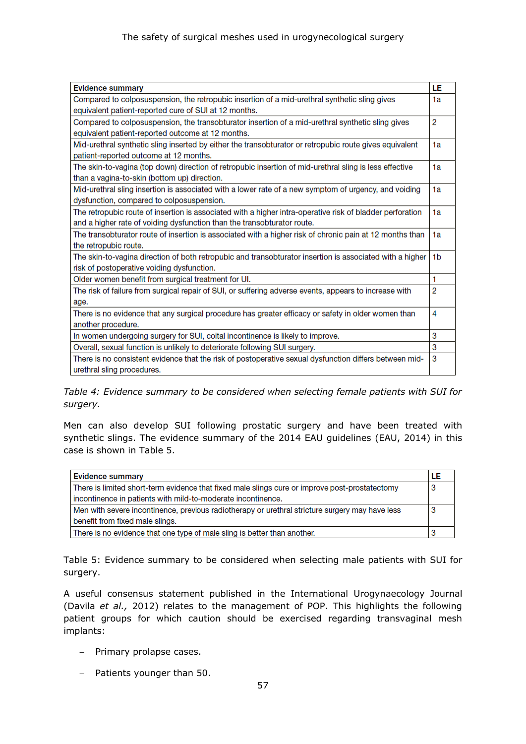| <b>Evidence summary</b>                                                                                   | LE             |
|-----------------------------------------------------------------------------------------------------------|----------------|
| Compared to colposuspension, the retropubic insertion of a mid-urethral synthetic sling gives             | 1a             |
| equivalent patient-reported cure of SUI at 12 months.                                                     |                |
| Compared to colposuspension, the transobturator insertion of a mid-urethral synthetic sling gives         | $\overline{2}$ |
| equivalent patient-reported outcome at 12 months.                                                         |                |
| Mid-urethral synthetic sling inserted by either the transobturator or retropubic route gives equivalent   | 1a             |
| patient-reported outcome at 12 months.                                                                    |                |
| The skin-to-vagina (top down) direction of retropubic insertion of mid-urethral sling is less effective   | 1a             |
| than a vagina-to-skin (bottom up) direction.                                                              |                |
| Mid-urethral sling insertion is associated with a lower rate of a new symptom of urgency, and voiding     | 1a             |
| dysfunction, compared to colposuspension.                                                                 |                |
| The retropubic route of insertion is associated with a higher intra-operative risk of bladder perforation | 1a             |
| and a higher rate of voiding dysfunction than the transobturator route.                                   |                |
| The transobturator route of insertion is associated with a higher risk of chronic pain at 12 months than  | 1a             |
| the retropubic route.                                                                                     |                |
| The skin-to-vagina direction of both retropubic and transobturator insertion is associated with a higher  | 1 <sub>b</sub> |
| risk of postoperative voiding dysfunction.                                                                |                |
| Older women benefit from surgical treatment for UI.                                                       | 1              |
| The risk of failure from surgical repair of SUI, or suffering adverse events, appears to increase with    | 2              |
| age.                                                                                                      |                |
| There is no evidence that any surgical procedure has greater efficacy or safety in older women than       | 4              |
| another procedure.                                                                                        |                |
| In women undergoing surgery for SUI, coital incontinence is likely to improve.                            | 3              |
| Overall, sexual function is unlikely to deteriorate following SUI surgery.                                | 3              |
| There is no consistent evidence that the risk of postoperative sexual dysfunction differs between mid-    | 3              |
| urethral sling procedures.                                                                                |                |

*Table 4: Evidence summary to be considered when selecting female patients with SUI for surgery.* 

Men can also develop SUI following prostatic surgery and have been treated with synthetic slings. The evidence summary of the 2014 EAU guidelines (EAU, 2014) in this case is shown in Table 5.

| <b>Evidence summary</b>                                                                         | LE |
|-------------------------------------------------------------------------------------------------|----|
| There is limited short-term evidence that fixed male slings cure or improve post-prostatectomy  | -3 |
| incontinence in patients with mild-to-moderate incontinence.                                    |    |
| Men with severe incontinence, previous radiotherapy or urethral stricture surgery may have less | 3  |
| benefit from fixed male slings.                                                                 |    |
| There is no evidence that one type of male sling is better than another.                        |    |

Table 5: Evidence summary to be considered when selecting male patients with SUI for surgery.

A useful consensus statement published in the International Urogynaecology Journal (Davila *et al.,* 2012) relates to the management of POP. This highlights the following patient groups for which caution should be exercised regarding transvaginal mesh implants:

- − Primary prolapse cases.
- − Patients younger than 50.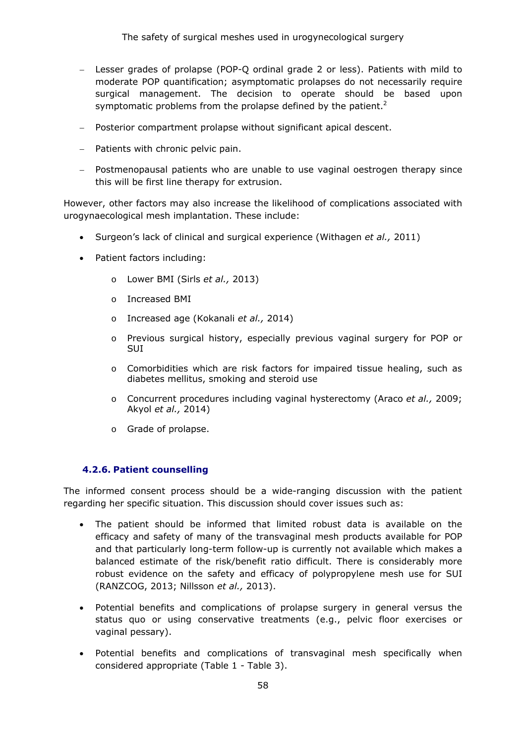- − Lesser grades of prolapse (POP-Q ordinal grade 2 or less). Patients with mild to moderate POP quantification; asymptomatic prolapses do not necessarily require surgical management. The decision to operate should be based upon symptomatic problems from the prolapse defined by the patient.<sup>2</sup>
- − Posterior compartment prolapse without significant apical descent.
- − Patients with chronic pelvic pain.
- − Postmenopausal patients who are unable to use vaginal oestrogen therapy since this will be first line therapy for extrusion.

However, other factors may also increase the likelihood of complications associated with urogynaecological mesh implantation. These include:

- Surgeon's lack of clinical and surgical experience (Withagen *et al.,* 2011)
- Patient factors including:
	- o Lower BMI (Sirls *et al.,* 2013)
	- o Increased BMI
	- o Increased age (Kokanali *et al.,* 2014)
	- o Previous surgical history, especially previous vaginal surgery for POP or SUI
	- o Comorbidities which are risk factors for impaired tissue healing, such as diabetes mellitus, smoking and steroid use
	- o Concurrent procedures including vaginal hysterectomy (Araco *et al.,* 2009; Akyol *et al.,* 2014)
	- o Grade of prolapse.

#### **4.2.6. Patient counselling**

The informed consent process should be a wide-ranging discussion with the patient regarding her specific situation. This discussion should cover issues such as:

- The patient should be informed that limited robust data is available on the efficacy and safety of many of the transvaginal mesh products available for POP and that particularly long-term follow-up is currently not available which makes a balanced estimate of the risk/benefit ratio difficult. There is considerably more robust evidence on the safety and efficacy of polypropylene mesh use for SUI (RANZCOG, 2013; Nillsson *et al.,* 2013).
- Potential benefits and complications of prolapse surgery in general versus the status quo or using conservative treatments (e.g., pelvic floor exercises or vaginal pessary).
- Potential benefits and complications of transvaginal mesh specifically when considered appropriate (Table 1 - Table 3).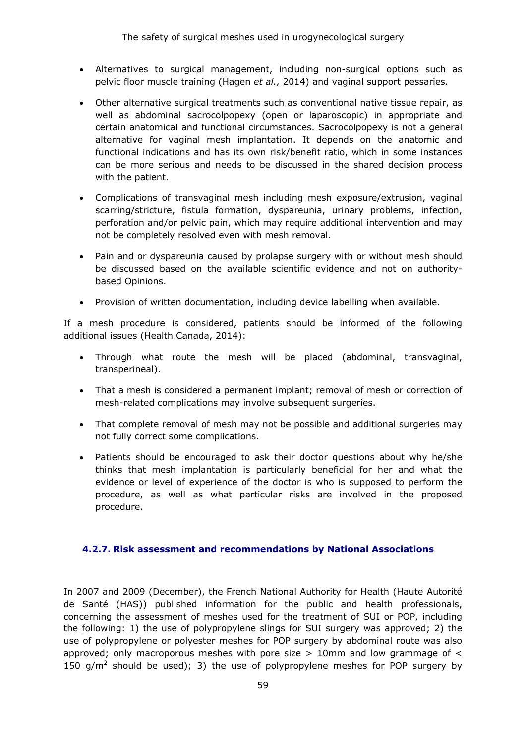- Alternatives to surgical management, including non-surgical options such as pelvic floor muscle training (Hagen *et al.,* 2014) and vaginal support pessaries.
- Other alternative surgical treatments such as conventional native tissue repair, as well as abdominal sacrocolpopexy (open or laparoscopic) in appropriate and certain anatomical and functional circumstances. Sacrocolpopexy is not a general alternative for vaginal mesh implantation. It depends on the anatomic and functional indications and has its own risk/benefit ratio, which in some instances can be more serious and needs to be discussed in the shared decision process with the patient.
- Complications of transvaginal mesh including mesh exposure/extrusion, vaginal scarring/stricture, fistula formation, dyspareunia, urinary problems, infection, perforation and/or pelvic pain, which may require additional intervention and may not be completely resolved even with mesh removal.
- Pain and or dyspareunia caused by prolapse surgery with or without mesh should be discussed based on the available scientific evidence and not on authoritybased Opinions.
- Provision of written documentation, including device labelling when available.

If a mesh procedure is considered, patients should be informed of the following additional issues (Health Canada, 2014):

- Through what route the mesh will be placed (abdominal, transvaginal, transperineal).
- That a mesh is considered a permanent implant; removal of mesh or correction of mesh-related complications may involve subsequent surgeries.
- That complete removal of mesh may not be possible and additional surgeries may not fully correct some complications.
- Patients should be encouraged to ask their doctor questions about why he/she thinks that mesh implantation is particularly beneficial for her and what the evidence or level of experience of the doctor is who is supposed to perform the procedure, as well as what particular risks are involved in the proposed procedure.

#### **4.2.7. Risk assessment and recommendations by National Associations**

In 2007 and 2009 (December), the French National Authority for Health (Haute Autorité de Santé (HAS)) published information for the public and health professionals, concerning the assessment of meshes used for the treatment of SUI or POP, including the following: 1) the use of polypropylene slings for SUI surgery was approved; 2) the use of polypropylene or polyester meshes for POP surgery by abdominal route was also approved; only macroporous meshes with pore size  $> 10$ mm and low grammage of  $<$ 150 g/ $m^2$  should be used); 3) the use of polypropylene meshes for POP surgery by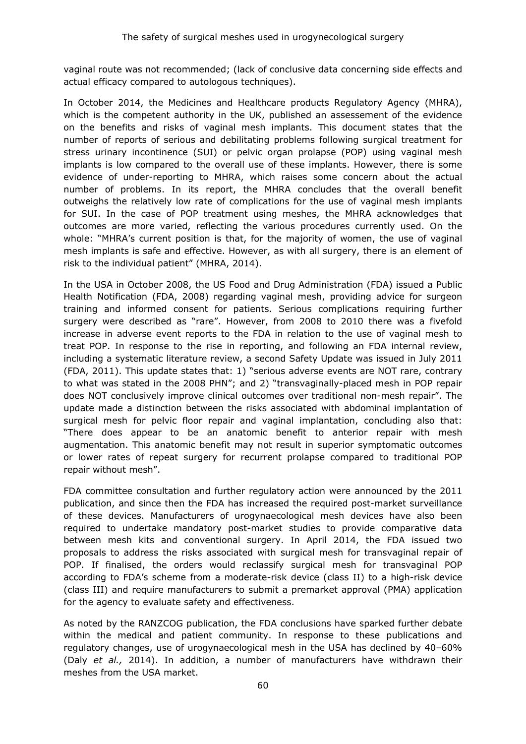vaginal route was not recommended; (lack of conclusive data concerning side effects and actual efficacy compared to autologous techniques).

In October 2014, the Medicines and Healthcare products Regulatory Agency (MHRA), which is the competent authority in the UK, published an assessement of the evidence on the benefits and risks of vaginal mesh implants. This document states that the number of reports of serious and debilitating problems following surgical treatment for stress urinary incontinence (SUI) or pelvic organ prolapse (POP) using vaginal mesh implants is low compared to the overall use of these implants. However, there is some evidence of under-reporting to MHRA, which raises some concern about the actual number of problems. In its report, the MHRA concludes that the overall benefit outweighs the relatively low rate of complications for the use of vaginal mesh implants for SUI. In the case of POP treatment using meshes, the MHRA acknowledges that outcomes are more varied, reflecting the various procedures currently used. On the whole: "MHRA's current position is that, for the majority of women, the use of vaginal mesh implants is safe and effective. However, as with all surgery, there is an element of risk to the individual patient" (MHRA, 2014).

In the USA in October 2008, the US Food and Drug Administration (FDA) issued a Public Health Notification (FDA, 2008) regarding vaginal mesh, providing advice for surgeon training and informed consent for patients. Serious complications requiring further surgery were described as "rare". However, from 2008 to 2010 there was a fivefold increase in adverse event reports to the FDA in relation to the use of vaginal mesh to treat POP. In response to the rise in reporting, and following an FDA internal review, including a systematic literature review, a second Safety Update was issued in July 2011 (FDA, 2011). This update states that: 1) "serious adverse events are NOT rare, contrary to what was stated in the 2008 PHN"; and 2) "transvaginally-placed mesh in POP repair does NOT conclusively improve clinical outcomes over traditional non-mesh repair". The update made a distinction between the risks associated with abdominal implantation of surgical mesh for pelvic floor repair and vaginal implantation, concluding also that: "There does appear to be an anatomic benefit to anterior repair with mesh augmentation. This anatomic benefit may not result in superior symptomatic outcomes or lower rates of repeat surgery for recurrent prolapse compared to traditional POP repair without mesh".

FDA committee consultation and further regulatory action were announced by the 2011 publication, and since then the FDA has increased the required post-market surveillance of these devices. Manufacturers of urogynaecological mesh devices have also been required to undertake mandatory post-market studies to provide comparative data between mesh kits and conventional surgery. In April 2014, the FDA issued two proposals to address the risks associated with surgical mesh for transvaginal repair of POP. If finalised, the orders would reclassify surgical mesh for transvaginal POP according to FDA's scheme from a moderate-risk device (class II) to a high-risk device (class III) and require manufacturers to submit a premarket approval (PMA) application for the agency to evaluate safety and effectiveness.

As noted by the RANZCOG publication, the FDA conclusions have sparked further debate within the medical and patient community. In response to these publications and regulatory changes, use of urogynaecological mesh in the USA has declined by 40–60% (Daly *et al.,* 2014). In addition, a number of manufacturers have withdrawn their meshes from the USA market.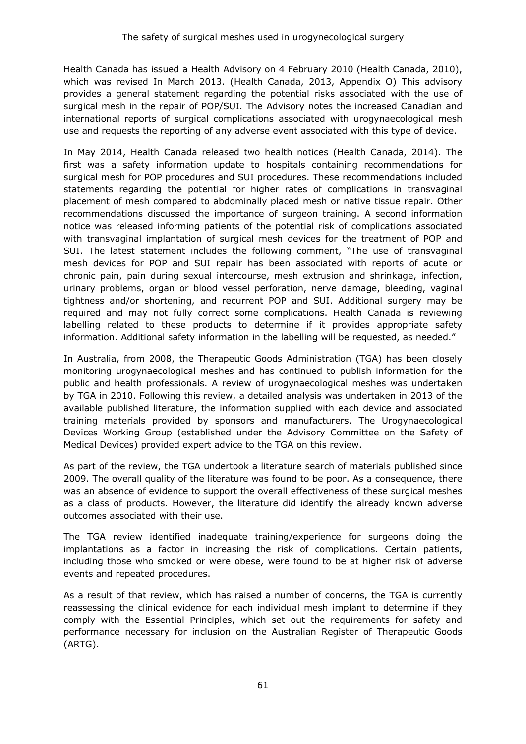Health Canada has issued a Health Advisory on 4 February 2010 (Health Canada, 2010), which was revised In March 2013. (Health Canada, 2013, Appendix O) This advisory provides a general statement regarding the potential risks associated with the use of surgical mesh in the repair of POP/SUI. The Advisory notes the increased Canadian and international reports of surgical complications associated with urogynaecological mesh use and requests the reporting of any adverse event associated with this type of device.

In May 2014, Health Canada released two health notices (Health Canada, 2014). The first was a safety information update to hospitals containing recommendations for surgical mesh for POP procedures and SUI procedures. These recommendations included statements regarding the potential for higher rates of complications in transvaginal placement of mesh compared to abdominally placed mesh or native tissue repair. Other recommendations discussed the importance of surgeon training. A second information notice was released informing patients of the potential risk of complications associated with transvaginal implantation of surgical mesh devices for the treatment of POP and SUI. The latest statement includes the following comment, "The use of transvaginal mesh devices for POP and SUI repair has been associated with reports of acute or chronic pain, pain during sexual intercourse, mesh extrusion and shrinkage, infection, urinary problems, organ or blood vessel perforation, nerve damage, bleeding, vaginal tightness and/or shortening, and recurrent POP and SUI. Additional surgery may be required and may not fully correct some complications. Health Canada is reviewing labelling related to these products to determine if it provides appropriate safety information. Additional safety information in the labelling will be requested, as needed."

In Australia, from 2008, the Therapeutic Goods Administration (TGA) has been closely monitoring urogynaecological meshes and has continued to publish information for the public and health professionals. A review of urogynaecological meshes was undertaken by TGA in 2010. Following this review, a detailed analysis was undertaken in 2013 of the available published literature, the information supplied with each device and associated training materials provided by sponsors and manufacturers. The Urogynaecological Devices Working Group (established under the Advisory Committee on the Safety of Medical Devices) provided expert advice to the TGA on this review.

As part of the review, the TGA undertook a literature search of materials published since 2009. The overall quality of the literature was found to be poor. As a consequence, there was an absence of evidence to support the overall effectiveness of these surgical meshes as a class of products. However, the literature did identify the already known adverse outcomes associated with their use.

The TGA review identified inadequate training/experience for surgeons doing the implantations as a factor in increasing the risk of complications. Certain patients, including those who smoked or were obese, were found to be at higher risk of adverse events and repeated procedures.

As a result of that review, which has raised a number of concerns, the TGA is currently reassessing the clinical evidence for each individual mesh implant to determine if they comply with the Essential Principles, which set out the requirements for safety and performance necessary for inclusion on the Australian Register of Therapeutic Goods (ARTG).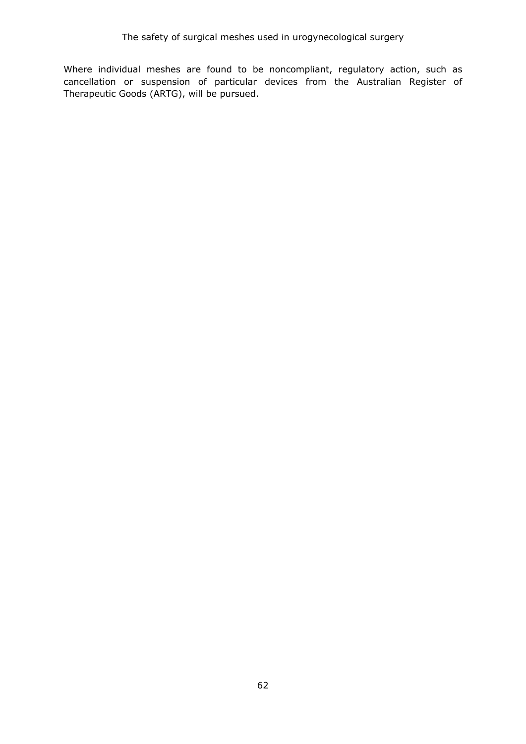Where individual meshes are found to be noncompliant, regulatory action, such as cancellation or suspension of particular devices from the Australian Register of Therapeutic Goods (ARTG), will be pursued.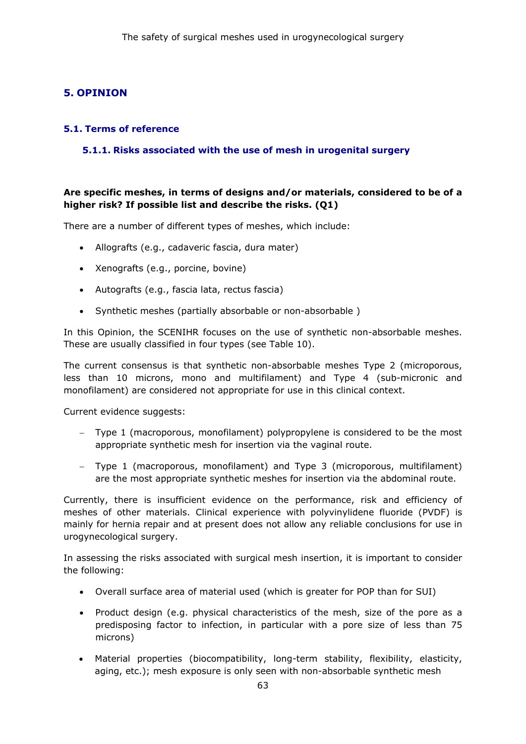# **5. OPINION**

#### **5.1. Terms of reference**

### **5.1.1. Risks associated with the use of mesh in urogenital surgery**

# **Are specific meshes, in terms of designs and/or materials, considered to be of a higher risk? If possible list and describe the risks. (Q1)**

There are a number of different types of meshes, which include:

- Allografts (e.g., cadaveric fascia, dura mater)
- Xenografts (e.g., porcine, bovine)
- Autografts (e.g., fascia lata, rectus fascia)
- Synthetic meshes (partially absorbable or non-absorbable )

In this Opinion, the SCENIHR focuses on the use of synthetic non-absorbable meshes. These are usually classified in four types (see Table 10).

The current consensus is that synthetic non-absorbable meshes Type 2 (microporous, less than 10 microns, mono and multifilament) and Type 4 (sub-micronic and monofilament) are considered not appropriate for use in this clinical context.

Current evidence suggests:

- − Type 1 (macroporous, monofilament) polypropylene is considered to be the most appropriate synthetic mesh for insertion via the vaginal route.
- − Type 1 (macroporous, monofilament) and Type 3 (microporous, multifilament) are the most appropriate synthetic meshes for insertion via the abdominal route.

Currently, there is insufficient evidence on the performance, risk and efficiency of meshes of other materials. Clinical experience with polyvinylidene fluoride (PVDF) is mainly for hernia repair and at present does not allow any reliable conclusions for use in urogynecological surgery.

In assessing the risks associated with surgical mesh insertion, it is important to consider the following:

- Overall surface area of material used (which is greater for POP than for SUI)
- Product design (e.g. physical characteristics of the mesh, size of the pore as a predisposing factor to infection, in particular with a pore size of less than 75 microns)
- Material properties (biocompatibility, long-term stability, flexibility, elasticity, aging, etc.); mesh exposure is only seen with non-absorbable synthetic mesh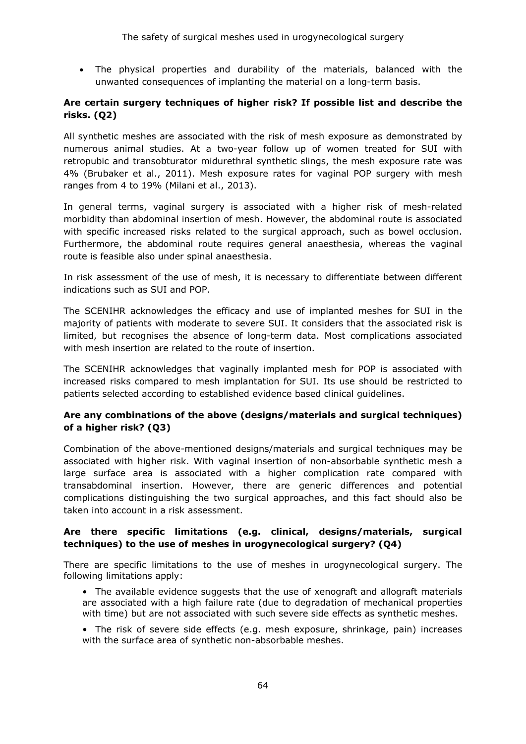• The physical properties and durability of the materials, balanced with the unwanted consequences of implanting the material on a long-term basis.

# **Are certain surgery techniques of higher risk? If possible list and describe the risks. (Q2)**

All synthetic meshes are associated with the risk of mesh exposure as demonstrated by numerous animal studies. At a two-year follow up of women treated for SUI with retropubic and transobturator midurethral synthetic slings, the mesh exposure rate was 4% (Brubaker et al., 2011). Mesh exposure rates for vaginal POP surgery with mesh ranges from 4 to 19% (Milani et al., 2013).

In general terms, vaginal surgery is associated with a higher risk of mesh-related morbidity than abdominal insertion of mesh. However, the abdominal route is associated with specific increased risks related to the surgical approach, such as bowel occlusion. Furthermore, the abdominal route requires general anaesthesia, whereas the vaginal route is feasible also under spinal anaesthesia.

In risk assessment of the use of mesh, it is necessary to differentiate between different indications such as SUI and POP.

The SCENIHR acknowledges the efficacy and use of implanted meshes for SUI in the majority of patients with moderate to severe SUI. It considers that the associated risk is limited, but recognises the absence of long-term data. Most complications associated with mesh insertion are related to the route of insertion.

The SCENIHR acknowledges that vaginally implanted mesh for POP is associated with increased risks compared to mesh implantation for SUI. Its use should be restricted to patients selected according to established evidence based clinical guidelines.

# **Are any combinations of the above (designs/materials and surgical techniques) of a higher risk? (Q3)**

Combination of the above-mentioned designs/materials and surgical techniques may be associated with higher risk. With vaginal insertion of non-absorbable synthetic mesh a large surface area is associated with a higher complication rate compared with transabdominal insertion. However, there are generic differences and potential complications distinguishing the two surgical approaches, and this fact should also be taken into account in a risk assessment.

# **Are there specific limitations (e.g. clinical, designs/materials, surgical techniques) to the use of meshes in urogynecological surgery? (Q4)**

There are specific limitations to the use of meshes in urogynecological surgery. The following limitations apply:

- The available evidence suggests that the use of xenograft and allograft materials are associated with a high failure rate (due to degradation of mechanical properties with time) but are not associated with such severe side effects as synthetic meshes.
- The risk of severe side effects (e.g. mesh exposure, shrinkage, pain) increases with the surface area of synthetic non-absorbable meshes.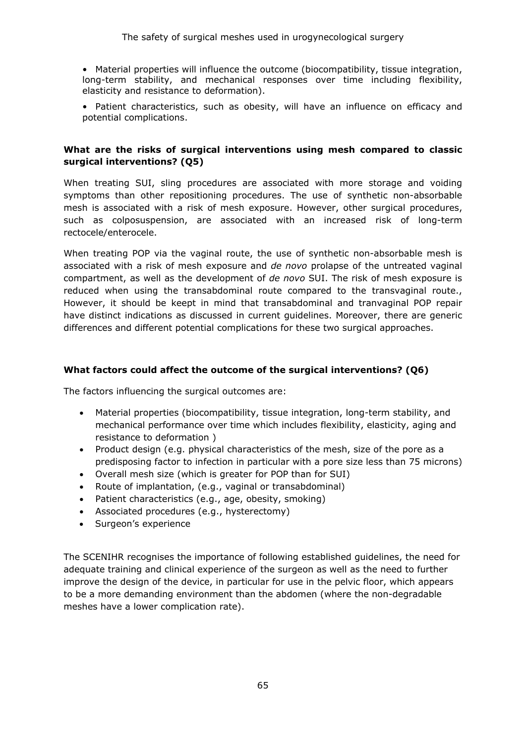- Material properties will influence the outcome (biocompatibility, tissue integration, long-term stability, and mechanical responses over time including flexibility, elasticity and resistance to deformation).
- Patient characteristics, such as obesity, will have an influence on efficacy and potential complications.

#### **What are the risks of surgical interventions using mesh compared to classic surgical interventions? (Q5)**

When treating SUI, sling procedures are associated with more storage and voiding symptoms than other repositioning procedures. The use of synthetic non-absorbable mesh is associated with a risk of mesh exposure. However, other surgical procedures, such as colposuspension, are associated with an increased risk of long-term rectocele/enterocele.

When treating POP via the vaginal route, the use of synthetic non-absorbable mesh is associated with a risk of mesh exposure and *de novo* prolapse of the untreated vaginal compartment, as well as the development of *de novo* SUI. The risk of mesh exposure is reduced when using the transabdominal route compared to the transvaginal route., However, it should be keept in mind that transabdominal and tranvaginal POP repair have distinct indications as discussed in current guidelines. Moreover, there are generic differences and different potential complications for these two surgical approaches.

### **What factors could affect the outcome of the surgical interventions? (Q6)**

The factors influencing the surgical outcomes are:

- Material properties (biocompatibility, tissue integration, long-term stability, and mechanical performance over time which includes flexibility, elasticity, aging and resistance to deformation )
- Product design (e.g. physical characteristics of the mesh, size of the pore as a predisposing factor to infection in particular with a pore size less than 75 microns)
- Overall mesh size (which is greater for POP than for SUI)
- Route of implantation, (e.g., vaginal or transabdominal)
- Patient characteristics (e.g., age, obesity, smoking)
- Associated procedures (e.g., hysterectomy)
- Surgeon's experience

The SCENIHR recognises the importance of following established guidelines, the need for adequate training and clinical experience of the surgeon as well as the need to further improve the design of the device, in particular for use in the pelvic floor, which appears to be a more demanding environment than the abdomen (where the non-degradable meshes have a lower complication rate).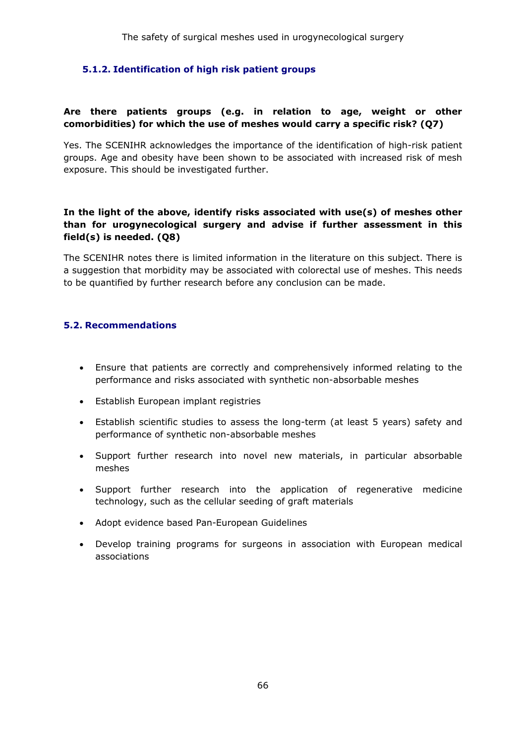# **5.1.2. Identification of high risk patient groups**

# **Are there patients groups (e.g. in relation to age, weight or other comorbidities) for which the use of meshes would carry a specific risk? (Q7)**

Yes. The SCENIHR acknowledges the importance of the identification of high-risk patient groups. Age and obesity have been shown to be associated with increased risk of mesh exposure. This should be investigated further.

# **In the light of the above, identify risks associated with use(s) of meshes other than for urogynecological surgery and advise if further assessment in this field(s) is needed. (Q8)**

The SCENIHR notes there is limited information in the literature on this subject. There is a suggestion that morbidity may be associated with colorectal use of meshes. This needs to be quantified by further research before any conclusion can be made.

#### **5.2. Recommendations**

- Ensure that patients are correctly and comprehensively informed relating to the performance and risks associated with synthetic non-absorbable meshes
- Establish European implant registries
- Establish scientific studies to assess the long-term (at least 5 years) safety and performance of synthetic non-absorbable meshes
- Support further research into novel new materials, in particular absorbable meshes
- Support further research into the application of regenerative medicine technology, such as the cellular seeding of graft materials
- Adopt evidence based Pan-European Guidelines
- Develop training programs for surgeons in association with European medical associations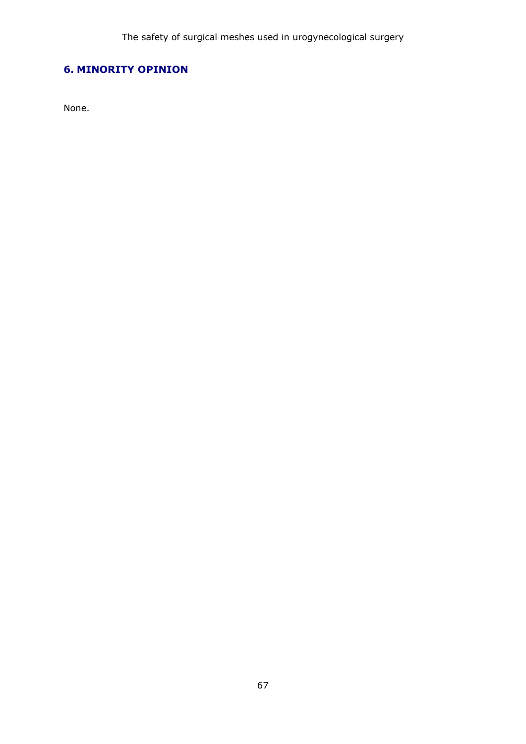# **6. MINORITY OPINION**

None.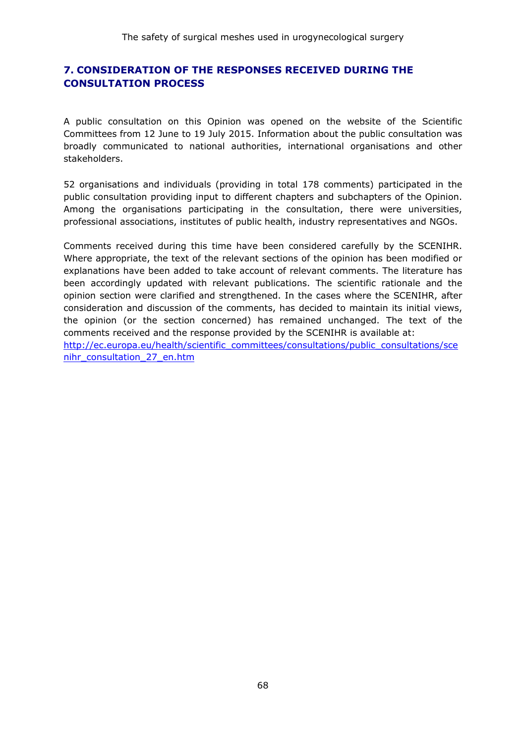# **7. CONSIDERATION OF THE RESPONSES RECEIVED DURING THE CONSULTATION PROCESS**

A public consultation on this Opinion was opened on the website of the Scientific Committees from 12 June to 19 July 2015. Information about the public consultation was broadly communicated to national authorities, international organisations and other stakeholders.

52 organisations and individuals (providing in total 178 comments) participated in the public consultation providing input to different chapters and subchapters of the Opinion. Among the organisations participating in the consultation, there were universities, professional associations, institutes of public health, industry representatives and NGOs.

Comments received during this time have been considered carefully by the SCENIHR. Where appropriate, the text of the relevant sections of the opinion has been modified or explanations have been added to take account of relevant comments. The literature has been accordingly updated with relevant publications. The scientific rationale and the opinion section were clarified and strengthened. In the cases where the SCENIHR, after consideration and discussion of the comments, has decided to maintain its initial views, the opinion (or the section concerned) has remained unchanged. The text of the comments received and the response provided by the SCENIHR is available at: [http://ec.europa.eu/health/scientific\\_committees/consultations/public\\_consultations/sce](http://ec.europa.eu/health/scientific_committees/consultations/public_consultations/scenihr_consultation_27_en.htm)

[nihr\\_consultation\\_27\\_en.htm](http://ec.europa.eu/health/scientific_committees/consultations/public_consultations/scenihr_consultation_27_en.htm)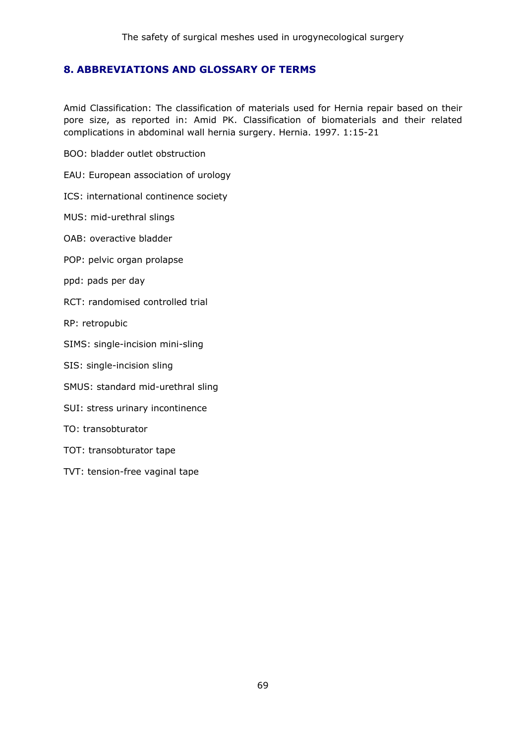# **8. ABBREVIATIONS AND GLOSSARY OF TERMS**

Amid Classification: The classification of materials used for Hernia repair based on their pore size, as reported in: Amid PK. Classification of biomaterials and their related complications in abdominal wall hernia surgery. Hernia. 1997. 1:15-21

BOO: bladder outlet obstruction

EAU: European association of urology

ICS: international continence society

MUS: mid-urethral slings

OAB: overactive bladder

POP: pelvic organ prolapse

ppd: pads per day

RCT: randomised controlled trial

RP: retropubic

SIMS: single-incision mini-sling

SIS: single-incision sling

SMUS: standard mid-urethral sling

SUI: stress urinary incontinence

TO: transobturator

TOT: transobturator tape

TVT: tension-free vaginal tape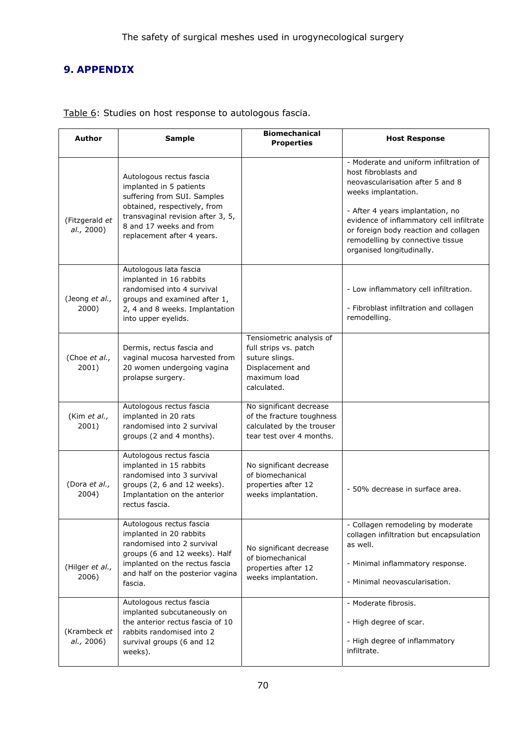# **9. APPENDIX**

| Author                       | <b>Sample</b>                                                                                                                                                                                                    | <b>Biomechanical</b><br><b>Properties</b>                                                                              | <b>Host Response</b>                                                                                                                                                                                                                                                                                                |
|------------------------------|------------------------------------------------------------------------------------------------------------------------------------------------------------------------------------------------------------------|------------------------------------------------------------------------------------------------------------------------|---------------------------------------------------------------------------------------------------------------------------------------------------------------------------------------------------------------------------------------------------------------------------------------------------------------------|
| (Fitzgerald et<br>al., 2000) | Autologous rectus fascia<br>implanted in 5 patients<br>suffering from SUI. Samples<br>obtained, respectively, from<br>transvaginal revision after 3, 5,<br>8 and 17 weeks and from<br>replacement after 4 years. |                                                                                                                        | - Moderate and uniform infiltration of<br>host fibroblasts and<br>neovascularisation after 5 and 8<br>weeks implantation.<br>- After 4 years implantation, no<br>evidence of inflammatory cell infiltrate<br>or foreign body reaction and collagen<br>remodelling by connective tissue<br>organised longitudinally. |
| (Jeong et al.,<br>2000)      | Autologous lata fascia<br>implanted in 16 rabbits<br>randomised into 4 survival<br>groups and examined after 1,<br>2, 4 and 8 weeks. Implantation<br>into upper eyelids.                                         |                                                                                                                        | - Low inflammatory cell infiltration.<br>- Fibroblast infiltration and collagen<br>remodelling.                                                                                                                                                                                                                     |
| (Choe et al.,<br>2001)       | Dermis, rectus fascia and<br>vaginal mucosa harvested from<br>20 women undergoing vagina<br>prolapse surgery.                                                                                                    | Tensiometric analysis of<br>full strips vs. patch<br>suture slings.<br>Displacement and<br>maximum load<br>calculated. |                                                                                                                                                                                                                                                                                                                     |
| (Kim et al.,<br>2001)        | Autologous rectus fascia<br>implanted in 20 rats<br>randomised into 2 survival<br>groups (2 and 4 months).                                                                                                       | No significant decrease<br>of the fracture toughness<br>calculated by the trouser<br>tear test over 4 months.          |                                                                                                                                                                                                                                                                                                                     |
| (Dora et al.,<br>2004)       | Autologous rectus fascia<br>implanted in 15 rabbits<br>randomised into 3 survival<br>groups (2, 6 and 12 weeks).<br>Implantation on the anterior<br>rectus fascia.                                               | No significant decrease<br>of biomechanical<br>properties after 12<br>weeks implantation.                              | - 50% decrease in surface area.                                                                                                                                                                                                                                                                                     |
| (Hilger et al.,<br>2006)     | Autologous rectus fascia<br>implanted in 20 rabbits<br>randomised into 2 survival<br>groups (6 and 12 weeks). Half<br>implanted on the rectus fascia<br>and half on the posterior vagina<br>fascia.              | No significant decrease<br>of biomechanical<br>properties after 12<br>weeks implantation.                              | - Collagen remodeling by moderate<br>collagen infiltration but encapsulation<br>as well.<br>- Minimal inflammatory response.<br>- Minimal neovascularisation.                                                                                                                                                       |
| (Krambeck et<br>al., 2006)   | Autologous rectus fascia<br>implanted subcutaneously on<br>the anterior rectus fascia of 10<br>rabbits randomised into 2<br>survival groups (6 and 12<br>weeks).                                                 |                                                                                                                        | - Moderate fibrosis.<br>- High degree of scar.<br>- High degree of inflammatory<br>infiltrate.                                                                                                                                                                                                                      |

Table 6: Studies on host response to autologous fascia.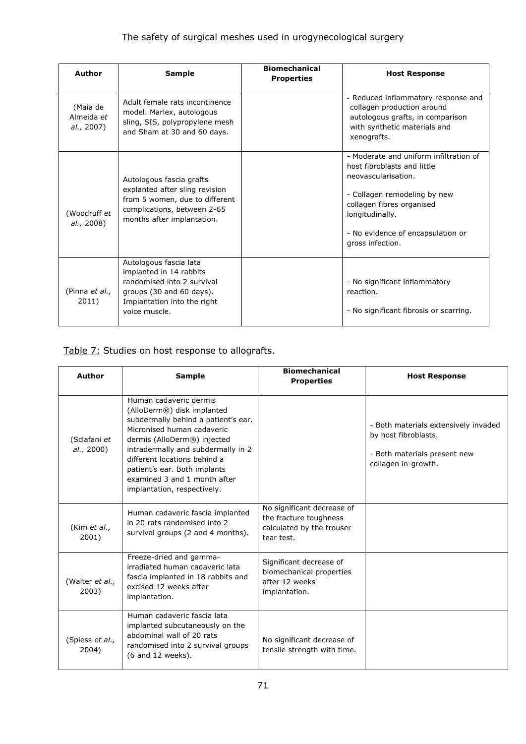# The safety of surgical meshes used in urogynecological surgery

| Author                               | <b>Sample</b>                                                                                                                                               | <b>Biomechanical</b><br><b>Properties</b> | <b>Host Response</b>                                                                                                                                                                                                                  |
|--------------------------------------|-------------------------------------------------------------------------------------------------------------------------------------------------------------|-------------------------------------------|---------------------------------------------------------------------------------------------------------------------------------------------------------------------------------------------------------------------------------------|
| (Maia de<br>Almeida et<br>al., 2007) | Adult female rats incontinence<br>model. Marlex, autologous<br>sling, SIS, polypropylene mesh<br>and Sham at 30 and 60 days.                                |                                           | - Reduced inflammatory response and<br>collagen production around<br>autologous grafts, in comparison<br>with synthetic materials and<br>xenografts.                                                                                  |
| (Woodruff et<br>al., 2008)           | Autologous fascia grafts<br>explanted after sling revision<br>from 5 women, due to different<br>complications, between 2-65<br>months after implantation.   |                                           | - Moderate and uniform infiltration of<br>host fibroblasts and little<br>neovascularisation.<br>- Collagen remodeling by new<br>collagen fibres organised<br>longitudinally.<br>- No evidence of encapsulation or<br>gross infection. |
| (Pinna et al.,<br>2011)              | Autologous fascia lata<br>implanted in 14 rabbits<br>randomised into 2 survival<br>groups (30 and 60 days).<br>Implantation into the right<br>voice muscle. |                                           | - No significant inflammatory<br>reaction.<br>- No significant fibrosis or scarring.                                                                                                                                                  |

# Table 7: Studies on host response to allografts.

| Author                     | <b>Sample</b>                                                                                                                                                                                                                                                                                                                 | <b>Biomechanical</b><br><b>Properties</b>                                                       | <b>Host Response</b>                                                                                                |
|----------------------------|-------------------------------------------------------------------------------------------------------------------------------------------------------------------------------------------------------------------------------------------------------------------------------------------------------------------------------|-------------------------------------------------------------------------------------------------|---------------------------------------------------------------------------------------------------------------------|
| (Sclafani et<br>al., 2000) | Human cadaveric dermis<br>(AlloDerm®) disk implanted<br>subdermally behind a patient's ear.<br>Micronised human cadaveric<br>dermis (AlloDerm®) injected<br>intradermally and subdermally in 2<br>different locations behind a<br>patient's ear. Both implants<br>examined 3 and 1 month after<br>implantation, respectively. |                                                                                                 | - Both materials extensively invaded<br>by host fibroblasts.<br>- Both materials present new<br>collagen in-growth. |
| (Kim et al.,<br>2001)      | Human cadaveric fascia implanted<br>in 20 rats randomised into 2<br>survival groups (2 and 4 months).                                                                                                                                                                                                                         | No significant decrease of<br>the fracture toughness<br>calculated by the trouser<br>tear test. |                                                                                                                     |
| (Walter et al.,<br>2003)   | Freeze-dried and gamma-<br>irradiated human cadaveric lata<br>fascia implanted in 18 rabbits and<br>excised 12 weeks after<br>implantation.                                                                                                                                                                                   | Significant decrease of<br>biomechanical properties<br>after 12 weeks<br>implantation.          |                                                                                                                     |
| (Spiess et al.,<br>2004)   | Human cadaveric fascia lata<br>implanted subcutaneously on the<br>abdominal wall of 20 rats<br>randomised into 2 survival groups<br>$(6$ and 12 weeks).                                                                                                                                                                       | No significant decrease of<br>tensile strength with time.                                       |                                                                                                                     |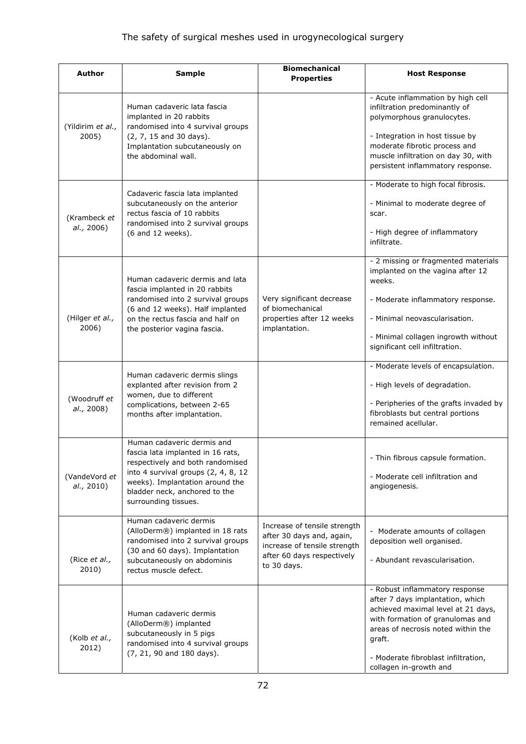# The safety of surgical meshes used in urogynecological surgery

| <b>Author</b>               | <b>Sample</b>                                                                                                                                                                                                                          | <b>Biomechanical</b><br><b>Properties</b>                                                                                              | <b>Host Response</b>                                                                                                                                                                                                                                          |
|-----------------------------|----------------------------------------------------------------------------------------------------------------------------------------------------------------------------------------------------------------------------------------|----------------------------------------------------------------------------------------------------------------------------------------|---------------------------------------------------------------------------------------------------------------------------------------------------------------------------------------------------------------------------------------------------------------|
| (Yildirim et al.,<br>2005)  | Human cadaveric lata fascia<br>implanted in 20 rabbits<br>randomised into 4 survival groups<br>(2, 7, 15 and 30 days).<br>Implantation subcutaneously on<br>the abdominal wall.                                                        |                                                                                                                                        | - Acute inflammation by high cell<br>infiltration predominantly of<br>polymorphous granulocytes.<br>- Integration in host tissue by<br>moderate fibrotic process and<br>muscle infiltration on day 30, with<br>persistent inflammatory response.              |
| (Krambeck et<br>al., 2006)  | Cadaveric fascia lata implanted<br>subcutaneously on the anterior<br>rectus fascia of 10 rabbits<br>randomised into 2 survival groups<br>(6 and 12 weeks).                                                                             |                                                                                                                                        | - Moderate to high focal fibrosis.<br>- Minimal to moderate degree of<br>scar.<br>- High degree of inflammatory<br>infiltrate.                                                                                                                                |
| (Hilger et al.,<br>2006)    | Human cadaveric dermis and lata<br>fascia implanted in 20 rabbits<br>randomised into 2 survival groups<br>(6 and 12 weeks). Half implanted<br>on the rectus fascia and half on<br>the posterior vagina fascia.                         | Very significant decrease<br>of biomechanical<br>properties after 12 weeks<br>implantation.                                            | - 2 missing or fragmented materials<br>implanted on the vagina after 12<br>weeks.<br>- Moderate inflammatory response.<br>- Minimal neovascularisation.<br>- Minimal collagen ingrowth without<br>significant cell infiltration.                              |
| (Woodruff et<br>al., 2008)  | Human cadaveric dermis slings<br>explanted after revision from 2<br>women, due to different<br>complications, between 2-65<br>months after implantation.                                                                               |                                                                                                                                        | - Moderate levels of encapsulation.<br>- High levels of degradation.<br>- Peripheries of the grafts invaded by<br>fibroblasts but central portions<br>remained acellular.                                                                                     |
| (VandeVord et<br>al., 2010) | Human cadaveric dermis and<br>fascia lata implanted in 16 rats,<br>respectively and both randomised<br>into 4 survival groups (2, 4, 8, 12<br>weeks). Implantation around the<br>bladder neck, anchored to the<br>surrounding tissues. |                                                                                                                                        | - Thin fibrous capsule formation.<br>- Moderate cell infiltration and<br>angiogenesis.                                                                                                                                                                        |
| (Rice et al.,<br>2010)      | Human cadaveric dermis<br>(AlloDerm®) implanted in 18 rats<br>randomised into 2 survival groups<br>(30 and 60 days). Implantation<br>subcutaneously on abdominis<br>rectus muscle defect.                                              | Increase of tensile strength<br>after 30 days and, again,<br>increase of tensile strength<br>after 60 days respectively<br>to 30 days. | - Moderate amounts of collagen<br>deposition well organised.<br>- Abundant revascularisation.                                                                                                                                                                 |
| (Kolb et al.,<br>2012)      | Human cadaveric dermis<br>(AlloDerm®) implanted<br>subcutaneously in 5 pigs<br>randomised into 4 survival groups<br>(7, 21, 90 and 180 days).                                                                                          |                                                                                                                                        | - Robust inflammatory response<br>after 7 days implantation, which<br>achieved maximal level at 21 days,<br>with formation of granulomas and<br>areas of necrosis noted within the<br>graft.<br>- Moderate fibroblast infiltration,<br>collagen in-growth and |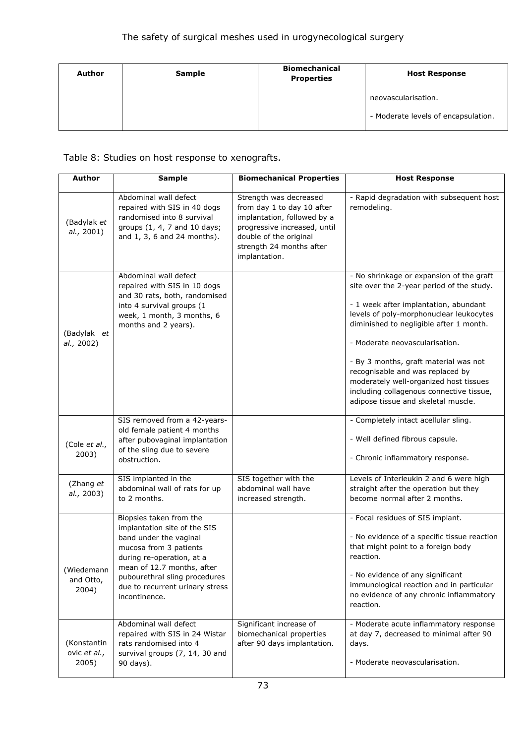| <b>Author</b> | <b>Sample</b> | <b>Biomechanical</b><br><b>Properties</b> | <b>Host Response</b>                                       |
|---------------|---------------|-------------------------------------------|------------------------------------------------------------|
|               |               |                                           | neovascularisation.<br>- Moderate levels of encapsulation. |
|               |               |                                           |                                                            |

Table 8: Studies on host response to xenografts.

| <b>Author</b>                        | <b>Sample</b>                                                                                                                                                                                                                                               | <b>Biomechanical Properties</b>                                                                                                                                                            | <b>Host Response</b>                                                                                                                                                                                                                                                                                                                                                                                                                                             |
|--------------------------------------|-------------------------------------------------------------------------------------------------------------------------------------------------------------------------------------------------------------------------------------------------------------|--------------------------------------------------------------------------------------------------------------------------------------------------------------------------------------------|------------------------------------------------------------------------------------------------------------------------------------------------------------------------------------------------------------------------------------------------------------------------------------------------------------------------------------------------------------------------------------------------------------------------------------------------------------------|
| (Badylak et<br>al., 2001)            | Abdominal wall defect<br>repaired with SIS in 40 dogs<br>randomised into 8 survival<br>groups (1, 4, 7 and 10 days;<br>and 1, 3, 6 and 24 months).                                                                                                          | Strength was decreased<br>from day 1 to day 10 after<br>implantation, followed by a<br>progressive increased, until<br>double of the original<br>strength 24 months after<br>implantation. | - Rapid degradation with subsequent host<br>remodeling.                                                                                                                                                                                                                                                                                                                                                                                                          |
| (Badylak et<br>al., 2002)            | Abdominal wall defect<br>repaired with SIS in 10 dogs<br>and 30 rats, both, randomised<br>into 4 survival groups (1<br>week, 1 month, 3 months, 6<br>months and 2 years).                                                                                   |                                                                                                                                                                                            | - No shrinkage or expansion of the graft<br>site over the 2-year period of the study.<br>- 1 week after implantation, abundant<br>levels of poly-morphonuclear leukocytes<br>diminished to negligible after 1 month.<br>- Moderate neovascularisation.<br>- By 3 months, graft material was not<br>recognisable and was replaced by<br>moderately well-organized host tissues<br>including collagenous connective tissue,<br>adipose tissue and skeletal muscle. |
| (Cole et al.,<br>2003)               | SIS removed from a 42-years-<br>old female patient 4 months<br>after pubovaginal implantation<br>of the sling due to severe<br>obstruction.                                                                                                                 |                                                                                                                                                                                            | - Completely intact acellular sling.<br>- Well defined fibrous capsule.<br>- Chronic inflammatory response.                                                                                                                                                                                                                                                                                                                                                      |
| (Zhang et<br>al., 2003)              | SIS implanted in the<br>abdominal wall of rats for up<br>to 2 months.                                                                                                                                                                                       | SIS together with the<br>abdominal wall have<br>increased strength.                                                                                                                        | Levels of Interleukin 2 and 6 were high<br>straight after the operation but they<br>become normal after 2 months.                                                                                                                                                                                                                                                                                                                                                |
| (Wiedemann<br>and Otto,<br>2004)     | Biopsies taken from the<br>implantation site of the SIS<br>band under the vaginal<br>mucosa from 3 patients<br>during re-operation, at a<br>mean of 12.7 months, after<br>pubourethral sling procedures<br>due to recurrent urinary stress<br>incontinence. |                                                                                                                                                                                            | - Focal residues of SIS implant.<br>- No evidence of a specific tissue reaction<br>that might point to a foreign body<br>reaction.<br>- No evidence of any significant<br>immunological reaction and in particular<br>no evidence of any chronic inflammatory<br>reaction.                                                                                                                                                                                       |
| (Konstantin<br>ovic et al.,<br>2005) | Abdominal wall defect<br>repaired with SIS in 24 Wistar<br>rats randomised into 4<br>survival groups (7, 14, 30 and<br>90 days).                                                                                                                            | Significant increase of<br>biomechanical properties<br>after 90 days implantation.                                                                                                         | - Moderate acute inflammatory response<br>at day 7, decreased to minimal after 90<br>days.<br>- Moderate neovascularisation.                                                                                                                                                                                                                                                                                                                                     |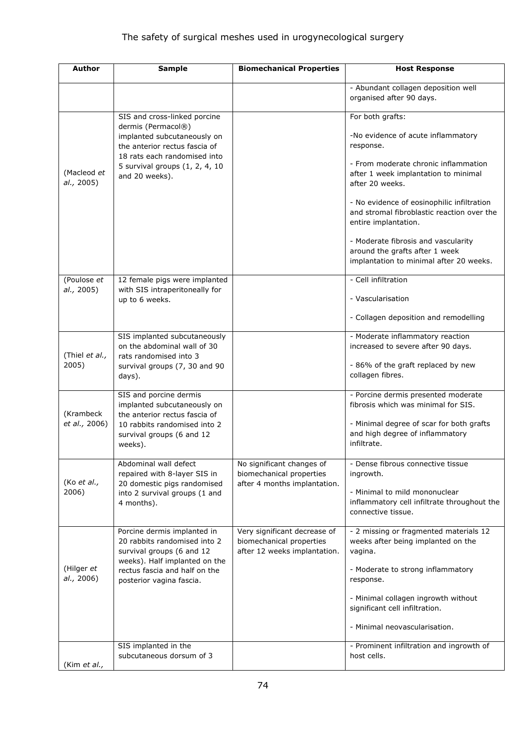| Author                     | <b>Sample</b>                                                                                                                                                                                          | <b>Biomechanical Properties</b>                                                          | <b>Host Response</b>                                                                                                                                                                                                                                                                                                                                                                                           |
|----------------------------|--------------------------------------------------------------------------------------------------------------------------------------------------------------------------------------------------------|------------------------------------------------------------------------------------------|----------------------------------------------------------------------------------------------------------------------------------------------------------------------------------------------------------------------------------------------------------------------------------------------------------------------------------------------------------------------------------------------------------------|
|                            |                                                                                                                                                                                                        |                                                                                          | - Abundant collagen deposition well<br>organised after 90 days.                                                                                                                                                                                                                                                                                                                                                |
| (Macleod et<br>al., 2005)  | SIS and cross-linked porcine<br>dermis (Permacol®)<br>implanted subcutaneously on<br>the anterior rectus fascia of<br>18 rats each randomised into<br>5 survival groups (1, 2, 4, 10<br>and 20 weeks). |                                                                                          | For both grafts:<br>-No evidence of acute inflammatory<br>response.<br>- From moderate chronic inflammation<br>after 1 week implantation to minimal<br>after 20 weeks.<br>- No evidence of eosinophilic infiltration<br>and stromal fibroblastic reaction over the<br>entire implantation.<br>- Moderate fibrosis and vascularity<br>around the grafts after 1 week<br>implantation to minimal after 20 weeks. |
| (Poulose et<br>al., 2005)  | 12 female pigs were implanted<br>with SIS intraperitoneally for<br>up to 6 weeks.                                                                                                                      |                                                                                          | - Cell infiltration<br>- Vascularisation<br>- Collagen deposition and remodelling                                                                                                                                                                                                                                                                                                                              |
| (Thiel et al.,<br>2005)    | SIS implanted subcutaneously<br>on the abdominal wall of 30<br>rats randomised into 3<br>survival groups (7, 30 and 90<br>days).                                                                       |                                                                                          | - Moderate inflammatory reaction<br>increased to severe after 90 days.<br>- 86% of the graft replaced by new<br>collagen fibres.                                                                                                                                                                                                                                                                               |
| (Krambeck<br>et al., 2006) | SIS and porcine dermis<br>implanted subcutaneously on<br>the anterior rectus fascia of<br>10 rabbits randomised into 2<br>survival groups (6 and 12<br>weeks).                                         |                                                                                          | - Porcine dermis presented moderate<br>fibrosis which was minimal for SIS.<br>- Minimal degree of scar for both grafts<br>and high degree of inflammatory<br>infiltrate.                                                                                                                                                                                                                                       |
| (Ko et al.,<br>2006)       | Abdominal wall defect<br>repaired with 8-layer SIS in<br>20 domestic pigs randomised<br>into 2 survival groups (1 and<br>4 months).                                                                    | No significant changes of<br>biomechanical properties<br>after 4 months implantation.    | - Dense fibrous connective tissue<br>ingrowth.<br>- Minimal to mild mononuclear<br>inflammatory cell infiltrate throughout the<br>connective tissue.                                                                                                                                                                                                                                                           |
| (Hilger et<br>al., 2006)   | Porcine dermis implanted in<br>20 rabbits randomised into 2<br>survival groups (6 and 12<br>weeks). Half implanted on the<br>rectus fascia and half on the<br>posterior vagina fascia.                 | Very significant decrease of<br>biomechanical properties<br>after 12 weeks implantation. | - 2 missing or fragmented materials 12<br>weeks after being implanted on the<br>vagina.<br>- Moderate to strong inflammatory<br>response.<br>- Minimal collagen ingrowth without<br>significant cell infiltration.<br>- Minimal neovascularisation.                                                                                                                                                            |
| (Kim et al.,               | SIS implanted in the<br>subcutaneous dorsum of 3                                                                                                                                                       |                                                                                          | - Prominent infiltration and ingrowth of<br>host cells.                                                                                                                                                                                                                                                                                                                                                        |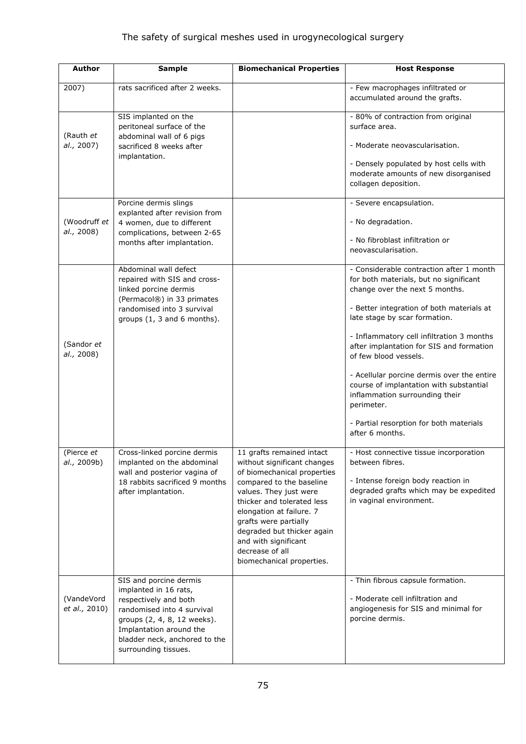| <b>Author</b>               | <b>Sample</b>                                                                                                                                                                                                             | <b>Biomechanical Properties</b>                                                                                                                                                                                                                                                                                                        | <b>Host Response</b>                                                                                                                                                                                                                                                                                                                                                                                                                                                                                                        |
|-----------------------------|---------------------------------------------------------------------------------------------------------------------------------------------------------------------------------------------------------------------------|----------------------------------------------------------------------------------------------------------------------------------------------------------------------------------------------------------------------------------------------------------------------------------------------------------------------------------------|-----------------------------------------------------------------------------------------------------------------------------------------------------------------------------------------------------------------------------------------------------------------------------------------------------------------------------------------------------------------------------------------------------------------------------------------------------------------------------------------------------------------------------|
| 2007)                       | rats sacrificed after 2 weeks.                                                                                                                                                                                            |                                                                                                                                                                                                                                                                                                                                        | - Few macrophages infiltrated or<br>accumulated around the grafts.                                                                                                                                                                                                                                                                                                                                                                                                                                                          |
| (Rauth et<br>al., 2007)     | SIS implanted on the<br>peritoneal surface of the<br>abdominal wall of 6 pigs<br>sacrificed 8 weeks after<br>implantation.                                                                                                |                                                                                                                                                                                                                                                                                                                                        | - 80% of contraction from original<br>surface area.<br>- Moderate neovascularisation.<br>- Densely populated by host cells with<br>moderate amounts of new disorganised<br>collagen deposition.                                                                                                                                                                                                                                                                                                                             |
| (Woodruff et<br>al., 2008)  | Porcine dermis slings<br>explanted after revision from<br>4 women, due to different<br>complications, between 2-65<br>months after implantation.                                                                          |                                                                                                                                                                                                                                                                                                                                        | - Severe encapsulation.<br>- No degradation.<br>- No fibroblast infiltration or<br>neovascularisation.                                                                                                                                                                                                                                                                                                                                                                                                                      |
| (Sandor et<br>al., 2008)    | Abdominal wall defect<br>repaired with SIS and cross-<br>linked porcine dermis<br>(Permacol®) in 33 primates<br>randomised into 3 survival<br>groups $(1, 3$ and 6 months).                                               |                                                                                                                                                                                                                                                                                                                                        | - Considerable contraction after 1 month<br>for both materials, but no significant<br>change over the next 5 months.<br>- Better integration of both materials at<br>late stage by scar formation.<br>- Inflammatory cell infiltration 3 months<br>after implantation for SIS and formation<br>of few blood vessels.<br>- Acellular porcine dermis over the entire<br>course of implantation with substantial<br>inflammation surrounding their<br>perimeter.<br>- Partial resorption for both materials<br>after 6 months. |
| (Pierce et<br>al., 2009b)   | Cross-linked porcine dermis<br>implanted on the abdominal<br>wall and posterior vagina of<br>18 rabbits sacrificed 9 months<br>after implantation.                                                                        | 11 grafts remained intact<br>without significant changes<br>of biomechanical properties<br>compared to the baseline<br>values. They just were<br>thicker and tolerated less<br>elongation at failure. 7<br>grafts were partially<br>degraded but thicker again<br>and with significant<br>decrease of all<br>biomechanical properties. | - Host connective tissue incorporation<br>between fibres.<br>- Intense foreign body reaction in<br>degraded grafts which may be expedited<br>in vaginal environment.                                                                                                                                                                                                                                                                                                                                                        |
| (VandeVord<br>et al., 2010) | SIS and porcine dermis<br>implanted in 16 rats,<br>respectively and both<br>randomised into 4 survival<br>groups (2, 4, 8, 12 weeks).<br>Implantation around the<br>bladder neck, anchored to the<br>surrounding tissues. |                                                                                                                                                                                                                                                                                                                                        | - Thin fibrous capsule formation.<br>- Moderate cell infiltration and<br>angiogenesis for SIS and minimal for<br>porcine dermis.                                                                                                                                                                                                                                                                                                                                                                                            |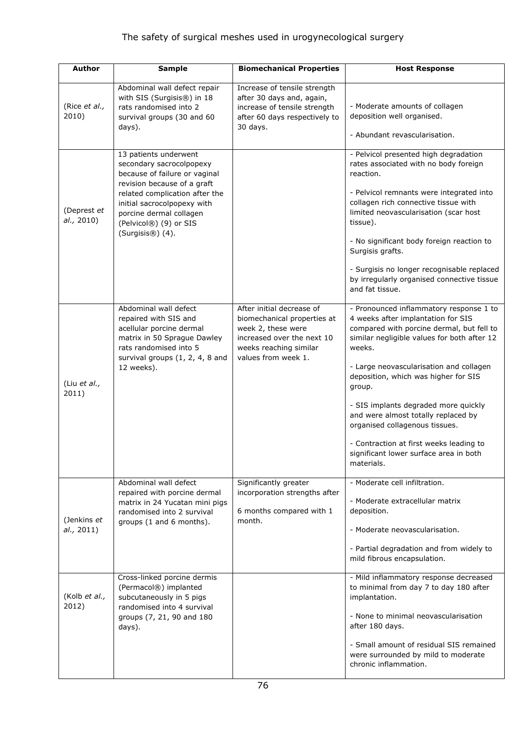| <b>Author</b>             | <b>Sample</b>                                                                                                                                                                                                                                                 | <b>Biomechanical Properties</b>                                                                                                                               | <b>Host Response</b>                                                                                                                                                                                                                                                                                                                                                                                                                                                                                 |
|---------------------------|---------------------------------------------------------------------------------------------------------------------------------------------------------------------------------------------------------------------------------------------------------------|---------------------------------------------------------------------------------------------------------------------------------------------------------------|------------------------------------------------------------------------------------------------------------------------------------------------------------------------------------------------------------------------------------------------------------------------------------------------------------------------------------------------------------------------------------------------------------------------------------------------------------------------------------------------------|
| (Rice et al.,<br>2010)    | Abdominal wall defect repair<br>with SIS (Surgisis®) in 18<br>rats randomised into 2<br>survival groups (30 and 60<br>days).                                                                                                                                  | Increase of tensile strength<br>after 30 days and, again,<br>increase of tensile strength<br>after 60 days respectively to<br>30 days.                        | - Moderate amounts of collagen<br>deposition well organised.<br>- Abundant revascularisation.                                                                                                                                                                                                                                                                                                                                                                                                        |
| (Deprest et<br>al., 2010) | 13 patients underwent<br>secondary sacrocolpopexy<br>because of failure or vaginal<br>revision because of a graft<br>related complication after the<br>initial sacrocolpopexy with<br>porcine dermal collagen<br>(Pelvicol®) (9) or SIS<br>$(Surgisis@)$ (4). |                                                                                                                                                               | - Pelvicol presented high degradation<br>rates associated with no body foreign<br>reaction.<br>- Pelvicol remnants were integrated into<br>collagen rich connective tissue with<br>limited neovascularisation (scar host<br>tissue).<br>- No significant body foreign reaction to<br>Surgisis grafts.<br>- Surgisis no longer recognisable replaced<br>by irregularly organised connective tissue<br>and fat tissue.                                                                                 |
| (Liu et al.,<br>2011)     | Abdominal wall defect<br>repaired with SIS and<br>acellular porcine dermal<br>matrix in 50 Sprague Dawley<br>rats randomised into 5<br>survival groups (1, 2, 4, 8 and<br>12 weeks).                                                                          | After initial decrease of<br>biomechanical properties at<br>week 2, these were<br>increased over the next 10<br>weeks reaching similar<br>values from week 1. | - Pronounced inflammatory response 1 to<br>4 weeks after implantation for SIS<br>compared with porcine dermal, but fell to<br>similar negligible values for both after 12<br>weeks.<br>- Large neovascularisation and collagen<br>deposition, which was higher for SIS<br>group.<br>- SIS implants degraded more quickly<br>and were almost totally replaced by<br>organised collagenous tissues.<br>- Contraction at first weeks leading to<br>significant lower surface area in both<br>materials. |
| (Jenkins et<br>al., 2011) | Abdominal wall defect<br>repaired with porcine dermal<br>matrix in 24 Yucatan mini pigs<br>randomised into 2 survival<br>groups (1 and 6 months).                                                                                                             | Significantly greater<br>incorporation strengths after<br>6 months compared with 1<br>month.                                                                  | - Moderate cell infiltration.<br>- Moderate extracellular matrix<br>deposition.<br>- Moderate neovascularisation.<br>- Partial degradation and from widely to<br>mild fibrous encapsulation.                                                                                                                                                                                                                                                                                                         |
| (Kolb et al.,<br>2012)    | Cross-linked porcine dermis<br>(Permacol®) implanted<br>subcutaneously in 5 pigs<br>randomised into 4 survival<br>groups (7, 21, 90 and 180<br>days).                                                                                                         |                                                                                                                                                               | - Mild inflammatory response decreased<br>to minimal from day 7 to day 180 after<br>implantation.<br>- None to minimal neovascularisation<br>after 180 days.<br>- Small amount of residual SIS remained<br>were surrounded by mild to moderate<br>chronic inflammation.                                                                                                                                                                                                                              |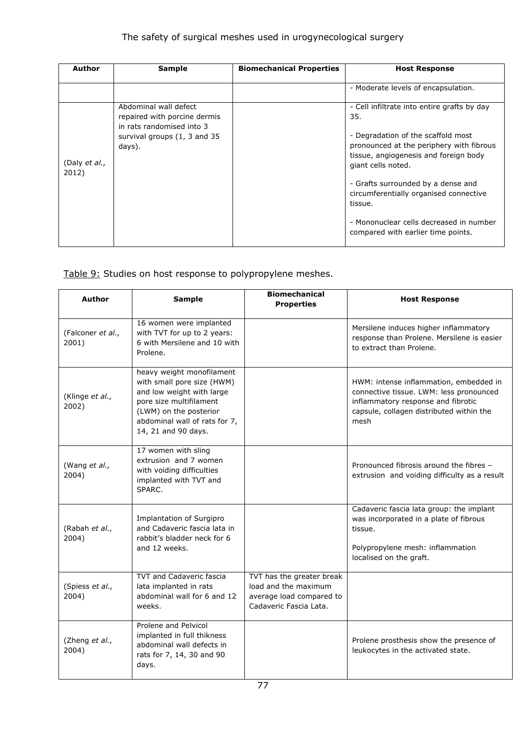| Author                 | <b>Sample</b>                                                                                                                | <b>Biomechanical Properties</b> | <b>Host Response</b>                                                                                                                                                                                                                                                                                                                                                            |
|------------------------|------------------------------------------------------------------------------------------------------------------------------|---------------------------------|---------------------------------------------------------------------------------------------------------------------------------------------------------------------------------------------------------------------------------------------------------------------------------------------------------------------------------------------------------------------------------|
|                        |                                                                                                                              |                                 | - Moderate levels of encapsulation.                                                                                                                                                                                                                                                                                                                                             |
| (Daly et al.,<br>2012) | Abdominal wall defect<br>repaired with porcine dermis<br>in rats randomised into 3<br>survival groups (1, 3 and 35<br>days). |                                 | - Cell infiltrate into entire grafts by day<br>35.<br>- Degradation of the scaffold most<br>pronounced at the periphery with fibrous<br>tissue, angiogenesis and foreign body<br>giant cells noted.<br>- Grafts surrounded by a dense and<br>circumferentially organised connective<br>tissue.<br>- Mononuclear cells decreased in number<br>compared with earlier time points. |

#### Table 9: Studies on host response to polypropylene meshes.

| <b>Author</b>              | <b>Sample</b>                                                                                                                                                                                     | <b>Biomechanical</b><br><b>Properties</b>                                                               | <b>Host Response</b>                                                                                                                                                        |
|----------------------------|---------------------------------------------------------------------------------------------------------------------------------------------------------------------------------------------------|---------------------------------------------------------------------------------------------------------|-----------------------------------------------------------------------------------------------------------------------------------------------------------------------------|
| (Falconer et al.,<br>2001) | 16 women were implanted<br>with TVT for up to 2 years:<br>6 with Mersilene and 10 with<br>Prolene.                                                                                                |                                                                                                         | Mersilene induces higher inflammatory<br>response than Prolene. Mersilene is easier<br>to extract than Prolene.                                                             |
| (Klinge et al.,<br>2002)   | heavy weight monofilament<br>with small pore size (HWM)<br>and low weight with large<br>pore size multifilament<br>(LWM) on the posterior<br>abdominal wall of rats for 7,<br>14, 21 and 90 days. |                                                                                                         | HWM: intense inflammation, embedded in<br>connective tissue. LWM: less pronounced<br>inflammatory response and fibrotic<br>capsule, collagen distributed within the<br>mesh |
| (Wang et al.,<br>2004)     | 17 women with sling<br>extrusion and 7 women<br>with voiding difficulties<br>implanted with TVT and<br>SPARC.                                                                                     |                                                                                                         | Pronounced fibrosis around the fibres -<br>extrusion and voiding difficulty as a result                                                                                     |
| (Rabah et al.,<br>2004)    | Implantation of Surgipro<br>and Cadaveric fascia lata in<br>rabbit's bladder neck for 6<br>and 12 weeks.                                                                                          |                                                                                                         | Cadaveric fascia lata group: the implant<br>was incorporated in a plate of fibrous<br>tissue.<br>Polypropylene mesh: inflammation<br>localised on the graft.                |
| (Spiess et al.,<br>2004)   | <b>TVT and Cadaveric fascia</b><br>lata implanted in rats<br>abdominal wall for 6 and 12<br>weeks.                                                                                                | TVT has the greater break<br>load and the maximum<br>average load compared to<br>Cadaveric Fascia Lata. |                                                                                                                                                                             |
| (Zheng et al.,<br>2004)    | Prolene and Pelvicol<br>implanted in full thikness<br>abdominal wall defects in<br>rats for 7, 14, 30 and 90<br>days.                                                                             |                                                                                                         | Prolene prosthesis show the presence of<br>leukocytes in the activated state.                                                                                               |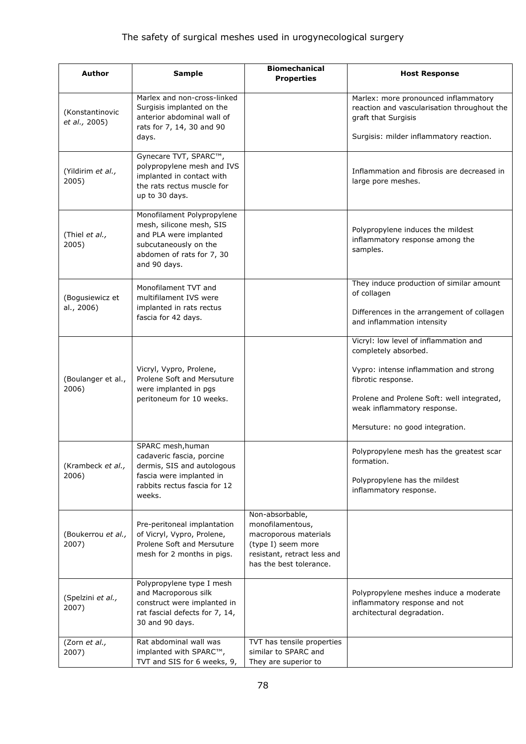| <b>Author</b>                    | <b>Sample</b>                                                                                                                                          | <b>Biomechanical</b><br><b>Properties</b>                                                                                                    | <b>Host Response</b>                                                                                       |
|----------------------------------|--------------------------------------------------------------------------------------------------------------------------------------------------------|----------------------------------------------------------------------------------------------------------------------------------------------|------------------------------------------------------------------------------------------------------------|
| (Konstantinovic<br>et al., 2005) | Marlex and non-cross-linked<br>Surgisis implanted on the<br>anterior abdominal wall of<br>rats for 7, 14, 30 and 90                                    |                                                                                                                                              | Marlex: more pronounced inflammatory<br>reaction and vascularisation throughout the<br>graft that Surgisis |
|                                  | days.                                                                                                                                                  |                                                                                                                                              | Surgisis: milder inflammatory reaction.                                                                    |
| (Yildirim et al.,<br>2005)       | Gynecare TVT, SPARC™,<br>polypropylene mesh and IVS<br>implanted in contact with<br>the rats rectus muscle for<br>up to 30 days.                       |                                                                                                                                              | Inflammation and fibrosis are decreased in<br>large pore meshes.                                           |
| (Thiel et al.,<br>2005)          | Monofilament Polypropylene<br>mesh, silicone mesh, SIS<br>and PLA were implanted<br>subcutaneously on the<br>abdomen of rats for 7, 30<br>and 90 days. |                                                                                                                                              | Polypropylene induces the mildest<br>inflammatory response among the<br>samples.                           |
| (Bogusiewicz et                  | Monofilament TVT and<br>multifilament IVS were                                                                                                         |                                                                                                                                              | They induce production of similar amount<br>of collagen                                                    |
| al., 2006)                       | implanted in rats rectus<br>fascia for 42 days.                                                                                                        |                                                                                                                                              | Differences in the arrangement of collagen<br>and inflammation intensity                                   |
|                                  |                                                                                                                                                        |                                                                                                                                              | Vicryl: low level of inflammation and<br>completely absorbed.                                              |
| (Boulanger et al.,               | Vicryl, Vypro, Prolene,<br>Prolene Soft and Mersuture                                                                                                  |                                                                                                                                              | Vypro: intense inflammation and strong<br>fibrotic response.                                               |
| 2006)                            | were implanted in pgs<br>peritoneum for 10 weeks.                                                                                                      |                                                                                                                                              | Prolene and Prolene Soft: well integrated,<br>weak inflammatory response.                                  |
|                                  |                                                                                                                                                        |                                                                                                                                              | Mersuture: no good integration.                                                                            |
| (Krambeck et al.,                | SPARC mesh, human<br>cadaveric fascia, porcine<br>dermis, SIS and autologous                                                                           |                                                                                                                                              | Polypropylene mesh has the greatest scar<br>formation.                                                     |
| 2006)                            | fascia were implanted in<br>rabbits rectus fascia for 12<br>weeks.                                                                                     |                                                                                                                                              | Polypropylene has the mildest<br>inflammatory response.                                                    |
| (Boukerrou et al.,<br>2007)      | Pre-peritoneal implantation<br>of Vicryl, Vypro, Prolene,<br>Prolene Soft and Mersuture<br>mesh for 2 months in pigs.                                  | Non-absorbable,<br>monofilamentous,<br>macroporous materials<br>(type I) seem more<br>resistant, retract less and<br>has the best tolerance. |                                                                                                            |
| (Spelzini et al.,<br>2007)       | Polypropylene type I mesh<br>and Macroporous silk<br>construct were implanted in<br>rat fascial defects for 7, 14,<br>30 and 90 days.                  |                                                                                                                                              | Polypropylene meshes induce a moderate<br>inflammatory response and not<br>architectural degradation.      |
| (Zorn et al.,<br>2007)           | Rat abdominal wall was<br>implanted with SPARC™,<br>TVT and SIS for 6 weeks, 9,                                                                        | TVT has tensile properties<br>similar to SPARC and<br>They are superior to                                                                   |                                                                                                            |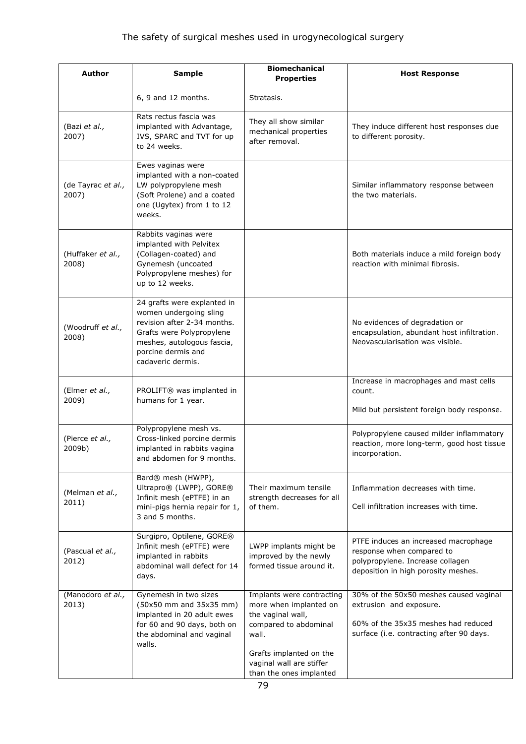| <b>Author</b>               | <b>Sample</b>                                                                                                                                                                              | <b>Biomechanical</b><br><b>Properties</b>                                                                                                                                                    | <b>Host Response</b>                                                                                                                                 |
|-----------------------------|--------------------------------------------------------------------------------------------------------------------------------------------------------------------------------------------|----------------------------------------------------------------------------------------------------------------------------------------------------------------------------------------------|------------------------------------------------------------------------------------------------------------------------------------------------------|
|                             | 6, 9 and 12 months.                                                                                                                                                                        | Stratasis.                                                                                                                                                                                   |                                                                                                                                                      |
| (Bazi et al.,<br>2007)      | Rats rectus fascia was<br>implanted with Advantage,<br>IVS, SPARC and TVT for up<br>to 24 weeks.                                                                                           | They all show similar<br>mechanical properties<br>after removal.                                                                                                                             | They induce different host responses due<br>to different porosity.                                                                                   |
| (de Tayrac et al.,<br>2007) | Ewes vaginas were<br>implanted with a non-coated<br>LW polypropylene mesh<br>(Soft Prolene) and a coated<br>one (Ugytex) from 1 to 12<br>weeks.                                            |                                                                                                                                                                                              | Similar inflammatory response between<br>the two materials.                                                                                          |
| (Huffaker et al.,<br>2008)  | Rabbits vaginas were<br>implanted with Pelvitex<br>(Collagen-coated) and<br>Gynemesh (uncoated<br>Polypropylene meshes) for<br>up to 12 weeks.                                             |                                                                                                                                                                                              | Both materials induce a mild foreign body<br>reaction with minimal fibrosis.                                                                         |
| (Woodruff et al.,<br>2008)  | 24 grafts were explanted in<br>women undergoing sling<br>revision after 2-34 months.<br>Grafts were Polypropylene<br>meshes, autologous fascia,<br>porcine dermis and<br>cadaveric dermis. |                                                                                                                                                                                              | No evidences of degradation or<br>encapsulation, abundant host infiltration.<br>Neovascularisation was visible.                                      |
| (Elmer et al.,<br>2009)     | PROLIFT® was implanted in<br>humans for 1 year.                                                                                                                                            |                                                                                                                                                                                              | Increase in macrophages and mast cells<br>count.<br>Mild but persistent foreign body response.                                                       |
| (Pierce et al.,<br>2009b)   | Polypropylene mesh vs.<br>Cross-linked porcine dermis<br>implanted in rabbits vagina<br>and abdomen for 9 months.                                                                          |                                                                                                                                                                                              | Polypropylene caused milder inflammatory<br>reaction, more long-term, good host tissue<br>incorporation.                                             |
| (Melman et al.,<br>2011)    | Bard® mesh (HWPP),<br>Ultrapro® (LWPP), GORE®<br>Infinit mesh (ePTFE) in an<br>mini-pigs hernia repair for 1,<br>3 and 5 months.                                                           | Their maximum tensile<br>strength decreases for all<br>of them.                                                                                                                              | Inflammation decreases with time.<br>Cell infiltration increases with time.                                                                          |
| (Pascual et al.,<br>2012)   | Surgipro, Optilene, GORE®<br>Infinit mesh (ePTFE) were<br>implanted in rabbits<br>abdominal wall defect for 14<br>days.                                                                    | LWPP implants might be<br>improved by the newly<br>formed tissue around it.                                                                                                                  | PTFE induces an increased macrophage<br>response when compared to<br>polypropylene. Increase collagen<br>deposition in high porosity meshes.         |
| (Manodoro et al.,<br>2013)  | Gynemesh in two sizes<br>(50x50 mm and 35x35 mm)<br>implanted in 20 adult ewes<br>for 60 and 90 days, both on<br>the abdominal and vaginal<br>walls.                                       | Implants were contracting<br>more when implanted on<br>the vaginal wall,<br>compared to abdominal<br>wall.<br>Grafts implanted on the<br>vaginal wall are stiffer<br>than the ones implanted | 30% of the 50x50 meshes caused vaginal<br>extrusion and exposure.<br>60% of the 35x35 meshes had reduced<br>surface (i.e. contracting after 90 days. |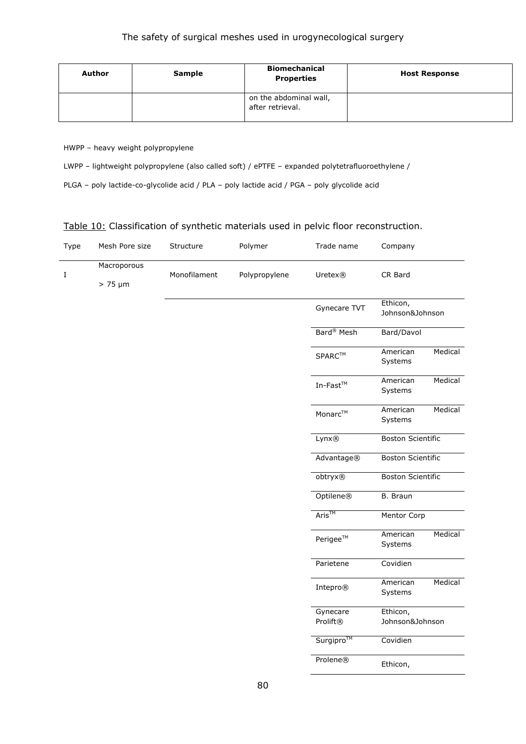| Author | <b>Sample</b> | <b>Biomechanical</b><br><b>Properties</b>  | <b>Host Response</b> |
|--------|---------------|--------------------------------------------|----------------------|
|        |               | on the abdominal wall,<br>after retrieval. |                      |

HWPP – heavy weight polypropylene

LWPP – lightweight polypropylene (also called soft) / ePTFE – expanded polytetrafluoroethylene /

PLGA – poly lactide-co-glycolide acid / PLA – poly lactide acid / PGA – poly glycolide acid

#### Table 10: Classification of synthetic materials used in pelvic floor reconstruction.

| Type    | Mesh Pore size              | Structure    | Polymer       | Trade name                       | Company                     |         |
|---------|-----------------------------|--------------|---------------|----------------------------------|-----------------------------|---------|
| $\bf I$ | Macroporous<br>$> 75 \mu m$ | Monofilament | Polypropylene | Uretex®                          | CR Bard                     |         |
|         |                             |              |               | Gynecare TVT                     | Ethicon,<br>Johnson&Johnson |         |
|         |                             |              |               | Bard <sup>®</sup> Mesh           | Bard/Davol                  |         |
|         |                             |              |               | $\mathsf{SPARC}^{\mathsf{TM}}$   | American<br>Systems         | Medical |
|         |                             |              |               | In-Fast $^{\rm TM}$              | American<br>Systems         | Medical |
|         |                             |              |               | Monarc™                          | American<br>Systems         | Medical |
|         |                             |              |               | Lynx®                            | <b>Boston Scientific</b>    |         |
|         |                             |              |               | Advantage®                       | <b>Boston Scientific</b>    |         |
|         |                             |              |               | obtryx®                          | <b>Boston Scientific</b>    |         |
|         |                             |              |               | Optilene®                        | <b>B.</b> Braun             |         |
|         |                             |              |               | Aris™                            | Mentor Corp                 |         |
|         |                             |              |               | Perigee™                         | American<br>Systems         | Medical |
|         |                             |              |               | Parietene                        | Covidien                    |         |
|         |                             |              |               | Intepro®                         | American<br>Systems         | Medical |
|         |                             |              |               | Gynecare<br>Prolift <sup>®</sup> | Ethicon,<br>Johnson&Johnson |         |
|         |                             |              |               | Surgipro™                        | Covidien                    |         |
|         |                             |              |               | Prolene®                         | Ethicon,                    |         |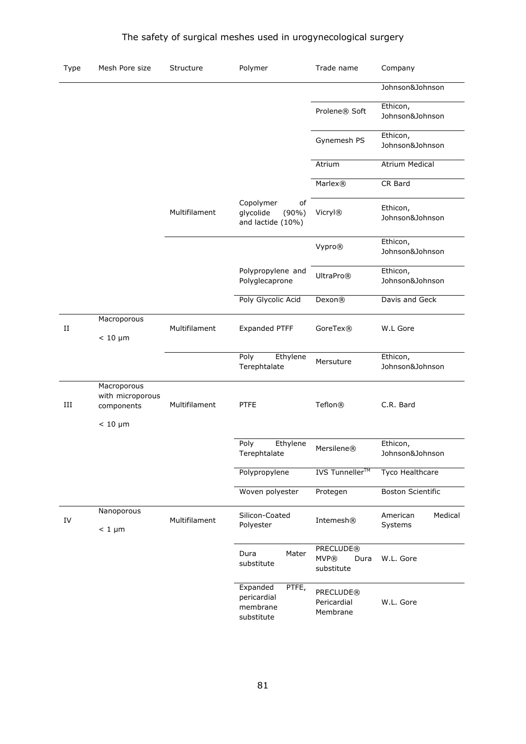| Type     | Mesh Pore size                                                | Structure     | Polymer                                                       | Trade name                                            | Company                        |
|----------|---------------------------------------------------------------|---------------|---------------------------------------------------------------|-------------------------------------------------------|--------------------------------|
|          |                                                               |               |                                                               |                                                       | Johnson&Johnson                |
|          |                                                               |               |                                                               | Prolene® Soft                                         | Ethicon,<br>Johnson&Johnson    |
|          |                                                               |               |                                                               | Gynemesh PS                                           | Ethicon,<br>Johnson&Johnson    |
|          |                                                               |               |                                                               | Atrium                                                | <b>Atrium Medical</b>          |
|          |                                                               |               |                                                               | <b>Marlex®</b>                                        | CR Bard                        |
|          |                                                               | Multifilament | Copolymer<br>of<br>glycolide<br>$(90\%)$<br>and lactide (10%) | <b>Vicryl®</b>                                        | Ethicon,<br>Johnson&Johnson    |
|          |                                                               |               |                                                               | Vypro®                                                | Ethicon,<br>Johnson&Johnson    |
|          |                                                               |               | Polypropylene and<br>Polyglecaprone                           | <b>UltraPro®</b>                                      | Ethicon,<br>Johnson&Johnson    |
|          |                                                               |               | Poly Glycolic Acid                                            | Dexon <sup>®</sup>                                    | Davis and Geck                 |
| $\rm II$ | Macroporous<br>$< 10 \mu m$                                   | Multifilament | Expanded PTFF                                                 | GoreTex®                                              | W.L Gore                       |
|          |                                                               |               | Poly<br>Ethylene<br>Terephtalate                              | Mersuture                                             | Ethicon,<br>Johnson&Johnson    |
| III      | Macroporous<br>with microporous<br>components<br>$< 10 \mu m$ | Multifilament | <b>PTFE</b>                                                   | Teflon <sup>®</sup>                                   | C.R. Bard                      |
|          |                                                               |               | Poly<br>Ethylene<br>Terephtalate                              | <b>Mersilene®</b>                                     | Ethicon,<br>Johnson&Johnson    |
|          |                                                               |               | Polypropylene                                                 | <b>IVS</b> Tunneller <sup>™</sup>                     | <b>Tyco Healthcare</b>         |
|          |                                                               |               | Woven polyester                                               | Protegen                                              | <b>Boston Scientific</b>       |
| IV       | Nanoporous<br>$< 1 \mu m$                                     | Multifilament | Silicon-Coated<br>Polyester                                   | Intemesh®                                             | Medical<br>American<br>Systems |
|          |                                                               |               | Dura<br>Mater<br>substitute                                   | <b>PRECLUDE®</b><br><b>MVP®</b><br>Dura<br>substitute | W.L. Gore                      |
|          |                                                               |               | Expanded<br>PTFE,<br>pericardial<br>membrane                  | <b>PRECLUDE®</b><br>Pericardial<br>Membrane           | W.L. Gore                      |

substitute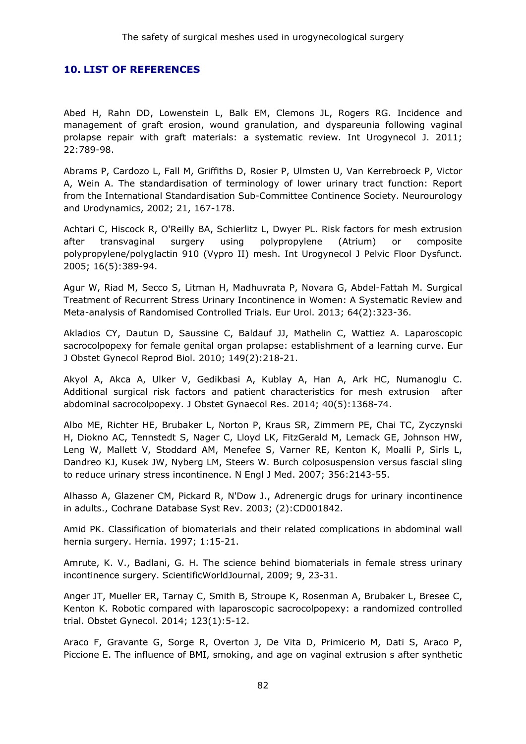#### **10. LIST OF REFERENCES**

Abed H, Rahn DD, Lowenstein L, Balk EM, Clemons JL, Rogers RG. Incidence and management of graft erosion, wound granulation, and dyspareunia following vaginal prolapse repair with graft materials: a systematic review. Int Urogynecol J. 2011; 22:789-98.

Abrams P, Cardozo L, Fall M, Griffiths D, Rosier P, Ulmsten U, Van Kerrebroeck P, Victor A, Wein A. The standardisation of terminology of lower urinary tract function: Report from the International Standardisation Sub-Committee Continence Society. Neurourology and Urodynamics, 2002; 21, 167-178.

Achtari C, Hiscock R, O'Reilly BA, Schierlitz L, Dwyer PL. Risk factors for mesh extrusion after transvaginal surgery using polypropylene (Atrium) or composite polypropylene/polyglactin 910 (Vypro II) mesh. Int Urogynecol J Pelvic Floor Dysfunct. 2005; 16(5):389-94.

Agur W, Riad M, Secco S, Litman H, Madhuvrata P, Novara G, Abdel-Fattah M. Surgical Treatment of Recurrent Stress Urinary Incontinence in Women: A Systematic Review and Meta-analysis of Randomised Controlled Trials. Eur Urol. 2013; 64(2):323-36.

Akladios CY, Dautun D, Saussine C, Baldauf JJ, Mathelin C, Wattiez A. Laparoscopic sacrocolpopexy for female genital organ prolapse: establishment of a learning curve. Eur J Obstet Gynecol Reprod Biol. 2010; 149(2):218-21.

Akyol A, Akca A, Ulker V, Gedikbasi A, Kublay A, Han A, Ark HC, Numanoglu C. Additional surgical risk factors and patient characteristics for mesh extrusion after abdominal sacrocolpopexy. J Obstet Gynaecol Res. 2014; 40(5):1368-74.

Albo ME, Richter HE, Brubaker L, Norton P, Kraus SR, Zimmern PE, Chai TC, Zyczynski H, Diokno AC, Tennstedt S, Nager C, Lloyd LK, FitzGerald M, Lemack GE, Johnson HW, Leng W, Mallett V, Stoddard AM, Menefee S, Varner RE, Kenton K, Moalli P, Sirls L, Dandreo KJ, Kusek JW, Nyberg LM, Steers W. Burch colposuspension versus fascial sling to reduce urinary stress incontinence. N Engl J Med. 2007; 356:2143-55.

Alhasso A, Glazener CM, Pickard R, N'Dow J., Adrenergic drugs for urinary incontinence in adults., Cochrane Database Syst Rev. 2003; (2):CD001842.

Amid PK. Classification of biomaterials and their related complications in abdominal wall hernia surgery. Hernia. 1997; 1:15-21.

Amrute, K. V., Badlani, G. H. The science behind biomaterials in female stress urinary incontinence surgery. ScientificWorldJournal, 2009; 9, 23-31.

Anger JT, Mueller ER, Tarnay C, Smith B, Stroupe K, Rosenman A, Brubaker L, Bresee C, Kenton K. Robotic compared with laparoscopic sacrocolpopexy: a randomized controlled trial. Obstet Gynecol. 2014; 123(1):5-12.

Araco F, Gravante G, Sorge R, Overton J, De Vita D, Primicerio M, Dati S, Araco P, Piccione E. The influence of BMI, smoking, and age on vaginal extrusion s after synthetic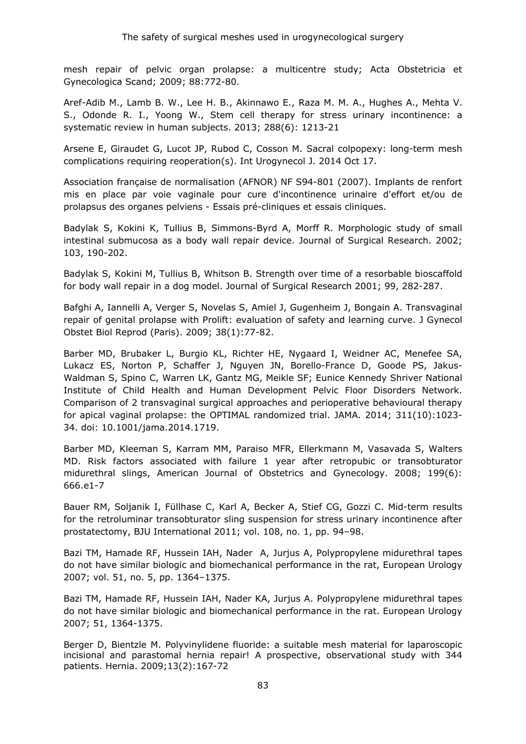mesh repair of pelvic organ prolapse: a multicentre study; Acta Obstetricia et Gynecologica Scand; 2009; 88:772-80.

Aref-Adib M., Lamb B. W., Lee H. B., Akinnawo E., Raza M. M. A., Hughes A., Mehta V. S., Odonde R. I., Yoong W., Stem cell therapy for stress urinary incontinence: a systematic review in human subjects. 2013; 288(6): 1213-21

Arsene E, Giraudet G, Lucot JP, Rubod C, Cosson M. Sacral colpopexy: long-term mesh complications requiring reoperation(s). Int Urogynecol J. 2014 Oct 17.

Association française de normalisation (AFNOR) NF S94-801 (2007). Implants de renfort mis en place par voie vaginale pour cure d'incontinence urinaire d'effort et/ou de prolapsus des organes pelviens - Essais pré-cliniques et essais cliniques.

Badylak S, Kokini K, Tullius B, Simmons-Byrd A, Morff R. Morphologic study of small intestinal submucosa as a body wall repair device. Journal of Surgical Research. 2002; 103, 190-202.

Badylak S, Kokini M, Tullius B, Whitson B. Strength over time of a resorbable bioscaffold for body wall repair in a dog model. Journal of Surgical Research 2001; 99, 282-287.

Bafghi A, Iannelli A, Verger S, Novelas S, Amiel J, Gugenheim J, Bongain A. Transvaginal repair of genital prolapse with Prolift: evaluation of safety and learning curve. J Gynecol Obstet Biol Reprod (Paris). 2009; 38(1):77-82.

Barber MD, Brubaker L, Burgio KL, Richter HE, Nygaard I, Weidner AC, Menefee SA, Lukacz ES, Norton P, Schaffer J, Nguyen JN, Borello-France D, Goode PS, Jakus-Waldman S, Spino C, Warren LK, Gantz MG, Meikle SF; Eunice Kennedy Shriver National Institute of Child Health and Human Development Pelvic Floor Disorders Network. Comparison of 2 transvaginal surgical approaches and perioperative behavioural therapy for apical vaginal prolapse: the OPTIMAL randomized trial. JAMA. 2014; 311(10):1023- 34. doi: 10.1001/jama.2014.1719.

Barber MD, Kleeman S, Karram MM, Paraiso MFR, Ellerkmann M, Vasavada S, Walters MD. Risk factors associated with failure 1 year after retropubic or transobturator midurethral slings, American Journal of Obstetrics and Gynecology. 2008; 199(6): 666.e1-7

Bauer RM, Soljanik I, Füllhase C, Karl A, Becker A, Stief CG, Gozzi C. Mid-term results for the retroluminar transobturator sling suspension for stress urinary incontinence after prostatectomy, BJU International 2011; vol. 108, no. 1, pp. 94–98.

Bazi TM, Hamade RF, Hussein IAH, Nader A, Jurjus A, Polypropylene midurethral tapes do not have similar biologic and biomechanical performance in the rat, European Urology 2007; vol. 51, no. 5, pp. 1364–1375.

Bazi TM, Hamade RF, Hussein IAH, Nader KA, Jurjus A. Polypropylene midurethral tapes do not have similar biologic and biomechanical performance in the rat. European Urology 2007; 51, 1364-1375.

Berger D, Bientzle M. Polyvinylidene fluoride: a suitable mesh material for laparoscopic incisional and parastomal hernia repair! A prospective, observational study with 344 patients. Hernia. 2009;13(2):167-72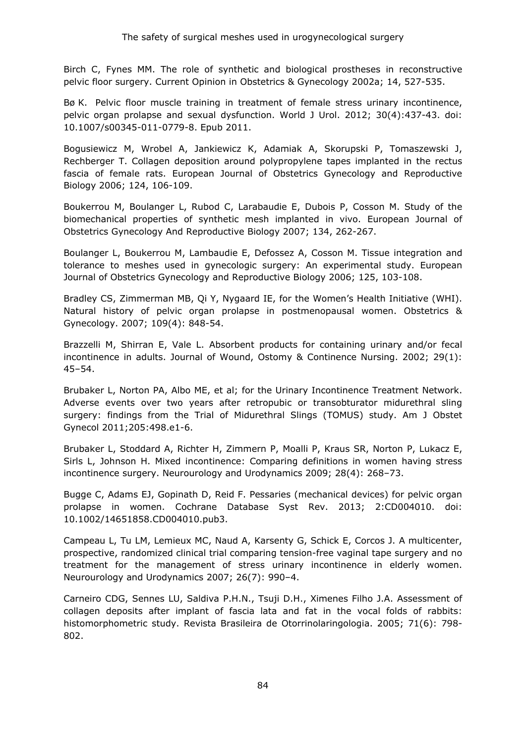Birch C, Fynes MM. The role of synthetic and biological prostheses in reconstructive pelvic floor surgery. Current Opinion in Obstetrics & Gynecology 2002a; 14, 527-535.

Bø K. Pelvic floor muscle training in treatment of female stress urinary incontinence, pelvic organ prolapse and sexual dysfunction. World J Urol. 2012; 30(4):437-43. doi: 10.1007/s00345-011-0779-8. Epub 2011.

Bogusiewicz M, Wrobel A, Jankiewicz K, Adamiak A, Skorupski P, Tomaszewski J, Rechberger T. Collagen deposition around polypropylene tapes implanted in the rectus fascia of female rats. European Journal of Obstetrics Gynecology and Reproductive Biology 2006; 124, 106-109.

Boukerrou M, Boulanger L, Rubod C, Larabaudie E, Dubois P, Cosson M. Study of the biomechanical properties of synthetic mesh implanted in vivo. European Journal of Obstetrics Gynecology And Reproductive Biology 2007; 134, 262-267.

Boulanger L, Boukerrou M, Lambaudie E, Defossez A, Cosson M. Tissue integration and tolerance to meshes used in gynecologic surgery: An experimental study. European Journal of Obstetrics Gynecology and Reproductive Biology 2006; 125, 103-108.

Bradley CS, Zimmerman MB, Qi Y, Nygaard IE, for the Women's Health Initiative (WHI). Natural history of pelvic organ prolapse in postmenopausal women. Obstetrics & Gynecology. 2007; 109(4): 848-54.

Brazzelli M, Shirran E, Vale L. Absorbent products for containing urinary and/or fecal incontinence in adults. Journal of Wound, Ostomy & Continence Nursing. 2002; 29(1): 45–54.

Brubaker L, Norton PA, Albo ME, et al; for the Urinary Incontinence Treatment Network. Adverse events over two years after retropubic or transobturator midurethral sling surgery: findings from the Trial of Midurethral Slings (TOMUS) study. Am J Obstet Gynecol 2011;205:498.e1-6.

Brubaker L, Stoddard A, Richter H, Zimmern P, Moalli P, Kraus SR, Norton P, Lukacz E, Sirls L, Johnson H. Mixed incontinence: Comparing definitions in women having stress incontinence surgery. Neurourology and Urodynamics 2009; 28(4): 268–73.

Bugge C, Adams EJ, Gopinath D, Reid F. Pessaries (mechanical devices) for pelvic organ prolapse in women. Cochrane Database Syst Rev. 2013; 2:CD004010. doi: 10.1002/14651858.CD004010.pub3.

Campeau L, Tu LM, Lemieux MC, Naud A, Karsenty G, Schick E, Corcos J. A multicenter, prospective, randomized clinical trial comparing tension-free vaginal tape surgery and no treatment for the management of stress urinary incontinence in elderly women. Neurourology and Urodynamics 2007; 26(7): 990–4.

Carneiro CDG, Sennes LU, Saldiva P.H.N., Tsuji D.H., Ximenes Filho J.A. Assessment of collagen deposits after implant of fascia lata and fat in the vocal folds of rabbits: histomorphometric study. Revista Brasileira de Otorrinolaringologia. 2005; 71(6): 798- 802.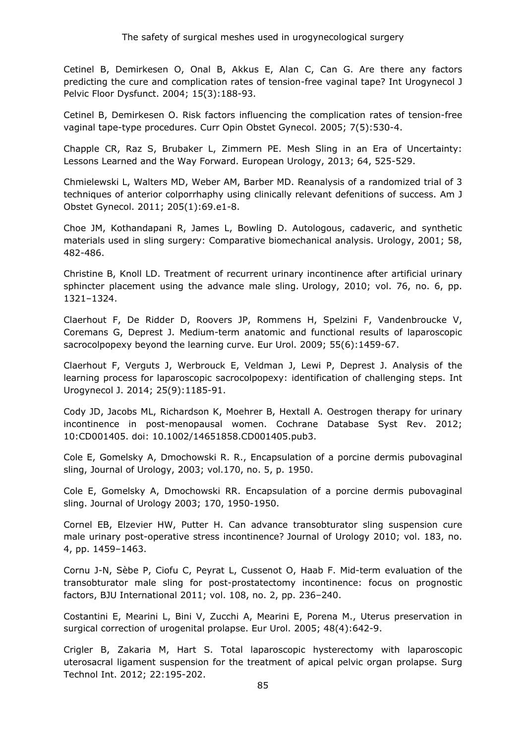Cetinel B, Demirkesen O, Onal B, Akkus E, Alan C, Can G. Are there any factors predicting the cure and complication rates of tension-free vaginal tape? Int Urogynecol J Pelvic Floor Dysfunct. 2004; 15(3):188-93.

Cetinel B, Demirkesen O. Risk factors influencing the complication rates of tension-free vaginal tape-type procedures. Curr Opin Obstet Gynecol. 2005; 7(5):530-4.

Chapple CR, Raz S, Brubaker L, Zimmern PE. Mesh Sling in an Era of Uncertainty: Lessons Learned and the Way Forward. European Urology, 2013; 64, 525-529.

Chmielewski L, Walters MD, Weber AM, Barber MD. Reanalysis of a randomized trial of 3 techniques of anterior colporrhaphy using clinically relevant defenitions of success. Am J Obstet Gynecol. 2011; 205(1):69.e1-8.

Choe JM, Kothandapani R, James L, Bowling D. Autologous, cadaveric, and synthetic materials used in sling surgery: Comparative biomechanical analysis. Urology, 2001; 58, 482-486.

Christine B, Knoll LD. Treatment of recurrent urinary incontinence after artificial urinary sphincter placement using the advance male sling. Urology, 2010; vol. 76, no. 6, pp. 1321–1324.

Claerhout F, De Ridder D, Roovers JP, Rommens H, Spelzini F, Vandenbroucke V, Coremans G, Deprest J. Medium-term anatomic and functional results of laparoscopic sacrocolpopexy beyond the learning curve. Eur Urol. 2009; 55(6):1459-67.

Claerhout F, Verguts J, Werbrouck E, Veldman J, Lewi P, Deprest J. Analysis of the learning process for laparoscopic sacrocolpopexy: identification of challenging steps. Int Urogynecol J. 2014; 25(9):1185-91.

Cody JD, Jacobs ML, Richardson K, Moehrer B, Hextall A. Oestrogen therapy for urinary incontinence in post-menopausal women. Cochrane Database Syst Rev. 2012; 10:CD001405. doi: 10.1002/14651858.CD001405.pub3.

Cole E, Gomelsky A, Dmochowski R. R., Encapsulation of a porcine dermis pubovaginal sling, Journal of Urology, 2003; vol.170, no. 5, p. 1950.

Cole E, Gomelsky A, Dmochowski RR. Encapsulation of a porcine dermis pubovaginal sling. Journal of Urology 2003; 170, 1950-1950.

Cornel EB, Elzevier HW, Putter H. Can advance transobturator sling suspension cure male urinary post-operative stress incontinence? Journal of Urology 2010; vol. 183, no. 4, pp. 1459–1463.

Cornu J-N, Sèbe P, Ciofu C, Peyrat L, Cussenot O, Haab F. Mid-term evaluation of the transobturator male sling for post-prostatectomy incontinence: focus on prognostic factors, BJU International 2011; vol. 108, no. 2, pp. 236–240.

Costantini E, Mearini L, Bini V, Zucchi A, Mearini E, Porena M., Uterus preservation in surgical correction of urogenital prolapse. Eur Urol. 2005; 48(4):642-9.

Crigler B, Zakaria M, Hart S. Total laparoscopic hysterectomy with laparoscopic uterosacral ligament suspension for the treatment of apical pelvic organ prolapse. Surg Technol Int. 2012; 22:195-202.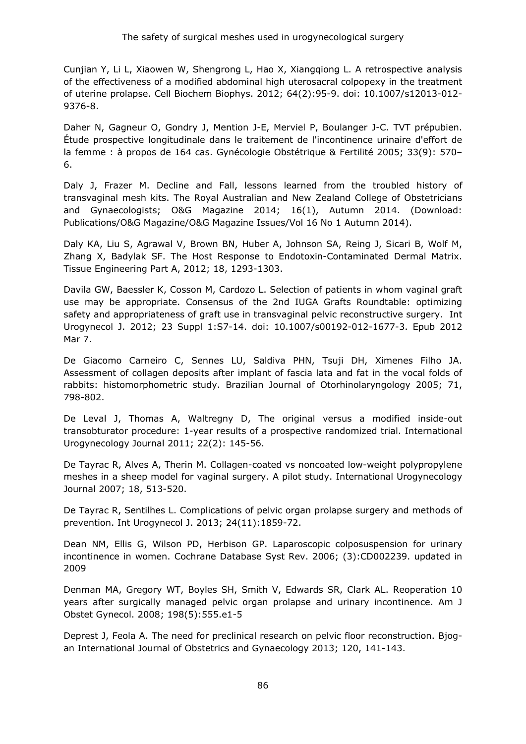Cunjian Y, Li L, Xiaowen W, Shengrong L, Hao X, Xiangqiong L. A retrospective analysis of the effectiveness of a modified abdominal high uterosacral colpopexy in the treatment of uterine prolapse. Cell Biochem Biophys. 2012; 64(2):95-9. doi: 10.1007/s12013-012- 9376-8.

Daher N, Gagneur O, Gondry J, Mention J-E, Merviel P, Boulanger J-C. TVT prépubien. Étude prospective longitudinale dans le traitement de l'incontinence urinaire d'effort de la femme : à propos de 164 cas. Gynécologie Obstétrique & Fertilité 2005; 33(9): 570– 6.

Daly J, Frazer M. Decline and Fall, lessons learned from the troubled history of transvaginal mesh kits. The Royal Australian and New Zealand College of Obstetricians and Gynaecologists; O&G Magazine 2014; 16(1), Autumn 2014. (Download: Publications/O&G Magazine/O&G Magazine Issues/Vol 16 No 1 Autumn 2014).

Daly KA, Liu S, Agrawal V, Brown BN, Huber A, Johnson SA, Reing J, Sicari B, Wolf M, Zhang X, Badylak SF. The Host Response to Endotoxin-Contaminated Dermal Matrix. Tissue Engineering Part A, 2012; 18, 1293-1303.

Davila GW, Baessler K, Cosson M, Cardozo L. Selection of patients in whom vaginal graft use may be appropriate. Consensus of the 2nd IUGA Grafts Roundtable: optimizing safety and appropriateness of graft use in transvaginal pelvic reconstructive surgery. Int Urogynecol J. 2012; 23 Suppl 1:S7-14. doi: 10.1007/s00192-012-1677-3. Epub 2012 Mar 7.

De Giacomo Carneiro C, Sennes LU, Saldiva PHN, Tsuji DH, Ximenes Filho JA. Assessment of collagen deposits after implant of fascia lata and fat in the vocal folds of rabbits: histomorphometric study. Brazilian Journal of Otorhinolaryngology 2005; 71, 798-802.

De Leval J, Thomas A, Waltregny D, The original versus a modified inside-out transobturator procedure: 1-year results of a prospective randomized trial. International Urogynecology Journal 2011; 22(2): 145-56.

De Tayrac R, Alves A, Therin M. Collagen-coated vs noncoated low-weight polypropylene meshes in a sheep model for vaginal surgery. A pilot study. International Urogynecology Journal 2007; 18, 513-520.

De Tayrac R, Sentilhes L. Complications of pelvic organ prolapse surgery and methods of prevention. Int Urogynecol J. 2013; 24(11):1859-72.

Dean NM, Ellis G, Wilson PD, Herbison GP. Laparoscopic colposuspension for urinary incontinence in women. Cochrane Database Syst Rev. 2006; (3):CD002239. updated in 2009

Denman MA, Gregory WT, Boyles SH, Smith V, Edwards SR, Clark AL. Reoperation 10 years after surgically managed pelvic organ prolapse and urinary incontinence. Am J Obstet Gynecol. 2008; 198(5):555.e1-5

Deprest J, Feola A. The need for preclinical research on pelvic floor reconstruction. Bjogan International Journal of Obstetrics and Gynaecology 2013; 120, 141-143.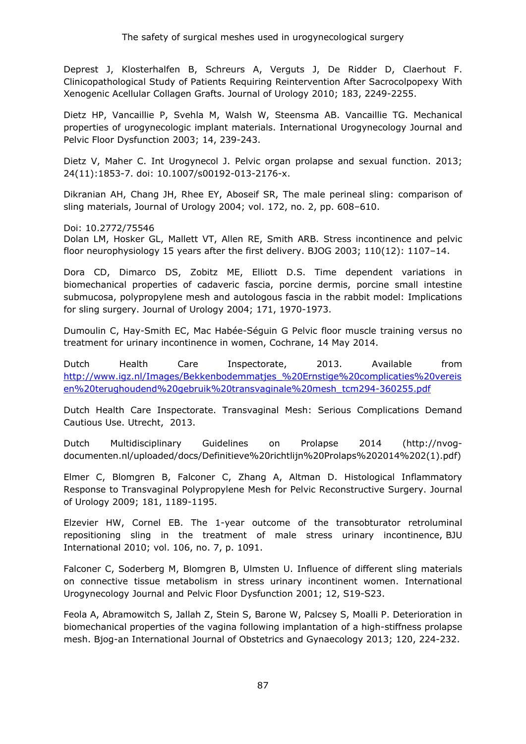Deprest J, Klosterhalfen B, Schreurs A, Verguts J, De Ridder D, Claerhout F. Clinicopathological Study of Patients Requiring Reintervention After Sacrocolpopexy With Xenogenic Acellular Collagen Grafts. Journal of Urology 2010; 183, 2249-2255.

Dietz HP, Vancaillie P, Svehla M, Walsh W, Steensma AB. Vancaillie TG. Mechanical properties of urogynecologic implant materials. International Urogynecology Journal and Pelvic Floor Dysfunction 2003; 14, 239-243.

Dietz V, Maher C. Int Urogynecol J. Pelvic organ prolapse and sexual function. 2013; 24(11):1853-7. doi: 10.1007/s00192-013-2176-x.

Dikranian AH, Chang JH, Rhee EY, Aboseif SR, The male perineal sling: comparison of sling materials, Journal of Urology 2004; vol. 172, no. 2, pp. 608–610.

Doi: 10.2772/75546

Dolan LM, Hosker GL, Mallett VT, Allen RE, Smith ARB. Stress incontinence and pelvic floor neurophysiology 15 years after the first delivery. BJOG 2003; 110(12): 1107–14.

Dora CD, Dimarco DS, Zobitz ME, Elliott D.S. Time dependent variations in biomechanical properties of cadaveric fascia, porcine dermis, porcine small intestine submucosa, polypropylene mesh and autologous fascia in the rabbit model: Implications for sling surgery. Journal of Urology 2004; 171, 1970-1973.

Dumoulin C, Hay-Smith EC, Mac Habée-Séguin G Pelvic floor muscle training versus no treatment for urinary incontinence in women, Cochrane, 14 May 2014.

Dutch Health Care Inspectorate, 2013. Available from [http://www.igz.nl/Images/Bekkenbodemmatjes\\_%20Ernstige%20complicaties%20vereis](http://www.igz.nl/Images/Bekkenbodemmatjes_%20Ernstige%20complicaties%20vereisen%20terughoudend%20gebruik%20transvaginale%20mesh_tcm294-360255.pdf) [en%20terughoudend%20gebruik%20transvaginale%20mesh\\_tcm294-360255.pdf](http://www.igz.nl/Images/Bekkenbodemmatjes_%20Ernstige%20complicaties%20vereisen%20terughoudend%20gebruik%20transvaginale%20mesh_tcm294-360255.pdf)

Dutch Health Care Inspectorate. Transvaginal Mesh: Serious Complications Demand Cautious Use. Utrecht, 2013.

Dutch Multidisciplinary Guidelines on Prolapse 2014 (http://nvogdocumenten.nl/uploaded/docs/Definitieve%20richtlijn%20Prolaps%202014%202(1).pdf)

Elmer C, Blomgren B, Falconer C, Zhang A, Altman D. Histological Inflammatory Response to Transvaginal Polypropylene Mesh for Pelvic Reconstructive Surgery. Journal of Urology 2009; 181, 1189-1195.

Elzevier HW, Cornel EB. The 1-year outcome of the transobturator retroluminal repositioning sling in the treatment of male stress urinary incontinence, BJU International 2010; vol. 106, no. 7, p. 1091.

Falconer C, Soderberg M, Blomgren B, Ulmsten U. Influence of different sling materials on connective tissue metabolism in stress urinary incontinent women. International Urogynecology Journal and Pelvic Floor Dysfunction 2001; 12, S19-S23.

Feola A, Abramowitch S, Jallah Z, Stein S, Barone W, Palcsey S, Moalli P. Deterioration in biomechanical properties of the vagina following implantation of a high-stiffness prolapse mesh. Bjog-an International Journal of Obstetrics and Gynaecology 2013; 120, 224-232.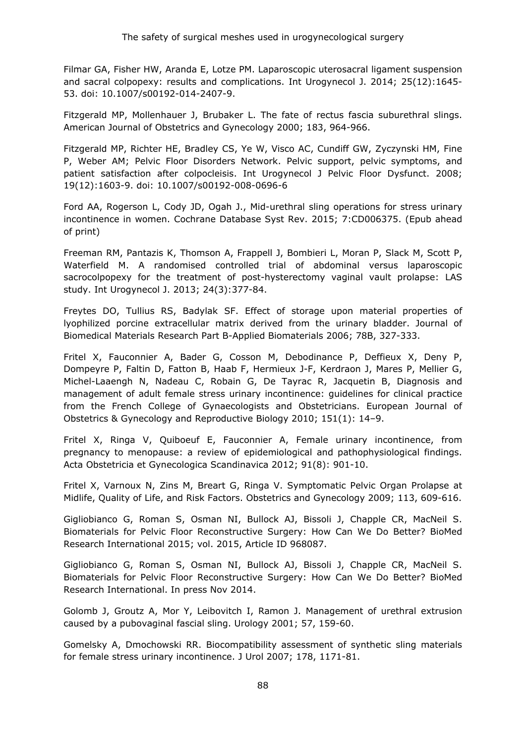Filmar GA, Fisher HW, Aranda E, Lotze PM. Laparoscopic uterosacral ligament suspension and sacral colpopexy: results and complications. Int Urogynecol J. 2014; 25(12):1645- 53. doi: 10.1007/s00192-014-2407-9.

Fitzgerald MP, Mollenhauer J, Brubaker L. The fate of rectus fascia suburethral slings. American Journal of Obstetrics and Gynecology 2000; 183, 964-966.

Fitzgerald MP, Richter HE, Bradley CS, Ye W, Visco AC, Cundiff GW, Zyczynski HM, Fine P, Weber AM; Pelvic Floor Disorders Network. Pelvic support, pelvic symptoms, and patient satisfaction after colpocleisis. Int Urogynecol J Pelvic Floor Dysfunct. 2008; 19(12):1603-9. doi: 10.1007/s00192-008-0696-6

Ford AA, Rogerson L, Cody JD, Ogah J., Mid-urethral sling operations for stress urinary incontinence in women. Cochrane Database Syst Rev. 2015; 7:CD006375. (Epub ahead of print)

Freeman RM, Pantazis K, Thomson A, Frappell J, Bombieri L, Moran P, Slack M, Scott P, Waterfield M. A randomised controlled trial of abdominal versus laparoscopic sacrocolpopexy for the treatment of post-hysterectomy vaginal vault prolapse: LAS study. Int Urogynecol J. 2013; 24(3):377-84.

Freytes DO, Tullius RS, Badylak SF. Effect of storage upon material properties of lyophilized porcine extracellular matrix derived from the urinary bladder. Journal of Biomedical Materials Research Part B-Applied Biomaterials 2006; 78B, 327-333.

Fritel X, Fauconnier A, Bader G, Cosson M, Debodinance P, Deffieux X, Deny P, Dompeyre P, Faltin D, Fatton B, Haab F, Hermieux J-F, Kerdraon J, Mares P, Mellier G, Michel-Laaengh N, Nadeau C, Robain G, De Tayrac R, Jacquetin B, Diagnosis and management of adult female stress urinary incontinence: guidelines for clinical practice from the French College of Gynaecologists and Obstetricians. European Journal of Obstetrics & Gynecology and Reproductive Biology 2010; 151(1): 14–9.

Fritel X, Ringa V, Quiboeuf E, Fauconnier A, Female urinary incontinence, from pregnancy to menopause: a review of epidemiological and pathophysiological findings. Acta Obstetricia et Gynecologica Scandinavica 2012; 91(8): 901-10.

Fritel X, Varnoux N, Zins M, Breart G, Ringa V. Symptomatic Pelvic Organ Prolapse at Midlife, Quality of Life, and Risk Factors. Obstetrics and Gynecology 2009; 113, 609-616.

Gigliobianco G, Roman S, Osman NI, Bullock AJ, Bissoli J, Chapple CR, MacNeil S. Biomaterials for Pelvic Floor Reconstructive Surgery: How Can We Do Better? BioMed Research International 2015; vol. 2015, Article ID 968087.

Gigliobianco G, Roman S, Osman NI, Bullock AJ, Bissoli J, Chapple CR, MacNeil S. Biomaterials for Pelvic Floor Reconstructive Surgery: How Can We Do Better? BioMed Research International. In press Nov 2014.

Golomb J, Groutz A, Mor Y, Leibovitch I, Ramon J. Management of urethral extrusion caused by a pubovaginal fascial sling. Urology 2001; 57, 159-60.

Gomelsky A, Dmochowski RR. Biocompatibility assessment of synthetic sling materials for female stress urinary incontinence. J Urol 2007; 178, 1171-81.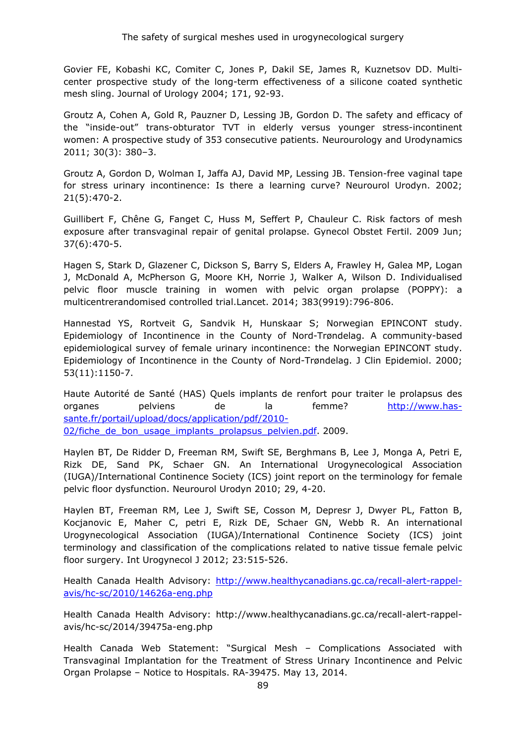Govier FE, Kobashi KC, Comiter C, Jones P, Dakil SE, James R, Kuznetsov DD. Multicenter prospective study of the long-term effectiveness of a silicone coated synthetic mesh sling. Journal of Urology 2004; 171, 92-93.

Groutz A, Cohen A, Gold R, Pauzner D, Lessing JB, Gordon D. The safety and efficacy of the "inside-out" trans-obturator TVT in elderly versus younger stress-incontinent women: A prospective study of 353 consecutive patients. Neurourology and Urodynamics 2011; 30(3): 380–3.

Groutz A, Gordon D, Wolman I, Jaffa AJ, David MP, Lessing JB. Tension-free vaginal tape for stress urinary incontinence: Is there a learning curve? Neurourol Urodyn. 2002; 21(5):470-2.

Guillibert F, Chêne G, Fanget C, Huss M, Seffert P, Chauleur C. Risk factors of mesh exposure after transvaginal repair of genital prolapse. Gynecol Obstet Fertil. 2009 Jun; 37(6):470-5.

Hagen S, Stark D, Glazener C, Dickson S, Barry S, Elders A, Frawley H, Galea MP, Logan J, McDonald A, McPherson G, Moore KH, Norrie J, Walker A, Wilson D. Individualised pelvic floor muscle training in women with pelvic organ prolapse (POPPY): a multicentrerandomised controlled trial.Lancet. 2014; 383(9919):796-806.

Hannestad YS, Rortveit G, Sandvik H, Hunskaar S; Norwegian EPINCONT study. Epidemiology of Incontinence in the County of Nord-Trøndelag. A community-based epidemiological survey of female urinary incontinence: the Norwegian EPINCONT study. Epidemiology of Incontinence in the County of Nord-Trøndelag. J Clin Epidemiol. 2000; 53(11):1150-7.

Haute Autorité de Santé (HAS) Quels implants de renfort pour traiter le prolapsus des organes pelviens de la femme? [http://www.has](http://www.has-sante.fr/portail/upload/docs/application/pdf/2010-02/fiche_de_bon_usage_implants_prolapsus_pelvien.pdf)[sante.fr/portail/upload/docs/application/pdf/2010-](http://www.has-sante.fr/portail/upload/docs/application/pdf/2010-02/fiche_de_bon_usage_implants_prolapsus_pelvien.pdf) 02/fiche de bon usage implants prolapsus pelvien.pdf. 2009.

Haylen BT, De Ridder D, Freeman RM, Swift SE, Berghmans B, Lee J, Monga A, Petri E, Rizk DE, Sand PK, Schaer GN. An International Urogynecological Association (IUGA)/International Continence Society (ICS) joint report on the terminology for female pelvic floor dysfunction. Neurourol Urodyn 2010; 29, 4-20.

Haylen BT, Freeman RM, Lee J, Swift SE, Cosson M, Depresr J, Dwyer PL, Fatton B, Kocjanovic E, Maher C, petri E, Rizk DE, Schaer GN, Webb R. An international Urogynecological Association (IUGA)/International Continence Society (ICS) joint terminology and classification of the complications related to native tissue female pelvic floor surgery. Int Urogynecol J 2012; 23:515-526.

Health Canada Health Advisory: [http://www.healthycanadians.gc.ca/recall-alert-rappel](http://www.healthycanadians.gc.ca/recall-alert-rappel-avis/hc-sc/2010/14626a-eng.php)[avis/hc-sc/2010/14626a-eng.php](http://www.healthycanadians.gc.ca/recall-alert-rappel-avis/hc-sc/2010/14626a-eng.php)

Health Canada Health Advisory: http://www.healthycanadians.gc.ca/recall-alert-rappelavis/hc-sc/2014/39475a-eng.php

Health Canada Web Statement: "Surgical Mesh – Complications Associated with Transvaginal Implantation for the Treatment of Stress Urinary Incontinence and Pelvic Organ Prolapse – Notice to Hospitals. RA-39475. May 13, 2014.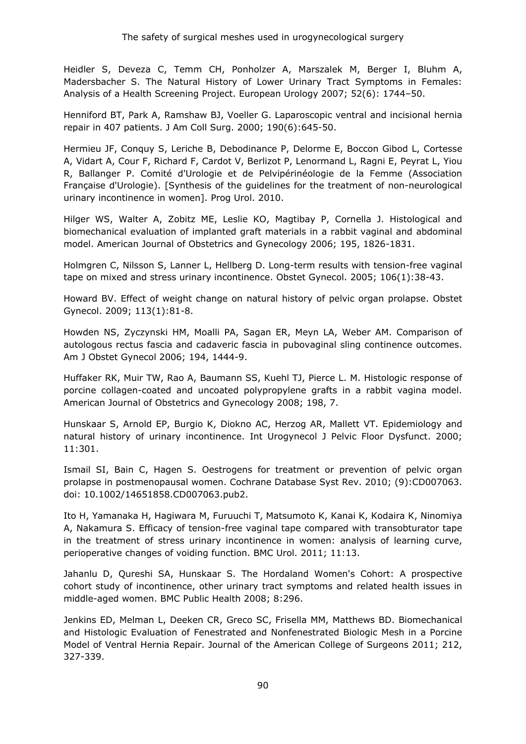Heidler S, Deveza C, Temm CH, Ponholzer A, Marszalek M, Berger I, Bluhm A, Madersbacher S. The Natural History of Lower Urinary Tract Symptoms in Females: Analysis of a Health Screening Project. European Urology 2007; 52(6): 1744–50.

Henniford BT, Park A, Ramshaw BJ, Voeller G. Laparoscopic ventral and incisional hernia repair in 407 patients. J Am Coll Surg. 2000; 190(6):645-50.

Hermieu JF, Conquy S, Leriche B, Debodinance P, Delorme E, Boccon Gibod L, Cortesse A, Vidart A, Cour F, Richard F, Cardot V, Berlizot P, Lenormand L, Ragni E, Peyrat L, Yiou R, Ballanger P. Comité d'Urologie et de Pelvipérinéologie de la Femme (Association Française d'Urologie). [Synthesis of the guidelines for the treatment of non-neurological urinary incontinence in women]. Prog Urol. 2010.

Hilger WS, Walter A, Zobitz ME, Leslie KO, Magtibay P, Cornella J. Histological and biomechanical evaluation of implanted graft materials in a rabbit vaginal and abdominal model. American Journal of Obstetrics and Gynecology 2006; 195, 1826-1831.

Holmgren C, Nilsson S, Lanner L, Hellberg D. Long-term results with tension-free vaginal tape on mixed and stress urinary incontinence. Obstet Gynecol. 2005; 106(1):38-43.

Howard BV. Effect of weight change on natural history of pelvic organ prolapse. Obstet Gynecol. 2009; 113(1):81-8.

Howden NS, Zyczynski HM, Moalli PA, Sagan ER, Meyn LA, Weber AM. Comparison of autologous rectus fascia and cadaveric fascia in pubovaginal sling continence outcomes. Am J Obstet Gynecol 2006; 194, 1444-9.

Huffaker RK, Muir TW, Rao A, Baumann SS, Kuehl TJ, Pierce L. M. Histologic response of porcine collagen-coated and uncoated polypropylene grafts in a rabbit vagina model. American Journal of Obstetrics and Gynecology 2008; 198, 7.

Hunskaar S, Arnold EP, Burgio K, Diokno AC, Herzog AR, Mallett VT. Epidemiology and natural history of urinary incontinence. Int Urogynecol J Pelvic Floor Dysfunct. 2000; 11:301.

Ismail SI, Bain C, Hagen S. Oestrogens for treatment or prevention of pelvic organ prolapse in postmenopausal women. Cochrane Database Syst Rev. 2010; (9):CD007063. doi: 10.1002/14651858.CD007063.pub2.

Ito H, Yamanaka H, Hagiwara M, Furuuchi T, Matsumoto K, Kanai K, Kodaira K, Ninomiya A, Nakamura S. Efficacy of tension-free vaginal tape compared with transobturator tape in the treatment of stress urinary incontinence in women: analysis of learning curve, perioperative changes of voiding function. BMC Urol. 2011; 11:13.

Jahanlu D, Qureshi SA, Hunskaar S. The Hordaland Women's Cohort: A prospective cohort study of incontinence, other urinary tract symptoms and related health issues in middle-aged women. BMC Public Health 2008; 8:296.

Jenkins ED, Melman L, Deeken CR, Greco SC, Frisella MM, Matthews BD. Biomechanical and Histologic Evaluation of Fenestrated and Nonfenestrated Biologic Mesh in a Porcine Model of Ventral Hernia Repair. Journal of the American College of Surgeons 2011; 212, 327-339.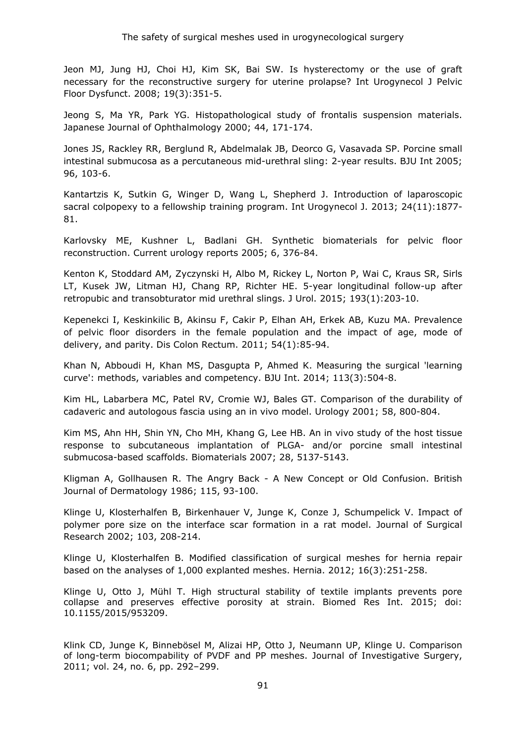Jeon MJ, Jung HJ, Choi HJ, Kim SK, Bai SW. Is hysterectomy or the use of graft necessary for the reconstructive surgery for uterine prolapse? Int Urogynecol J Pelvic Floor Dysfunct. 2008; 19(3):351-5.

Jeong S, Ma YR, Park YG. Histopathological study of frontalis suspension materials. Japanese Journal of Ophthalmology 2000; 44, 171-174.

Jones JS, Rackley RR, Berglund R, Abdelmalak JB, Deorco G, Vasavada SP. Porcine small intestinal submucosa as a percutaneous mid-urethral sling: 2-year results. BJU Int 2005; 96, 103-6.

Kantartzis K, Sutkin G, Winger D, Wang L, Shepherd J. Introduction of laparoscopic sacral colpopexy to a fellowship training program. Int Urogynecol J. 2013; 24(11):1877- 81.

Karlovsky ME, Kushner L, Badlani GH. Synthetic biomaterials for pelvic floor reconstruction. Current urology reports 2005; 6, 376-84.

Kenton K, Stoddard AM, Zyczynski H, Albo M, Rickey L, Norton P, Wai C, Kraus SR, Sirls LT, Kusek JW, Litman HJ, Chang RP, Richter HE. 5-year longitudinal follow-up after retropubic and transobturator mid urethral slings. J Urol. 2015; 193(1):203-10.

Kepenekci I, Keskinkilic B, Akinsu F, Cakir P, Elhan AH, Erkek AB, Kuzu MA. Prevalence of pelvic floor disorders in the female population and the impact of age, mode of delivery, and parity. Dis Colon Rectum. 2011; 54(1):85-94.

Khan N, Abboudi H, Khan MS, Dasgupta P, Ahmed K. Measuring the surgical 'learning curve': methods, variables and competency. BJU Int. 2014; 113(3):504-8.

Kim HL, Labarbera MC, Patel RV, Cromie WJ, Bales GT. Comparison of the durability of cadaveric and autologous fascia using an in vivo model. Urology 2001; 58, 800-804.

Kim MS, Ahn HH, Shin YN, Cho MH, Khang G, Lee HB. An in vivo study of the host tissue response to subcutaneous implantation of PLGA- and/or porcine small intestinal submucosa-based scaffolds. Biomaterials 2007; 28, 5137-5143.

Kligman A, Gollhausen R. The Angry Back - A New Concept or Old Confusion. British Journal of Dermatology 1986; 115, 93-100.

Klinge U, Klosterhalfen B, Birkenhauer V, Junge K, Conze J, Schumpelick V. Impact of polymer pore size on the interface scar formation in a rat model. Journal of Surgical Research 2002; 103, 208-214.

Klinge U, Klosterhalfen B. Modified classification of surgical meshes for hernia repair based on the analyses of 1,000 explanted meshes. Hernia. 2012; 16(3):251-258.

Klinge U, Otto J, Mühl T. High structural stability of textile implants prevents pore collapse and preserves effective porosity at strain. Biomed Res Int. 2015; doi: 10.1155/2015/953209.

Klink CD, Junge K, Binnebösel M, Alizai HP, Otto J, Neumann UP, Klinge U. Comparison of long-term biocompability of PVDF and PP meshes. Journal of Investigative Surgery, 2011; vol. 24, no. 6, pp. 292–299.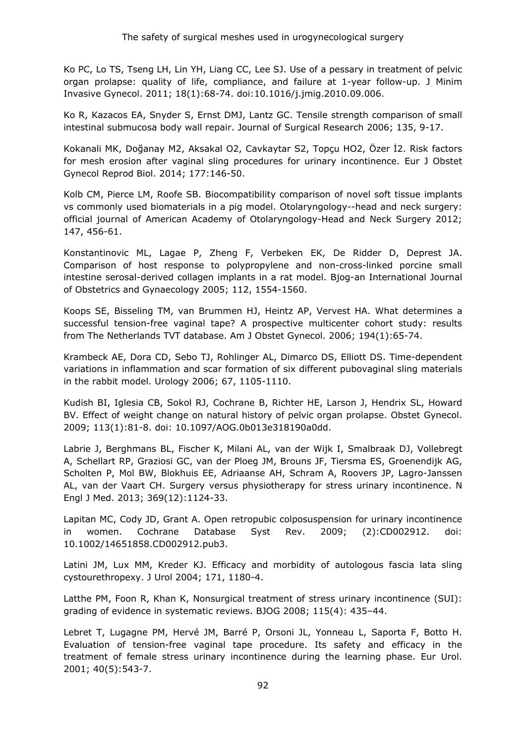Ko PC, Lo TS, Tseng LH, Lin YH, Liang CC, Lee SJ. Use of a pessary in treatment of pelvic organ prolapse: quality of life, compliance, and failure at 1-year follow-up. J Minim Invasive Gynecol. 2011; 18(1):68-74. doi:10.1016/j.jmig.2010.09.006.

Ko R, Kazacos EA, Snyder S, Ernst DMJ, Lantz GC. Tensile strength comparison of small intestinal submucosa body wall repair. Journal of Surgical Research 2006; 135, 9-17.

Kokanali MK, Doğanay M2, Aksakal O2, Cavkaytar S2, Topçu HO2, Özer İ2. Risk factors for mesh erosion after vaginal sling procedures for urinary incontinence. Eur J Obstet Gynecol Reprod Biol. 2014; 177:146-50.

Kolb CM, Pierce LM, Roofe SB. Biocompatibility comparison of novel soft tissue implants vs commonly used biomaterials in a pig model. Otolaryngology--head and neck surgery: official journal of American Academy of Otolaryngology-Head and Neck Surgery 2012; 147, 456-61.

Konstantinovic ML, Lagae P, Zheng F, Verbeken EK, De Ridder D, Deprest JA. Comparison of host response to polypropylene and non-cross-linked porcine small intestine serosal-derived collagen implants in a rat model. Bjog-an International Journal of Obstetrics and Gynaecology 2005; 112, 1554-1560.

Koops SE, Bisseling TM, van Brummen HJ, Heintz AP, Vervest HA. What determines a successful tension-free vaginal tape? A prospective multicenter cohort study: results from The Netherlands TVT database. Am J Obstet Gynecol. 2006; 194(1):65-74.

Krambeck AE, Dora CD, Sebo TJ, Rohlinger AL, Dimarco DS, Elliott DS. Time-dependent variations in inflammation and scar formation of six different pubovaginal sling materials in the rabbit model. Urology 2006; 67, 1105-1110.

Kudish BI, Iglesia CB, Sokol RJ, Cochrane B, Richter HE, Larson J, Hendrix SL, Howard BV. Effect of weight change on natural history of pelvic organ prolapse. Obstet Gynecol. 2009; 113(1):81-8. doi: 10.1097/AOG.0b013e318190a0dd.

Labrie J, Berghmans BL, Fischer K, Milani AL, van der Wijk I, Smalbraak DJ, Vollebregt A, Schellart RP, Graziosi GC, van der Ploeg JM, Brouns JF, Tiersma ES, Groenendijk AG, Scholten P, Mol BW, Blokhuis EE, Adriaanse AH, Schram A, Roovers JP, Lagro-Janssen AL, van der Vaart CH. Surgery versus physiotherapy for stress urinary incontinence. N Engl J Med. 2013; 369(12):1124-33.

Lapitan MC, Cody JD, Grant A. Open retropubic colposuspension for urinary incontinence in women. Cochrane Database Syst Rev. 2009; (2):CD002912. doi: 10.1002/14651858.CD002912.pub3.

Latini JM, Lux MM, Kreder KJ. Efficacy and morbidity of autologous fascia lata sling cystourethropexy. J Urol 2004; 171, 1180-4.

Latthe PM, Foon R, Khan K, Nonsurgical treatment of stress urinary incontinence (SUI): grading of evidence in systematic reviews. BJOG 2008; 115(4): 435–44.

Lebret T, Lugagne PM, Hervé JM, Barré P, Orsoni JL, Yonneau L, Saporta F, Botto H. Evaluation of tension-free vaginal tape procedure. Its safety and efficacy in the treatment of female stress urinary incontinence during the learning phase. Eur Urol. 2001; 40(5):543-7.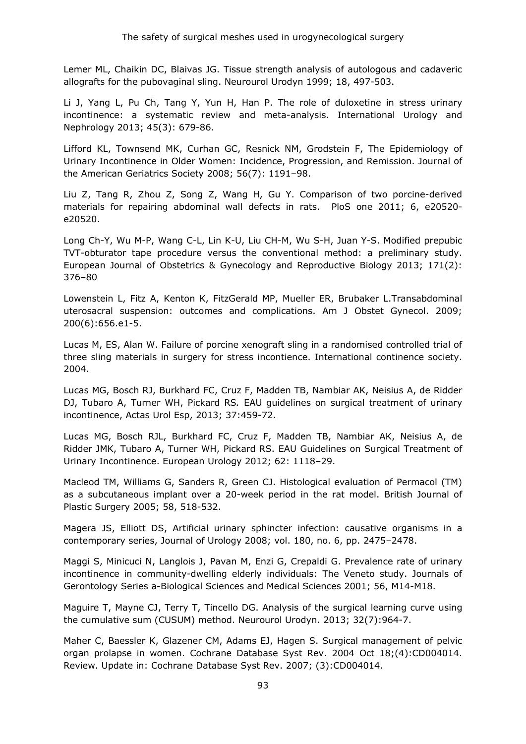Lemer ML, Chaikin DC, Blaivas JG. Tissue strength analysis of autologous and cadaveric allografts for the pubovaginal sling. Neurourol Urodyn 1999; 18, 497-503.

Li J, Yang L, Pu Ch, Tang Y, Yun H, Han P. The role of duloxetine in stress urinary incontinence: a systematic review and meta-analysis. International Urology and Nephrology 2013; 45(3): 679-86.

Lifford KL, Townsend MK, Curhan GC, Resnick NM, Grodstein F, The Epidemiology of Urinary Incontinence in Older Women: Incidence, Progression, and Remission. Journal of the American Geriatrics Society 2008; 56(7): 1191–98.

Liu Z, Tang R, Zhou Z, Song Z, Wang H, Gu Y. Comparison of two porcine-derived materials for repairing abdominal wall defects in rats. PloS one 2011; 6, e20520 e20520.

Long Ch-Y, Wu M-P, Wang C-L, Lin K-U, Liu CH-M, Wu S-H, Juan Y-S. Modified prepubic TVT-obturator tape procedure versus the conventional method: a preliminary study. European Journal of Obstetrics & Gynecology and Reproductive Biology 2013; 171(2): 376–80

Lowenstein L, Fitz A, Kenton K, FitzGerald MP, Mueller ER, Brubaker L.Transabdominal uterosacral suspension: outcomes and complications. Am J Obstet Gynecol. 2009; 200(6):656.e1-5.

Lucas M, ES, Alan W. Failure of porcine xenograft sling in a randomised controlled trial of three sling materials in surgery for stress incontience. International continence society. 2004.

Lucas MG, Bosch RJ, Burkhard FC, Cruz F, Madden TB, Nambiar AK, Neisius A, de Ridder DJ, Tubaro A, Turner WH, Pickard RS*.* EAU guidelines on surgical treatment of urinary incontinence, Actas Urol Esp, 2013; 37:459-72.

Lucas MG, Bosch RJL, Burkhard FC, Cruz F, Madden TB, Nambiar AK, Neisius A, de Ridder JMK, Tubaro A, Turner WH, Pickard RS. EAU Guidelines on Surgical Treatment of Urinary Incontinence. European Urology 2012; 62: 1118–29.

Macleod TM, Williams G, Sanders R, Green CJ. Histological evaluation of Permacol (TM) as a subcutaneous implant over a 20-week period in the rat model. British Journal of Plastic Surgery 2005; 58, 518-532.

Magera JS, Elliott DS, Artificial urinary sphincter infection: causative organisms in a contemporary series, Journal of Urology 2008; vol. 180, no. 6, pp. 2475–2478.

Maggi S, Minicuci N, Langlois J, Pavan M, Enzi G, Crepaldi G. Prevalence rate of urinary incontinence in community-dwelling elderly individuals: The Veneto study. Journals of Gerontology Series a-Biological Sciences and Medical Sciences 2001; 56, M14-M18.

Maguire T, Mayne CJ, Terry T, Tincello DG. Analysis of the surgical learning curve using the cumulative sum (CUSUM) method. Neurourol Urodyn. 2013; 32(7):964-7.

Maher C, Baessler K, Glazener CM, Adams EJ, Hagen S. Surgical management of pelvic organ prolapse in women. Cochrane Database Syst Rev. 2004 Oct 18;(4):CD004014. Review. Update in: Cochrane Database Syst Rev. 2007; (3):CD004014.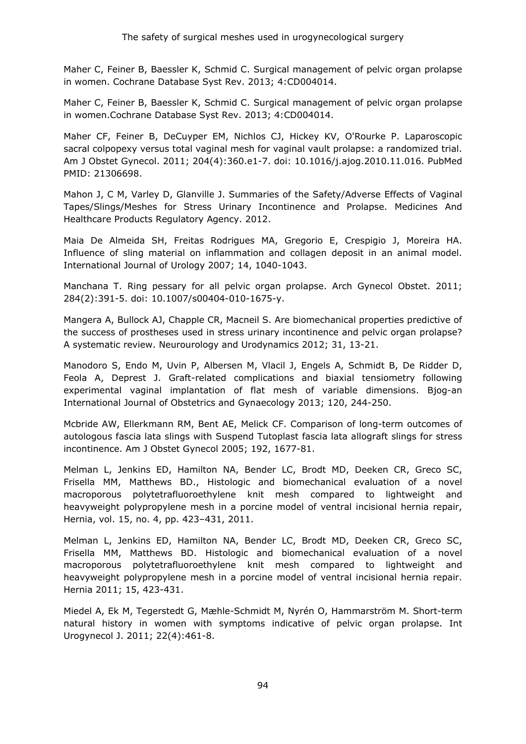Maher C, Feiner B, Baessler K, Schmid C. Surgical management of pelvic organ prolapse in women. Cochrane Database Syst Rev. 2013; 4:CD004014.

Maher C, Feiner B, Baessler K, Schmid C. Surgical management of pelvic organ prolapse in women.Cochrane Database Syst Rev. 2013; 4:CD004014.

Maher CF, Feiner B, DeCuyper EM, Nichlos CJ, Hickey KV, O'Rourke P. Laparoscopic sacral colpopexy versus total vaginal mesh for vaginal vault prolapse: a randomized trial. Am J Obstet Gynecol. 2011; 204(4):360.e1-7. doi: 10.1016/j.ajog.2010.11.016. PubMed PMID: 21306698.

Mahon J, C M, Varley D, Glanville J. Summaries of the Safety/Adverse Effects of Vaginal Tapes/Slings/Meshes for Stress Urinary Incontinence and Prolapse. Medicines And Healthcare Products Regulatory Agency. 2012.

Maia De Almeida SH, Freitas Rodrigues MA, Gregorio E, Crespigio J, Moreira HA. Influence of sling material on inflammation and collagen deposit in an animal model. International Journal of Urology 2007; 14, 1040-1043.

Manchana T. Ring pessary for all pelvic organ prolapse. Arch Gynecol Obstet. 2011; 284(2):391-5. doi: 10.1007/s00404-010-1675-y.

Mangera A, Bullock AJ, Chapple CR, Macneil S. Are biomechanical properties predictive of the success of prostheses used in stress urinary incontinence and pelvic organ prolapse? A systematic review. Neurourology and Urodynamics 2012; 31, 13-21.

Manodoro S, Endo M, Uvin P, Albersen M, Vlacil J, Engels A, Schmidt B, De Ridder D, Feola A, Deprest J. Graft-related complications and biaxial tensiometry following experimental vaginal implantation of flat mesh of variable dimensions. Bjog-an International Journal of Obstetrics and Gynaecology 2013; 120, 244-250.

Mcbride AW, Ellerkmann RM, Bent AE, Melick CF. Comparison of long-term outcomes of autologous fascia lata slings with Suspend Tutoplast fascia lata allograft slings for stress incontinence. Am J Obstet Gynecol 2005; 192, 1677-81.

Melman L, Jenkins ED, Hamilton NA, Bender LC, Brodt MD, Deeken CR, Greco SC, Frisella MM, Matthews BD., Histologic and biomechanical evaluation of a novel macroporous polytetrafluoroethylene knit mesh compared to lightweight and heavyweight polypropylene mesh in a porcine model of ventral incisional hernia repair, Hernia, vol. 15, no. 4, pp. 423–431, 2011.

Melman L, Jenkins ED, Hamilton NA, Bender LC, Brodt MD, Deeken CR, Greco SC, Frisella MM, Matthews BD. Histologic and biomechanical evaluation of a novel macroporous polytetrafluoroethylene knit mesh compared to lightweight and heavyweight polypropylene mesh in a porcine model of ventral incisional hernia repair. Hernia 2011; 15, 423-431.

Miedel A, Ek M, Tegerstedt G, Mæhle-Schmidt M, Nyrén O, Hammarström M. Short-term natural history in women with symptoms indicative of pelvic organ prolapse. Int Urogynecol J. 2011; 22(4):461-8.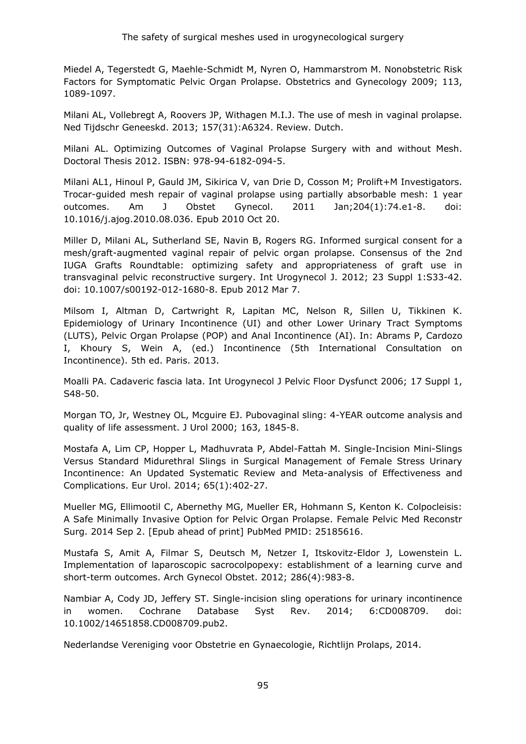Miedel A, Tegerstedt G, Maehle-Schmidt M, Nyren O, Hammarstrom M. Nonobstetric Risk Factors for Symptomatic Pelvic Organ Prolapse. Obstetrics and Gynecology 2009; 113, 1089-1097.

Milani AL, Vollebregt A, Roovers JP, Withagen M.I.J. The use of mesh in vaginal prolapse. Ned Tijdschr Geneeskd. 2013; 157(31):A6324. Review. Dutch.

Milani AL. Optimizing Outcomes of Vaginal Prolapse Surgery with and without Mesh. Doctoral Thesis 2012. ISBN: 978-94-6182-094-5.

[Milani AL1](http://www.ncbi.nlm.nih.gov/pubmed/?term=Milani%20AL%5BAuthor%5D&cauthor=true&cauthor_uid=20965491)[, Hinoul P,](http://www.ncbi.nlm.nih.gov/pubmed/?term=Hinoul%20P%5BAuthor%5D&cauthor=true&cauthor_uid=20965491) [Gauld JM,](http://www.ncbi.nlm.nih.gov/pubmed/?term=Gauld%20JM%5BAuthor%5D&cauthor=true&cauthor_uid=20965491) [Sikirica V,](http://www.ncbi.nlm.nih.gov/pubmed/?term=Sikirica%20V%5BAuthor%5D&cauthor=true&cauthor_uid=20965491) [van Drie D,](http://www.ncbi.nlm.nih.gov/pubmed/?term=van%20Drie%20D%5BAuthor%5D&cauthor=true&cauthor_uid=20965491) [Cosson M;](http://www.ncbi.nlm.nih.gov/pubmed/?term=Cosson%20M%5BAuthor%5D&cauthor=true&cauthor_uid=20965491) [Prolift+M Investigators.](http://www.ncbi.nlm.nih.gov/pubmed/?term=Prolift+M%20Investigators%5BCorporate%20Author%5D) Trocar-guided mesh repair of vaginal prolapse using partially absorbable mesh: 1 year outcomes. Am J Obstet Gynecol. 2011 Jan;204(1):74.e1-8. doi: 10.1016/j.ajog.2010.08.036. Epub 2010 Oct 20.

Miller D, Milani AL, Sutherland SE, Navin B, Rogers RG. Informed surgical consent for a mesh/graft-augmented vaginal repair of pelvic organ prolapse. Consensus of the 2nd IUGA Grafts Roundtable: optimizing safety and appropriateness of graft use in transvaginal pelvic reconstructive surgery. Int Urogynecol J. 2012; 23 Suppl 1:S33-42. doi: 10.1007/s00192-012-1680-8. Epub 2012 Mar 7.

Milsom I, Altman D, Cartwright R, Lapitan MC, Nelson R, Sillen U, Tikkinen K. Epidemiology of Urinary Incontinence (UI) and other Lower Urinary Tract Symptoms (LUTS), Pelvic Organ Prolapse (POP) and Anal Incontinence (AI). In: Abrams P, Cardozo I, Khoury S, Wein A, (ed.) Incontinence (5th International Consultation on Incontinence). 5th ed. Paris. 2013.

Moalli PA. Cadaveric fascia lata. Int Urogynecol J Pelvic Floor Dysfunct 2006; 17 Suppl 1, S48-50.

Morgan TO, Jr, Westney OL, Mcguire EJ. Pubovaginal sling: 4-YEAR outcome analysis and quality of life assessment. J Urol 2000; 163, 1845-8.

Mostafa A, Lim CP, Hopper L, Madhuvrata P, Abdel-Fattah M. Single-Incision Mini-Slings Versus Standard Midurethral Slings in Surgical Management of Female Stress Urinary Incontinence: An Updated Systematic Review and Meta-analysis of Effectiveness and Complications. Eur Urol. 2014; 65(1):402-27.

Mueller MG, Ellimootil C, Abernethy MG, Mueller ER, Hohmann S, Kenton K. Colpocleisis: A Safe Minimally Invasive Option for Pelvic Organ Prolapse. Female Pelvic Med Reconstr Surg. 2014 Sep 2. [Epub ahead of print] PubMed PMID: 25185616.

Mustafa S, Amit A, Filmar S, Deutsch M, Netzer I, Itskovitz-Eldor J, Lowenstein L. Implementation of laparoscopic sacrocolpopexy: establishment of a learning curve and short-term outcomes. Arch Gynecol Obstet. 2012; 286(4):983-8.

Nambiar A, Cody JD, Jeffery ST. Single-incision sling operations for urinary incontinence in women. Cochrane Database Syst Rev. 2014; 6:CD008709. doi: 10.1002/14651858.CD008709.pub2.

Nederlandse Vereniging voor Obstetrie en Gynaecologie, Richtlijn Prolaps, 2014.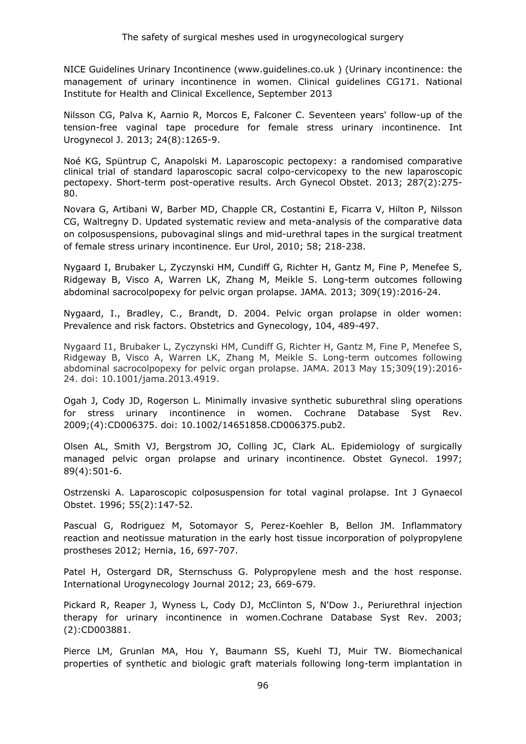NICE Guidelines Urinary Incontinence (www.guidelines.co.uk ) (Urinary incontinence: the management of urinary incontinence in women. Clinical guidelines CG171. National Institute for Health and Clinical Excellence, September 2013

Nilsson CG, Palva K, Aarnio R, Morcos E, Falconer C. Seventeen years' follow-up of the tension-free vaginal tape procedure for female stress urinary incontinence. Int Urogynecol J. 2013; 24(8):1265-9.

Noé KG, Spüntrup C, Anapolski M. Laparoscopic pectopexy: a randomised comparative clinical trial of standard laparoscopic sacral colpo-cervicopexy to the new laparoscopic pectopexy. Short-term post-operative results. Arch Gynecol Obstet. 2013; 287(2):275- 80.

Novara G, Artibani W, Barber MD, Chapple CR, Costantini E, Ficarra V, Hilton P, Nilsson CG, Waltregny D. Updated systematic review and meta-analysis of the comparative data on colposuspensions, pubovaginal slings and mid-urethral tapes in the surgical treatment of female stress urinary incontinence. Eur Urol, 2010; 58; 218-238.

Nygaard I, Brubaker L, Zyczynski HM, Cundiff G, Richter H, Gantz M, Fine P, Menefee S, Ridgeway B, Visco A, Warren LK, Zhang M, Meikle S. Long-term outcomes following abdominal sacrocolpopexy for pelvic organ prolapse. JAMA. 2013; 309(19):2016-24.

Nygaard, I., Bradley, C., Brandt, D. 2004. Pelvic organ prolapse in older women: Prevalence and risk factors. Obstetrics and Gynecology, 104, 489-497.

[Nygaard I1](http://www.ncbi.nlm.nih.gov/pubmed/?term=Nygaard%20I%5BAuthor%5D&cauthor=true&cauthor_uid=23677313), [Brubaker L,](http://www.ncbi.nlm.nih.gov/pubmed/?term=Brubaker%20L%5BAuthor%5D&cauthor=true&cauthor_uid=23677313) [Zyczynski HM,](http://www.ncbi.nlm.nih.gov/pubmed/?term=Zyczynski%20HM%5BAuthor%5D&cauthor=true&cauthor_uid=23677313) [Cundiff G,](http://www.ncbi.nlm.nih.gov/pubmed/?term=Cundiff%20G%5BAuthor%5D&cauthor=true&cauthor_uid=23677313) [Richter H,](http://www.ncbi.nlm.nih.gov/pubmed/?term=Richter%20H%5BAuthor%5D&cauthor=true&cauthor_uid=23677313) [Gantz M,](http://www.ncbi.nlm.nih.gov/pubmed/?term=Gantz%20M%5BAuthor%5D&cauthor=true&cauthor_uid=23677313) [Fine P,](http://www.ncbi.nlm.nih.gov/pubmed/?term=Fine%20P%5BAuthor%5D&cauthor=true&cauthor_uid=23677313) [Menefee S,](http://www.ncbi.nlm.nih.gov/pubmed/?term=Menefee%20S%5BAuthor%5D&cauthor=true&cauthor_uid=23677313) [Ridgeway B,](http://www.ncbi.nlm.nih.gov/pubmed/?term=Ridgeway%20B%5BAuthor%5D&cauthor=true&cauthor_uid=23677313) [Visco A,](http://www.ncbi.nlm.nih.gov/pubmed/?term=Visco%20A%5BAuthor%5D&cauthor=true&cauthor_uid=23677313) [Warren LK,](http://www.ncbi.nlm.nih.gov/pubmed/?term=Warren%20LK%5BAuthor%5D&cauthor=true&cauthor_uid=23677313) [Zhang M,](http://www.ncbi.nlm.nih.gov/pubmed/?term=Zhang%20M%5BAuthor%5D&cauthor=true&cauthor_uid=23677313) [Meikle S.](http://www.ncbi.nlm.nih.gov/pubmed/?term=Meikle%20S%5BAuthor%5D&cauthor=true&cauthor_uid=23677313) Long-term outcomes following abdominal sacrocolpopexy for pelvic organ prolapse. JAMA. 2013 May 15;309(19):2016- 24. doi: 10.1001/jama.2013.4919.

Ogah J, Cody JD, Rogerson L. Minimally invasive synthetic suburethral sling operations for stress urinary incontinence in women. Cochrane Database Syst Rev. 2009;(4):CD006375. doi: 10.1002/14651858.CD006375.pub2.

Olsen AL, Smith VJ, Bergstrom JO, Colling JC, Clark AL. Epidemiology of surgically managed pelvic organ prolapse and urinary incontinence. Obstet Gynecol. 1997; 89(4):501-6.

Ostrzenski A. Laparoscopic colposuspension for total vaginal prolapse. Int J Gynaecol Obstet. 1996; 55(2):147-52.

Pascual G, Rodriguez M, Sotomayor S, Perez-Koehler B, Bellon JM. Inflammatory reaction and neotissue maturation in the early host tissue incorporation of polypropylene prostheses 2012; Hernia, 16, 697-707.

Patel H, Ostergard DR, Sternschuss G. Polypropylene mesh and the host response. International Urogynecology Journal 2012; 23, 669-679.

Pickard R, Reaper J, Wyness L, Cody DJ, McClinton S, N'Dow J., Periurethral injection therapy for urinary incontinence in women.Cochrane Database Syst Rev. 2003; (2):CD003881.

Pierce LM, Grunlan MA, Hou Y, Baumann SS, Kuehl TJ, Muir TW. Biomechanical properties of synthetic and biologic graft materials following long-term implantation in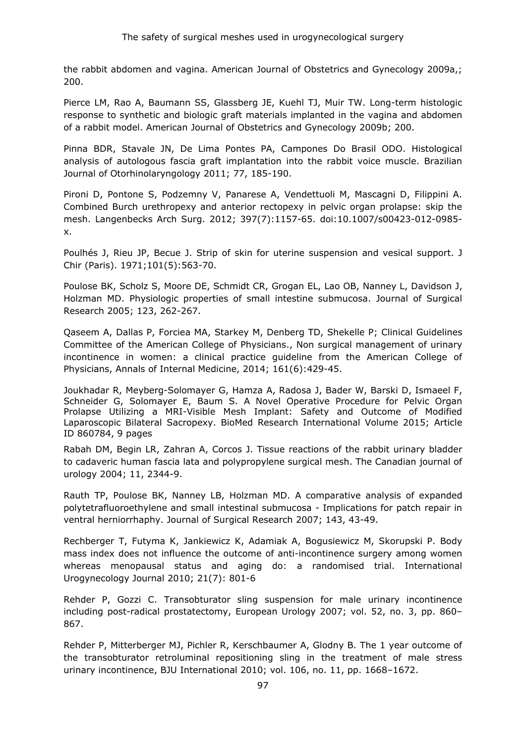the rabbit abdomen and vagina. American Journal of Obstetrics and Gynecology 2009a,; 200.

Pierce LM, Rao A, Baumann SS, Glassberg JE, Kuehl TJ, Muir TW. Long-term histologic response to synthetic and biologic graft materials implanted in the vagina and abdomen of a rabbit model. American Journal of Obstetrics and Gynecology 2009b; 200.

Pinna BDR, Stavale JN, De Lima Pontes PA, Campones Do Brasil ODO. Histological analysis of autologous fascia graft implantation into the rabbit voice muscle. Brazilian Journal of Otorhinolaryngology 2011; 77, 185-190.

Pironi D, Pontone S, Podzemny V, Panarese A, Vendettuoli M, Mascagni D, Filippini A. Combined Burch urethropexy and anterior rectopexy in pelvic organ prolapse: skip the mesh. Langenbecks Arch Surg. 2012; 397(7):1157-65. doi:10.1007/s00423-012-0985 x.

Poulhés J, Rieu JP, Becue J. Strip of skin for uterine suspension and vesical support. J Chir (Paris). 1971;101(5):563-70.

Poulose BK, Scholz S, Moore DE, Schmidt CR, Grogan EL, Lao OB, Nanney L, Davidson J, Holzman MD. Physiologic properties of small intestine submucosa. Journal of Surgical Research 2005; 123, 262-267.

Qaseem A, Dallas P, Forciea MA, Starkey M, Denberg TD, Shekelle P; Clinical Guidelines Committee of the American College of Physicians., Non surgical management of urinary incontinence in women: a clinical practice guideline from the American College of Physicians, Annals of Internal Medicine, 2014; 161(6):429-45.

Joukhadar R, Meyberg-Solomayer G, Hamza A, Radosa J, Bader W, Barski D, Ismaeel F, Schneider G, Solomayer E, Baum S. A Novel Operative Procedure for Pelvic Organ Prolapse Utilizing a MRI-Visible Mesh Implant: Safety and Outcome of Modified Laparoscopic Bilateral Sacropexy. BioMed Research International Volume 2015; Article ID 860784, 9 pages

Rabah DM, Begin LR, Zahran A, Corcos J. Tissue reactions of the rabbit urinary bladder to cadaveric human fascia lata and polypropylene surgical mesh. The Canadian journal of urology 2004; 11, 2344-9.

Rauth TP, Poulose BK, Nanney LB, Holzman MD. A comparative analysis of expanded polytetrafluoroethylene and small intestinal submucosa - Implications for patch repair in ventral herniorrhaphy. Journal of Surgical Research 2007; 143, 43-49.

Rechberger T, Futyma K, Jankiewicz K, Adamiak A, Bogusiewicz M, Skorupski P. Body mass index does not influence the outcome of anti-incontinence surgery among women whereas menopausal status and aging do: a randomised trial. International Urogynecology Journal 2010; 21(7): 801-6

Rehder P, Gozzi C. Transobturator sling suspension for male urinary incontinence including post-radical prostatectomy, European Urology 2007; vol. 52, no. 3, pp. 860– 867.

Rehder P, Mitterberger MJ, Pichler R, Kerschbaumer A, Glodny B. The 1 year outcome of the transobturator retroluminal repositioning sling in the treatment of male stress urinary incontinence, BJU International 2010; vol. 106, no. 11, pp. 1668–1672.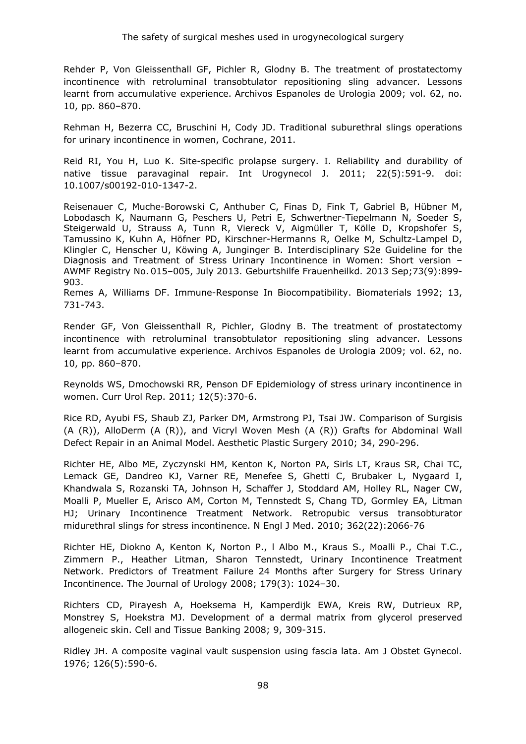Rehder P, Von Gleissenthall GF, Pichler R, Glodny B. The treatment of prostatectomy incontinence with retroluminal transobtulator repositioning sling advancer. Lessons learnt from accumulative experience. Archivos Espanoles de Urologia 2009; vol. 62, no. 10, pp. 860–870.

Rehman H, Bezerra CC, Bruschini H, Cody JD. Traditional suburethral slings operations for urinary incontinence in women, Cochrane, 2011.

Reid RI, You H, Luo K. Site-specific prolapse surgery. I. Reliability and durability of native tissue paravaginal repair. Int Urogynecol J. 2011; 22(5):591-9. doi: 10.1007/s00192-010-1347-2.

Reisenauer C, Muche-Borowski C, Anthuber C, Finas D, Fink T, Gabriel B, Hübner M, Lobodasch K, Naumann G, Peschers U, Petri E, Schwertner-Tiepelmann N, Soeder S, Steigerwald U, Strauss A, Tunn R, Viereck V, Aigmüller T, Kölle D, Kropshofer S, Tamussino K, Kuhn A, Höfner PD, Kirschner-Hermanns R, Oelke M, Schultz-Lampel D, Klingler C, Henscher U, Köwing A, Junginger B. Interdisciplinary S2e Guideline for the Diagnosis and Treatment of Stress Urinary Incontinence in Women: Short version – AWMF Registry No. 015–005, July 2013. Geburtshilfe Frauenheilkd. 2013 Sep;73(9):899- 903.

Remes A, Williams DF. Immune-Response In Biocompatibility. Biomaterials 1992; 13, 731-743.

Render GF, Von Gleissenthall R, Pichler, Glodny B. The treatment of prostatectomy incontinence with retroluminal transobtulator repositioning sling advancer. Lessons learnt from accumulative experience. Archivos Espanoles de Urologia 2009; vol. 62, no. 10, pp. 860–870.

Reynolds WS, Dmochowski RR, Penson DF Epidemiology of stress urinary incontinence in women. Curr Urol Rep. 2011; 12(5):370-6.

Rice RD, Ayubi FS, Shaub ZJ, Parker DM, Armstrong PJ, Tsai JW. Comparison of Surgisis (A (R)), AlloDerm (A (R)), and Vicryl Woven Mesh (A (R)) Grafts for Abdominal Wall Defect Repair in an Animal Model. Aesthetic Plastic Surgery 2010; 34, 290-296.

Richter HE, Albo ME, Zyczynski HM, Kenton K, Norton PA, Sirls LT, Kraus SR, Chai TC, Lemack GE, Dandreo KJ, Varner RE, Menefee S, Ghetti C, Brubaker L, Nygaard I, Khandwala S, Rozanski TA, Johnson H, Schaffer J, Stoddard AM, Holley RL, Nager CW, Moalli P, Mueller E, Arisco AM, Corton M, Tennstedt S, Chang TD, Gormley EA, Litman HJ; Urinary Incontinence Treatment Network. Retropubic versus transobturator midurethral slings for stress incontinence. N Engl J Med. 2010; 362(22):2066-76

Richter HE, Diokno A, Kenton K, Norton P., l Albo M., Kraus S., Moalli P., Chai T.C., Zimmern P., Heather Litman, Sharon Tennstedt, Urinary Incontinence Treatment Network. Predictors of Treatment Failure 24 Months after Surgery for Stress Urinary Incontinence. The Journal of Urology 2008; 179(3): 1024–30.

Richters CD, Pirayesh A, Hoeksema H, Kamperdijk EWA, Kreis RW, Dutrieux RP, Monstrey S, Hoekstra MJ. Development of a dermal matrix from glycerol preserved allogeneic skin. Cell and Tissue Banking 2008; 9, 309-315.

Ridley JH. A composite vaginal vault suspension using fascia lata. Am J Obstet Gynecol. 1976; 126(5):590-6.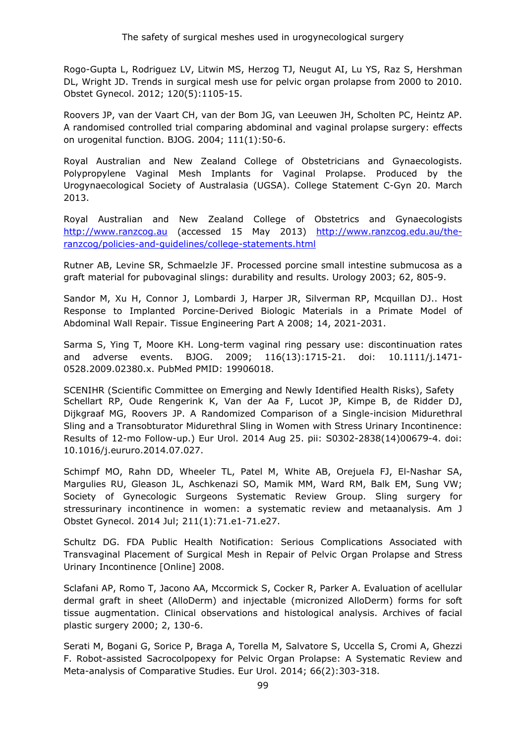Rogo-Gupta L, Rodriguez LV, Litwin MS, Herzog TJ, Neugut AI, Lu YS, Raz S, Hershman DL, Wright JD. Trends in surgical mesh use for pelvic organ prolapse from 2000 to 2010. Obstet Gynecol. 2012; 120(5):1105-15.

Roovers JP, van der Vaart CH, van der Bom JG, van Leeuwen JH, Scholten PC, Heintz AP. A randomised controlled trial comparing abdominal and vaginal prolapse surgery: effects on urogenital function. BJOG. 2004; 111(1):50-6.

Royal Australian and New Zealand College of Obstetricians and Gynaecologists. Polypropylene Vaginal Mesh Implants for Vaginal Prolapse. Produced by the Urogynaecological Society of Australasia (UGSA). College Statement C-Gyn 20. March 2013.

Royal Australian and New Zealand College of Obstetrics and Gynaecologists [http://www.ranzcog.au](http://www.ranzcog.au/) (accessed 15 May 2013) [http://www.ranzcog.edu.au/the](http://www.ranzcog.edu.au/the-ranzcog/policies-and-guidelines/college-statements.html)[ranzcog/policies-and-guidelines/college-statements.html](http://www.ranzcog.edu.au/the-ranzcog/policies-and-guidelines/college-statements.html) 

Rutner AB, Levine SR, Schmaelzle JF. Processed porcine small intestine submucosa as a graft material for pubovaginal slings: durability and results. Urology 2003; 62, 805-9.

Sandor M, Xu H, Connor J, Lombardi J, Harper JR, Silverman RP, Mcquillan DJ.. Host Response to Implanted Porcine-Derived Biologic Materials in a Primate Model of Abdominal Wall Repair. Tissue Engineering Part A 2008; 14, 2021-2031.

Sarma S, Ying T, Moore KH. Long-term vaginal ring pessary use: discontinuation rates and adverse events. BJOG. 2009; 116(13):1715-21. doi: 10.1111/j.1471- 0528.2009.02380.x. PubMed PMID: 19906018.

SCENIHR (Scientific Committee on Emerging and Newly Identified Health Risks), Safety Schellart RP, Oude Rengerink K, Van der Aa F, Lucot JP, Kimpe B, de Ridder DJ, Dijkgraaf MG, Roovers JP. A Randomized Comparison of a Single-incision Midurethral Sling and a Transobturator Midurethral Sling in Women with Stress Urinary Incontinence: Results of 12-mo Follow-up.) Eur Urol. 2014 Aug 25. pii: S0302-2838(14)00679-4. doi: 10.1016/j.eururo.2014.07.027.

Schimpf MO, Rahn DD, Wheeler TL, Patel M, White AB, Orejuela FJ, El-Nashar SA, Margulies RU, Gleason JL, Aschkenazi SO, Mamik MM, Ward RM, Balk EM, Sung VW; Society of Gynecologic Surgeons Systematic Review Group. Sling surgery for stressurinary incontinence in women: a systematic review and metaanalysis. Am J Obstet Gynecol. 2014 Jul; 211(1):71.e1-71.e27.

Schultz DG. FDA Public Health Notification: Serious Complications Associated with Transvaginal Placement of Surgical Mesh in Repair of Pelvic Organ Prolapse and Stress Urinary Incontinence [Online] 2008.

Sclafani AP, Romo T, Jacono AA, Mccormick S, Cocker R, Parker A. Evaluation of acellular dermal graft in sheet (AlloDerm) and injectable (micronized AlloDerm) forms for soft tissue augmentation. Clinical observations and histological analysis. Archives of facial plastic surgery 2000; 2, 130-6.

Serati M, Bogani G, Sorice P, Braga A, Torella M, Salvatore S, Uccella S, Cromi A, Ghezzi F. Robot-assisted Sacrocolpopexy for Pelvic Organ Prolapse: A Systematic Review and Meta-analysis of Comparative Studies. Eur Urol. 2014; 66(2):303-318.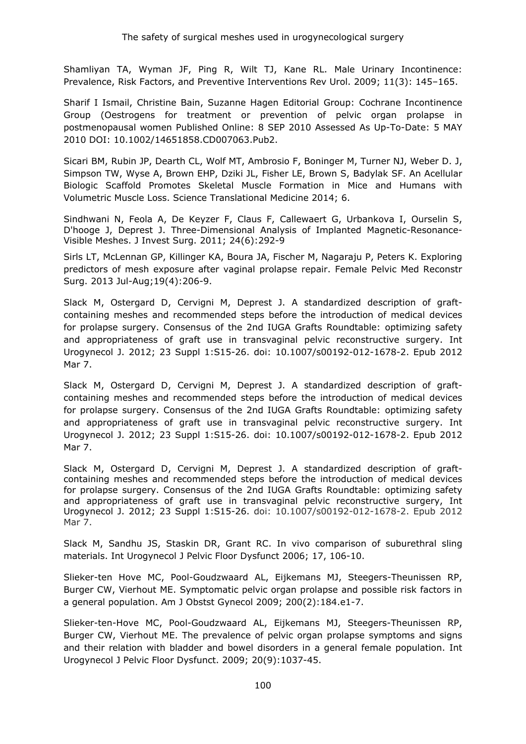Shamliyan TA, Wyman JF, Ping R, Wilt TJ, Kane RL. Male Urinary Incontinence: Prevalence, Risk Factors, and Preventive Interventions Rev Urol. 2009; 11(3): 145–165.

Sharif I Ismail, Christine Bain, Suzanne Hagen Editorial Group: Cochrane Incontinence Group (Oestrogens for treatment or prevention of pelvic organ prolapse in postmenopausal women Published Online: 8 SEP 2010 Assessed As Up-To-Date: 5 MAY 2010 DOI: 10.1002/14651858.CD007063.Pub2.

Sicari BM, Rubin JP, Dearth CL, Wolf MT, Ambrosio F, Boninger M, Turner NJ, Weber D. J, Simpson TW, Wyse A, Brown EHP, Dziki JL, Fisher LE, Brown S, Badylak SF. An Acellular Biologic Scaffold Promotes Skeletal Muscle Formation in Mice and Humans with Volumetric Muscle Loss. Science Translational Medicine 2014; 6.

Sindhwani N, Feola A, De Keyzer F, Claus F, Callewaert G, Urbankova I, Ourselin S, D'hooge J, Deprest J. Three-Dimensional Analysis of Implanted Magnetic-Resonance-Visible Meshes. J Invest Surg. 2011; 24(6):292-9

Sirls LT, McLennan GP, Killinger KA, Boura JA, Fischer M, Nagaraju P, Peters K. Exploring predictors of mesh exposure after vaginal prolapse repair. Female Pelvic Med Reconstr Surg. 2013 Jul-Aug;19(4):206-9.

Slack M, Ostergard D, Cervigni M, Deprest J. A standardized description of graftcontaining meshes and recommended steps before the introduction of medical devices for prolapse surgery. Consensus of the 2nd IUGA Grafts Roundtable: optimizing safety and appropriateness of graft use in transvaginal pelvic reconstructive surgery. Int Urogynecol J. 2012; 23 Suppl 1:S15-26. doi: 10.1007/s00192-012-1678-2. Epub 2012 Mar 7.

[Slack M,](http://www.ncbi.nlm.nih.gov/pubmed/?term=Slack%20M%5BAuthor%5D&cauthor=true&cauthor_uid=22395289) [Ostergard D,](http://www.ncbi.nlm.nih.gov/pubmed/?term=Ostergard%20D%5BAuthor%5D&cauthor=true&cauthor_uid=22395289) [Cervigni M,](http://www.ncbi.nlm.nih.gov/pubmed/?term=Cervigni%20M%5BAuthor%5D&cauthor=true&cauthor_uid=22395289) [Deprest J.](http://www.ncbi.nlm.nih.gov/pubmed/?term=Deprest%20J%5BAuthor%5D&cauthor=true&cauthor_uid=22395289) A standardized description of graftcontaining meshes and recommended steps before the introduction of medical devices for prolapse surgery. Consensus of the 2nd IUGA Grafts Roundtable: optimizing safety and appropriateness of graft use in transvaginal pelvic reconstructive surgery. Int Urogynecol J. 2012; 23 Suppl 1:S15-26. doi: 10.1007/s00192-012-1678-2. Epub 2012 Mar 7.

Slack M, Ostergard D, Cervigni M, Deprest J. A standardized description of graftcontaining meshes and recommended steps before the introduction of medical devices for prolapse surgery. Consensus of the 2nd IUGA Grafts Roundtable: optimizing safety and appropriateness of graft use in transvaginal pelvic reconstructive surgery, Int Urogynecol J. 2012; 23 Suppl 1:S15-26. doi: 10.1007/s00192-012-1678-2. Epub 2012 Mar 7.

Slack M, Sandhu JS, Staskin DR, Grant RC. In vivo comparison of suburethral sling materials. Int Urogynecol J Pelvic Floor Dysfunct 2006; 17, 106-10.

Slieker-ten Hove MC, Pool-Goudzwaard AL, Eijkemans MJ, Steegers-Theunissen RP, Burger CW, Vierhout ME. Symptomatic pelvic organ prolapse and possible risk factors in a general population. Am J Obstst Gynecol 2009; 200(2):184.e1-7.

Slieker-ten-Hove MC, Pool-Goudzwaard AL, Eijkemans MJ, Steegers-Theunissen RP, Burger CW, Vierhout ME. The prevalence of pelvic organ prolapse symptoms and signs and their relation with bladder and bowel disorders in a general female population. Int Urogynecol J Pelvic Floor Dysfunct. 2009; 20(9):1037-45.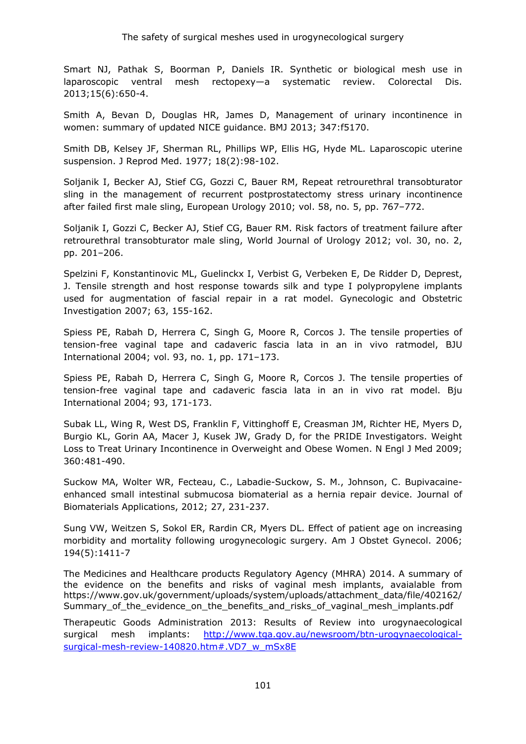Smart NJ, Pathak S, Boorman P, Daniels IR. Synthetic or biological mesh use in laparoscopic ventral mesh rectopexy—a systematic review. Colorectal Dis. 2013;15(6):650-4.

Smith A, Bevan D, Douglas HR, James D, Management of urinary incontinence in women: summary of updated NICE guidance. BMJ 2013; 347:f5170.

Smith DB, Kelsey JF, Sherman RL, Phillips WP, Ellis HG, Hyde ML. Laparoscopic uterine suspension. J Reprod Med. 1977; 18(2):98-102.

Soljanik I, Becker AJ, Stief CG, Gozzi C, Bauer RM, Repeat retrourethral transobturator sling in the management of recurrent postprostatectomy stress urinary incontinence after failed first male sling, European Urology 2010; vol. 58, no. 5, pp. 767–772.

Soljanik I, Gozzi C, Becker AJ, Stief CG, Bauer RM. Risk factors of treatment failure after retrourethral transobturator male sling, World Journal of Urology 2012; vol. 30, no. 2, pp. 201–206.

Spelzini F, Konstantinovic ML, Guelinckx I, Verbist G, Verbeken E, De Ridder D, Deprest, J. Tensile strength and host response towards silk and type I polypropylene implants used for augmentation of fascial repair in a rat model. Gynecologic and Obstetric Investigation 2007; 63, 155-162.

Spiess PE, Rabah D, Herrera C, Singh G, Moore R, Corcos J. The tensile properties of tension-free vaginal tape and cadaveric fascia lata in an in vivo ratmodel, BJU International 2004; vol. 93, no. 1, pp. 171–173.

Spiess PE, Rabah D, Herrera C, Singh G, Moore R, Corcos J. The tensile properties of tension-free vaginal tape and cadaveric fascia lata in an in vivo rat model. Bju International 2004; 93, 171-173.

Subak LL, Wing R, West DS, Franklin F, Vittinghoff E, Creasman JM, Richter HE, Myers D, Burgio KL, Gorin AA, Macer J, Kusek JW, Grady D, for the PRIDE Investigators. Weight Loss to Treat Urinary Incontinence in Overweight and Obese Women. N Engl J Med 2009; 360:481-490.

Suckow MA, Wolter WR, Fecteau, C., Labadie-Suckow, S. M., Johnson, C. Bupivacaineenhanced small intestinal submucosa biomaterial as a hernia repair device. Journal of Biomaterials Applications, 2012; 27, 231-237.

Sung VW, Weitzen S, Sokol ER, Rardin CR, Myers DL. Effect of patient age on increasing morbidity and mortality following urogynecologic surgery. Am J Obstet Gynecol. 2006; 194(5):1411-7

The Medicines and Healthcare products Regulatory Agency (MHRA) 2014. A summary of the evidence on the benefits and risks of vaginal mesh implants, avaialable from https://www.gov.uk/government/uploads/system/uploads/attachment\_data/file/402162/ Summary\_of\_the\_evidence\_on\_the\_benefits\_and\_risks\_of\_vaginal\_mesh\_implants.pdf

Therapeutic Goods Administration 2013: Results of Review into urogynaecological surgical mesh implants: [http://www.tga.gov.au/newsroom/btn-urogynaecological](http://www.tga.gov.au/newsroom/btn-urogynaecological-surgical-mesh-review-140820.htm#.VD7_w_mSx8E)surgical-mesh-review-140820.htm#.VD7\_w\_mSx8E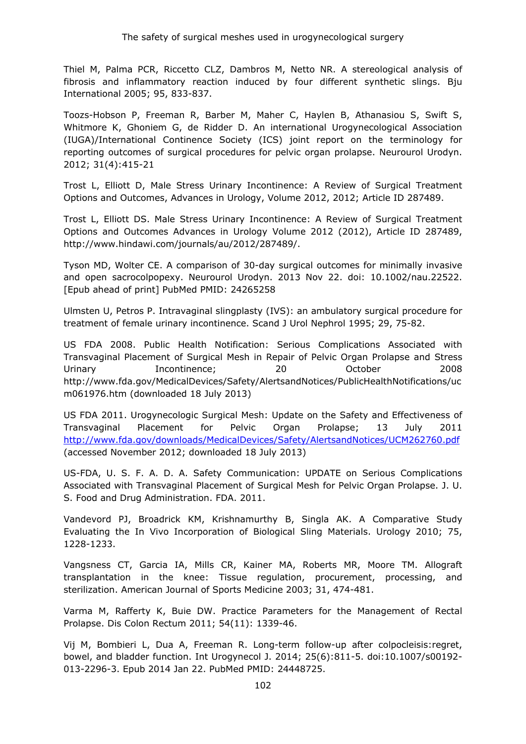Thiel M, Palma PCR, Riccetto CLZ, Dambros M, Netto NR. A stereological analysis of fibrosis and inflammatory reaction induced by four different synthetic slings. Bju International 2005; 95, 833-837.

Toozs-Hobson P, Freeman R, Barber M, Maher C, Haylen B, Athanasiou S, Swift S, Whitmore K, Ghoniem G, de Ridder D. An international Urogynecological Association (IUGA)/International Continence Society (ICS) joint report on the terminology for reporting outcomes of surgical procedures for pelvic organ prolapse. Neurourol Urodyn. 2012; 31(4):415-21

Trost L, Elliott D, Male Stress Urinary Incontinence: A Review of Surgical Treatment Options and Outcomes, Advances in Urology, Volume 2012, 2012; Article ID 287489.

Trost L, Elliott DS. Male Stress Urinary Incontinence: A Review of Surgical Treatment Options and Outcomes Advances in Urology Volume 2012 (2012), Article ID 287489, http://www.hindawi.com/journals/au/2012/287489/.

Tyson MD, Wolter CE. A comparison of 30-day surgical outcomes for minimally invasive and open sacrocolpopexy. Neurourol Urodyn. 2013 Nov 22. doi: 10.1002/nau.22522. [Epub ahead of print] PubMed PMID: 24265258

Ulmsten U, Petros P. Intravaginal slingplasty (IVS): an ambulatory surgical procedure for treatment of female urinary incontinence. Scand J Urol Nephrol 1995; 29, 75-82.

US FDA 2008. Public Health Notification: Serious Complications Associated with Transvaginal Placement of Surgical Mesh in Repair of Pelvic Organ Prolapse and Stress Urinary **Incontinence**; 20 October 2008 http://www.fda.gov/MedicalDevices/Safety/AlertsandNotices/PublicHealthNotifications/uc m061976.htm (downloaded 18 July 2013)

US FDA 2011. Urogynecologic Surgical Mesh: Update on the Safety and Effectiveness of Transvaginal Placement for Pelvic Organ Prolapse; 13 July 2011 <http://www.fda.gov/downloads/MedicalDevices/Safety/AlertsandNotices/UCM262760.pdf> (accessed November 2012; downloaded 18 July 2013)

US-FDA, U. S. F. A. D. A. Safety Communication: UPDATE on Serious Complications Associated with Transvaginal Placement of Surgical Mesh for Pelvic Organ Prolapse. J. U. S. Food and Drug Administration. FDA. 2011.

Vandevord PJ, Broadrick KM, Krishnamurthy B, Singla AK. A Comparative Study Evaluating the In Vivo Incorporation of Biological Sling Materials. Urology 2010; 75, 1228-1233.

Vangsness CT, Garcia IA, Mills CR, Kainer MA, Roberts MR, Moore TM. Allograft transplantation in the knee: Tissue regulation, procurement, processing, and sterilization. American Journal of Sports Medicine 2003; 31, 474-481.

Varma M, Rafferty K, Buie DW. Practice Parameters for the Management of Rectal Prolapse. Dis Colon Rectum 2011; 54(11): 1339-46.

Vij M, Bombieri L, Dua A, Freeman R. Long-term follow-up after colpocleisis:regret, bowel, and bladder function. Int Urogynecol J. 2014; 25(6):811-5. doi:10.1007/s00192- 013-2296-3. Epub 2014 Jan 22. PubMed PMID: 24448725.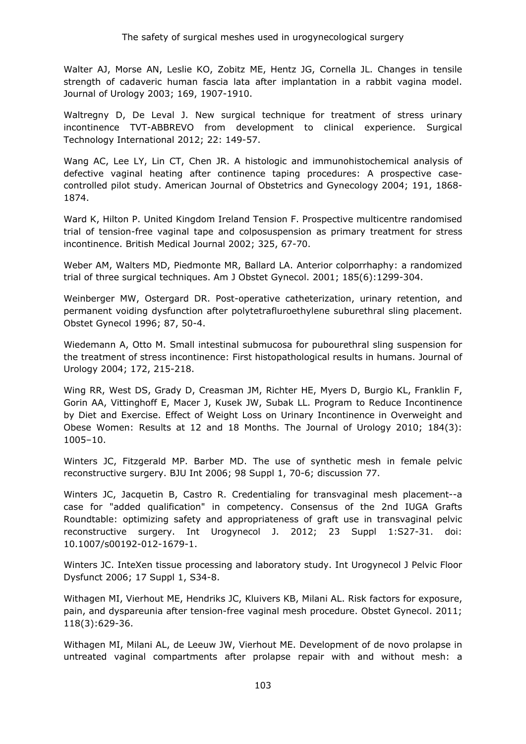Walter AJ, Morse AN, Leslie KO, Zobitz ME, Hentz JG, Cornella JL. Changes in tensile strength of cadaveric human fascia lata after implantation in a rabbit vagina model. Journal of Urology 2003; 169, 1907-1910.

Waltregny D, De Leval J. New surgical technique for treatment of stress urinary incontinence TVT-ABBREVO from development to clinical experience. Surgical Technology International 2012; 22: 149-57.

Wang AC, Lee LY, Lin CT, Chen JR. A histologic and immunohistochemical analysis of defective vaginal heating after continence taping procedures: A prospective casecontrolled pilot study. American Journal of Obstetrics and Gynecology 2004; 191, 1868- 1874.

Ward K, Hilton P. United Kingdom Ireland Tension F. Prospective multicentre randomised trial of tension-free vaginal tape and colposuspension as primary treatment for stress incontinence. British Medical Journal 2002; 325, 67-70.

Weber AM, Walters MD, Piedmonte MR, Ballard LA. Anterior colporrhaphy: a randomized trial of three surgical techniques. Am J Obstet Gynecol. 2001; 185(6):1299-304.

Weinberger MW, Ostergard DR. Post-operative catheterization, urinary retention, and permanent voiding dysfunction after polytetrafluroethylene suburethral sling placement. Obstet Gynecol 1996; 87, 50-4.

Wiedemann A, Otto M. Small intestinal submucosa for pubourethral sling suspension for the treatment of stress incontinence: First histopathological results in humans. Journal of Urology 2004; 172, 215-218.

Wing RR, West DS, Grady D, Creasman JM, Richter HE, Myers D, Burgio KL, Franklin F, Gorin AA, Vittinghoff E, Macer J, Kusek JW, Subak LL. Program to Reduce Incontinence by Diet and Exercise. Effect of Weight Loss on Urinary Incontinence in Overweight and Obese Women: Results at 12 and 18 Months. The Journal of Urology 2010; 184(3): 1005–10.

Winters JC, Fitzgerald MP. Barber MD. The use of synthetic mesh in female pelvic reconstructive surgery. BJU Int 2006; 98 Suppl 1, 70-6; discussion 77.

Winters JC, Jacquetin B, Castro R. Credentialing for transvaginal mesh placement--a case for "added qualification" in competency. Consensus of the 2nd IUGA Grafts Roundtable: optimizing safety and appropriateness of graft use in transvaginal pelvic reconstructive surgery. Int Urogynecol J. 2012; 23 Suppl 1:S27-31. doi: 10.1007/s00192-012-1679-1.

Winters JC. InteXen tissue processing and laboratory study. Int Urogynecol J Pelvic Floor Dysfunct 2006; 17 Suppl 1, S34-8.

Withagen MI, Vierhout ME, Hendriks JC, Kluivers KB, Milani AL. Risk factors for exposure, pain, and dyspareunia after tension-free vaginal mesh procedure. Obstet Gynecol. 2011; 118(3):629-36.

[Withagen MI,](http://www.ncbi.nlm.nih.gov/pubmed/?term=Withagen%20MI%5BAuthor%5D&cauthor=true&cauthor_uid=22239416) [Milani AL,](http://www.ncbi.nlm.nih.gov/pubmed/?term=Milani%20AL%5BAuthor%5D&cauthor=true&cauthor_uid=22239416) [de Leeuw JW,](http://www.ncbi.nlm.nih.gov/pubmed/?term=de%20Leeuw%20JW%5BAuthor%5D&cauthor=true&cauthor_uid=22239416) [Vierhout ME.](http://www.ncbi.nlm.nih.gov/pubmed/?term=Vierhout%20ME%5BAuthor%5D&cauthor=true&cauthor_uid=22239416) Development of de novo prolapse in untreated vaginal compartments after prolapse repair with and without mesh: a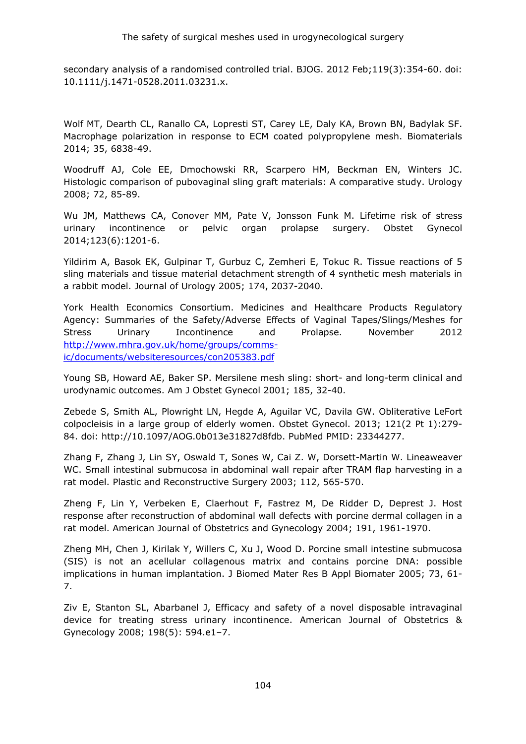secondary analysis of a randomised controlled trial. BJOG. 2012 Feb;119(3):354-60. doi: 10.1111/j.1471-0528.2011.03231.x.

Wolf MT, Dearth CL, Ranallo CA, Lopresti ST, Carey LE, Daly KA, Brown BN, Badylak SF. Macrophage polarization in response to ECM coated polypropylene mesh. Biomaterials 2014; 35, 6838-49.

Woodruff AJ, Cole EE, Dmochowski RR, Scarpero HM, Beckman EN, Winters JC. Histologic comparison of pubovaginal sling graft materials: A comparative study. Urology 2008; 72, 85-89.

Wu JM, Matthews CA, Conover MM, Pate V, Jonsson Funk M. Lifetime risk of stress urinary incontinence or pelvic organ prolapse surgery. Obstet Gynecol 2014;123(6):1201-6.

Yildirim A, Basok EK, Gulpinar T, Gurbuz C, Zemheri E, Tokuc R. Tissue reactions of 5 sling materials and tissue material detachment strength of 4 synthetic mesh materials in a rabbit model. Journal of Urology 2005; 174, 2037-2040.

York Health Economics Consortium. Medicines and Healthcare Products Regulatory Agency: Summaries of the Safety/Adverse Effects of Vaginal Tapes/Slings/Meshes for Stress Urinary Incontinence and Prolapse. November 2012 [http://www.mhra.gov.uk/home/groups/comms](http://www.mhra.gov.uk/home/groups/comms-ic/documents/websiteresources/con205383.pdf)[ic/documents/websiteresources/con205383.pdf](http://www.mhra.gov.uk/home/groups/comms-ic/documents/websiteresources/con205383.pdf)

Young SB, Howard AE, Baker SP. Mersilene mesh sling: short- and long-term clinical and urodynamic outcomes. Am J Obstet Gynecol 2001; 185, 32-40.

Zebede S, Smith AL, Plowright LN, Hegde A, Aguilar VC, Davila GW. Obliterative LeFort colpocleisis in a large group of elderly women. Obstet Gynecol. 2013; 121(2 Pt 1):279- 84. doi: http://10.1097/AOG.0b013e31827d8fdb. PubMed PMID: 23344277.

Zhang F, Zhang J, Lin SY, Oswald T, Sones W, Cai Z. W, Dorsett-Martin W. Lineaweaver WC. Small intestinal submucosa in abdominal wall repair after TRAM flap harvesting in a rat model. Plastic and Reconstructive Surgery 2003; 112, 565-570.

Zheng F, Lin Y, Verbeken E, Claerhout F, Fastrez M, De Ridder D, Deprest J. Host response after reconstruction of abdominal wall defects with porcine dermal collagen in a rat model. American Journal of Obstetrics and Gynecology 2004; 191, 1961-1970.

Zheng MH, Chen J, Kirilak Y, Willers C, Xu J, Wood D. Porcine small intestine submucosa (SIS) is not an acellular collagenous matrix and contains porcine DNA: possible implications in human implantation. J Biomed Mater Res B Appl Biomater 2005; 73, 61- 7.

Ziv E, Stanton SL, Abarbanel J, Efficacy and safety of a novel disposable intravaginal device for treating stress urinary incontinence. American Journal of Obstetrics & Gynecology 2008; 198(5): 594.e1–7.